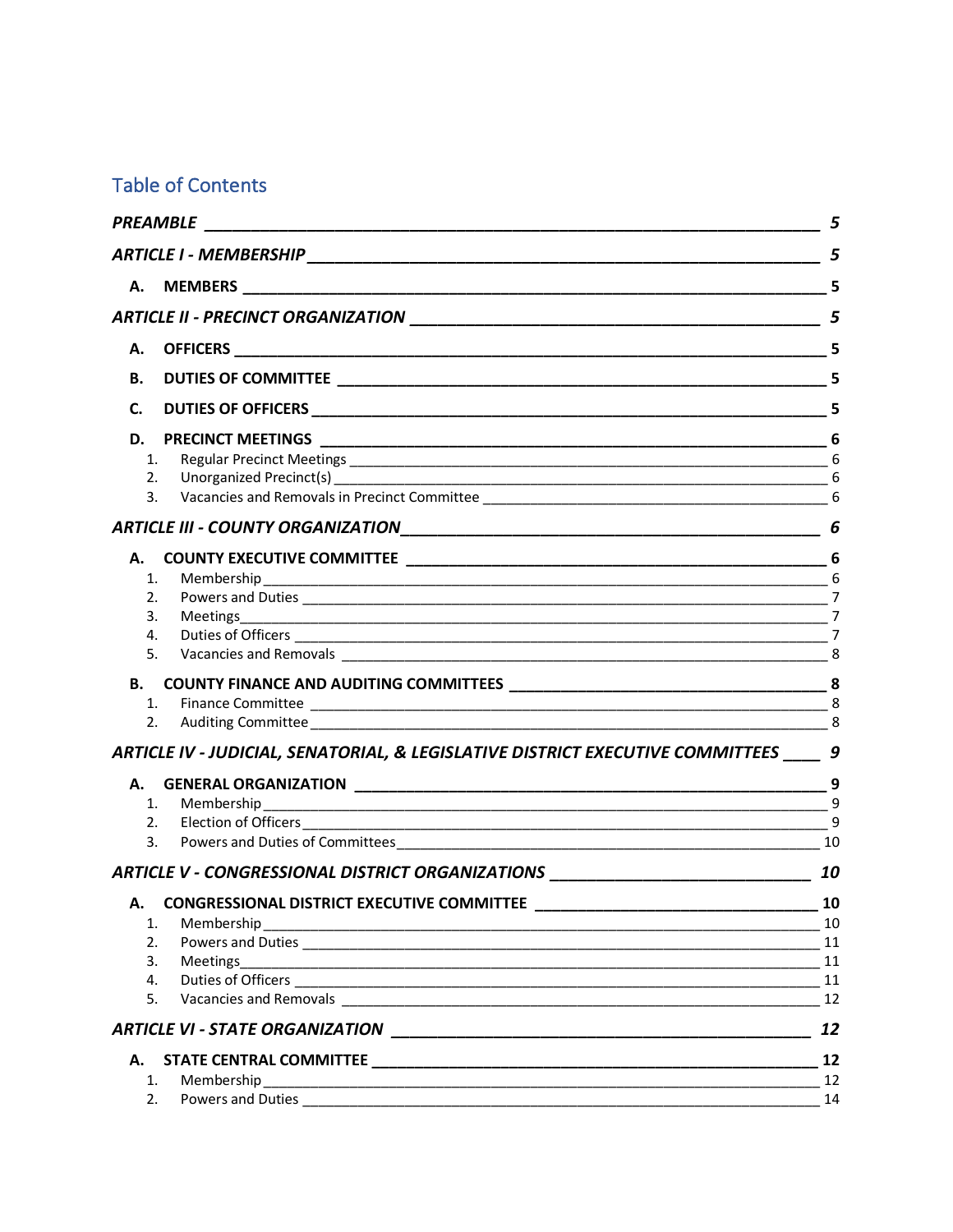# **Table of Contents**

|           |                                                                                                                                                                                                                                | 5  |
|-----------|--------------------------------------------------------------------------------------------------------------------------------------------------------------------------------------------------------------------------------|----|
|           |                                                                                                                                                                                                                                | 5  |
| А.        |                                                                                                                                                                                                                                | 5  |
|           |                                                                                                                                                                                                                                | 5  |
| А.        |                                                                                                                                                                                                                                | 5  |
| <b>B.</b> |                                                                                                                                                                                                                                | 5  |
| C.        |                                                                                                                                                                                                                                | 5  |
| D.        | <b>PRECINCT MEETINGS</b>                                                                                                                                                                                                       |    |
| 1.        |                                                                                                                                                                                                                                |    |
| 2.        |                                                                                                                                                                                                                                |    |
| 3.        |                                                                                                                                                                                                                                |    |
|           |                                                                                                                                                                                                                                | 6  |
| А.        |                                                                                                                                                                                                                                |    |
| 1.        |                                                                                                                                                                                                                                |    |
| 2.        |                                                                                                                                                                                                                                |    |
| 3.        |                                                                                                                                                                                                                                |    |
| 4.        |                                                                                                                                                                                                                                |    |
| 5.        |                                                                                                                                                                                                                                |    |
| В.        |                                                                                                                                                                                                                                |    |
| 1.        |                                                                                                                                                                                                                                |    |
| 2.        |                                                                                                                                                                                                                                | 8  |
|           | ARTICLE IV - JUDICIAL, SENATORIAL, & LEGISLATIVE DISTRICT EXECUTIVE COMMITTEES                                                                                                                                                 | 9  |
| А.        |                                                                                                                                                                                                                                |    |
|           | 1.<br>Membership                                                                                                                                                                                                               |    |
|           |                                                                                                                                                                                                                                | 9  |
|           |                                                                                                                                                                                                                                |    |
|           | ARTICLE V - CONGRESSIONAL DISTRICT ORGANIZATIONS _______________________________                                                                                                                                               | 10 |
| А.        | <b>CONGRESSIONAL DISTRICT EXECUTIVE COMMITTEE</b>                                                                                                                                                                              | 10 |
| 1.        |                                                                                                                                                                                                                                | 10 |
| 2.        |                                                                                                                                                                                                                                | 11 |
| 3.        | Meetings                                                                                                                                                                                                                       | 11 |
| 4.        |                                                                                                                                                                                                                                | 11 |
| 5.        | Vacancies and Removals and Secretary and Secretary and Secretary and Secretary and Secretary and Secretary and Secretary and Secretary and Secretary and Secretary and Secretary and Secretary and Secretary and Secretary and | 12 |
|           |                                                                                                                                                                                                                                | 12 |
| А.        |                                                                                                                                                                                                                                | 12 |
| 1.        | Membership                                                                                                                                                                                                                     | 12 |
| 2.        |                                                                                                                                                                                                                                | 14 |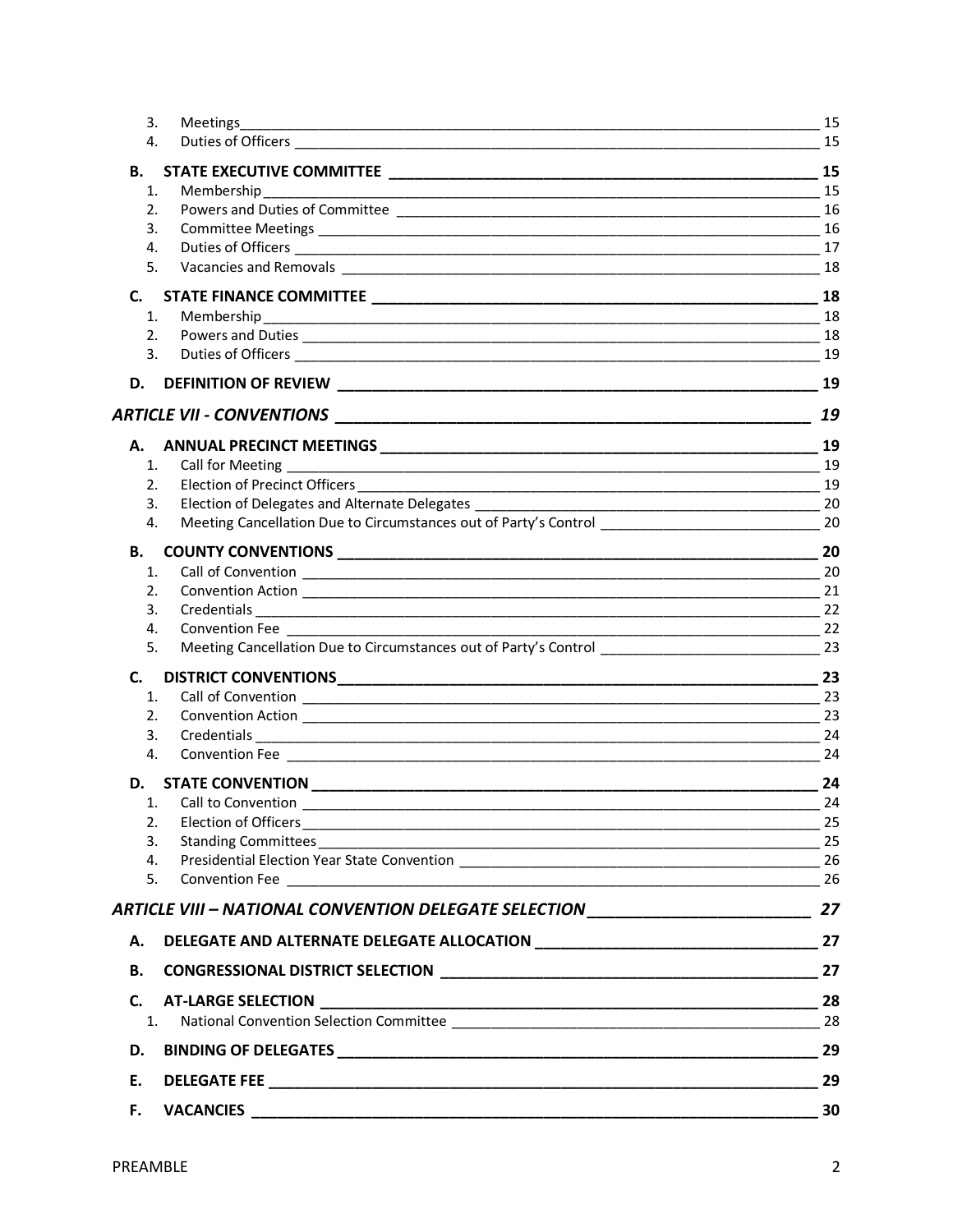| 3. | Meetings                                                                                                                                                                                                                             | 15 |
|----|--------------------------------------------------------------------------------------------------------------------------------------------------------------------------------------------------------------------------------------|----|
| 4. |                                                                                                                                                                                                                                      | 15 |
| В. |                                                                                                                                                                                                                                      | 15 |
| 1. | Membership                                                                                                                                                                                                                           |    |
| 2. |                                                                                                                                                                                                                                      | 16 |
| 3. |                                                                                                                                                                                                                                      | 16 |
| 4. |                                                                                                                                                                                                                                      | 17 |
| 5. |                                                                                                                                                                                                                                      | 18 |
| C. |                                                                                                                                                                                                                                      | 18 |
| 1. | Membership                                                                                                                                                                                                                           | 18 |
| 2. | Powers and Duties <b>contract to the contract of the contract of the contract of the contract of the contract of the contract of the contract of the contract of the contract of the contract of the contract of the contract of</b> | 18 |
| 3. |                                                                                                                                                                                                                                      | 19 |
|    |                                                                                                                                                                                                                                      | 19 |
|    |                                                                                                                                                                                                                                      | 19 |
| А. |                                                                                                                                                                                                                                      | 19 |
| 1. |                                                                                                                                                                                                                                      | 19 |
| 2. |                                                                                                                                                                                                                                      | 19 |
| 3. |                                                                                                                                                                                                                                      | 20 |
| 4. | Meeting Cancellation Due to Circumstances out of Party's Control                                                                                                                                                                     | 20 |
| В. |                                                                                                                                                                                                                                      | 20 |
| 1. |                                                                                                                                                                                                                                      | 20 |
| 2. |                                                                                                                                                                                                                                      | 21 |
| 3. |                                                                                                                                                                                                                                      | 22 |
| 4. |                                                                                                                                                                                                                                      | 22 |
| 5. | Meeting Cancellation Due to Circumstances out of Party's Control ___________________________________23                                                                                                                               |    |
| C. |                                                                                                                                                                                                                                      | 23 |
| 1. | Call of Convention <b>contained a control of Convention Call of Convention</b>                                                                                                                                                       | 23 |
| 2. |                                                                                                                                                                                                                                      | 23 |
| 3. |                                                                                                                                                                                                                                      | 24 |
| 4. |                                                                                                                                                                                                                                      | 24 |
|    | D. STATE CONVENTION                                                                                                                                                                                                                  | 24 |
| 1. | Call to Convention                                                                                                                                                                                                                   | 24 |
| 2. |                                                                                                                                                                                                                                      | 25 |
| 3. |                                                                                                                                                                                                                                      | 25 |
| 4. |                                                                                                                                                                                                                                      | 26 |
| 5. |                                                                                                                                                                                                                                      |    |
|    | ARTICLE VIII - NATIONAL CONVENTION DELEGATE SELECTION ___________________________ 27                                                                                                                                                 |    |
| А. |                                                                                                                                                                                                                                      |    |
| В. |                                                                                                                                                                                                                                      |    |
| C. |                                                                                                                                                                                                                                      |    |
| 1. |                                                                                                                                                                                                                                      |    |
| D. |                                                                                                                                                                                                                                      | 29 |
| Ε. |                                                                                                                                                                                                                                      |    |
| F. | <b>VACANCIES</b>                                                                                                                                                                                                                     | 30 |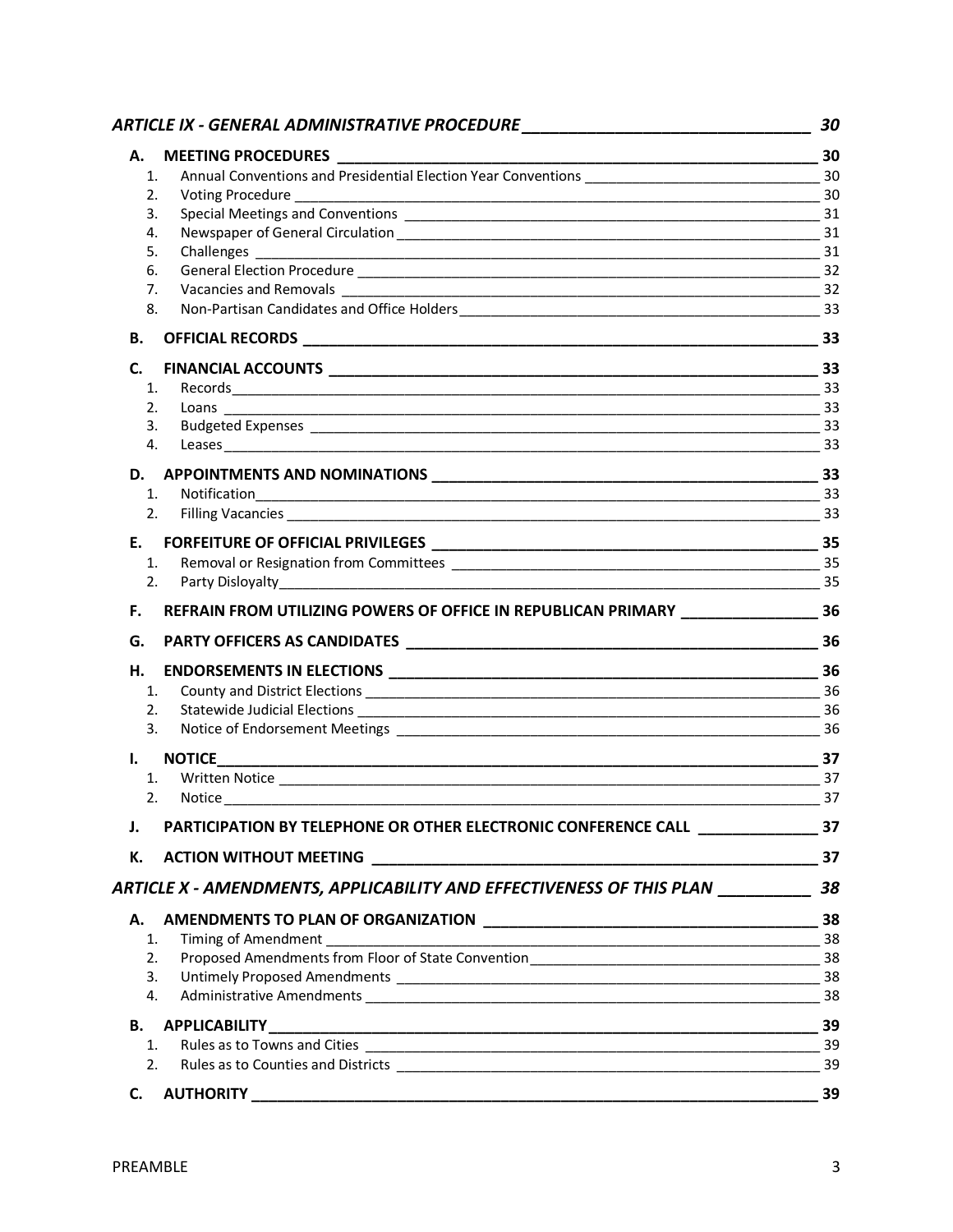|              | ARTICLE IX - GENERAL ADMINISTRATIVE PROCEDURE __________________________________     | 30               |
|--------------|--------------------------------------------------------------------------------------|------------------|
| А.           |                                                                                      | $\frac{1}{2}$ 30 |
| 1.           |                                                                                      |                  |
| 2.           |                                                                                      |                  |
| 3.           |                                                                                      |                  |
| 4.           |                                                                                      |                  |
| 5.           |                                                                                      |                  |
| 6.           |                                                                                      |                  |
| 7.           |                                                                                      |                  |
| 8.           |                                                                                      |                  |
| <b>B.</b>    |                                                                                      |                  |
| C.           |                                                                                      |                  |
| 1.           |                                                                                      |                  |
| 2.           |                                                                                      |                  |
| 3.           |                                                                                      |                  |
| 4.           |                                                                                      |                  |
|              |                                                                                      |                  |
| 1.           | Notification                                                                         |                  |
| 2.           |                                                                                      |                  |
| E.           |                                                                                      |                  |
| 1.           |                                                                                      |                  |
| 2.           |                                                                                      | 35               |
| F.           | REFRAIN FROM UTILIZING POWERS OF OFFICE IN REPUBLICAN PRIMARY ___________________ 36 |                  |
| G.           |                                                                                      |                  |
| Н.           |                                                                                      |                  |
| 1.           |                                                                                      |                  |
| 2.           |                                                                                      | 36               |
| 3.           |                                                                                      |                  |
| $\mathbf{L}$ |                                                                                      |                  |
| 1.           |                                                                                      |                  |
| 2.           | 37                                                                                   |                  |
| J.           | PARTICIPATION BY TELEPHONE OR OTHER ELECTRONIC CONFERENCE CALL _________________ 37  |                  |
| К.           |                                                                                      |                  |
|              | ARTICLE X - AMENDMENTS, APPLICABILITY AND EFFECTIVENESS OF THIS PLAN ____________ 38 |                  |
| А.           |                                                                                      |                  |
| 1.           |                                                                                      |                  |
| 2.           |                                                                                      |                  |
| 3.           |                                                                                      |                  |
| 4.           |                                                                                      |                  |
|              |                                                                                      |                  |
|              |                                                                                      |                  |
| 2.           |                                                                                      |                  |
| C.           |                                                                                      |                  |
|              |                                                                                      |                  |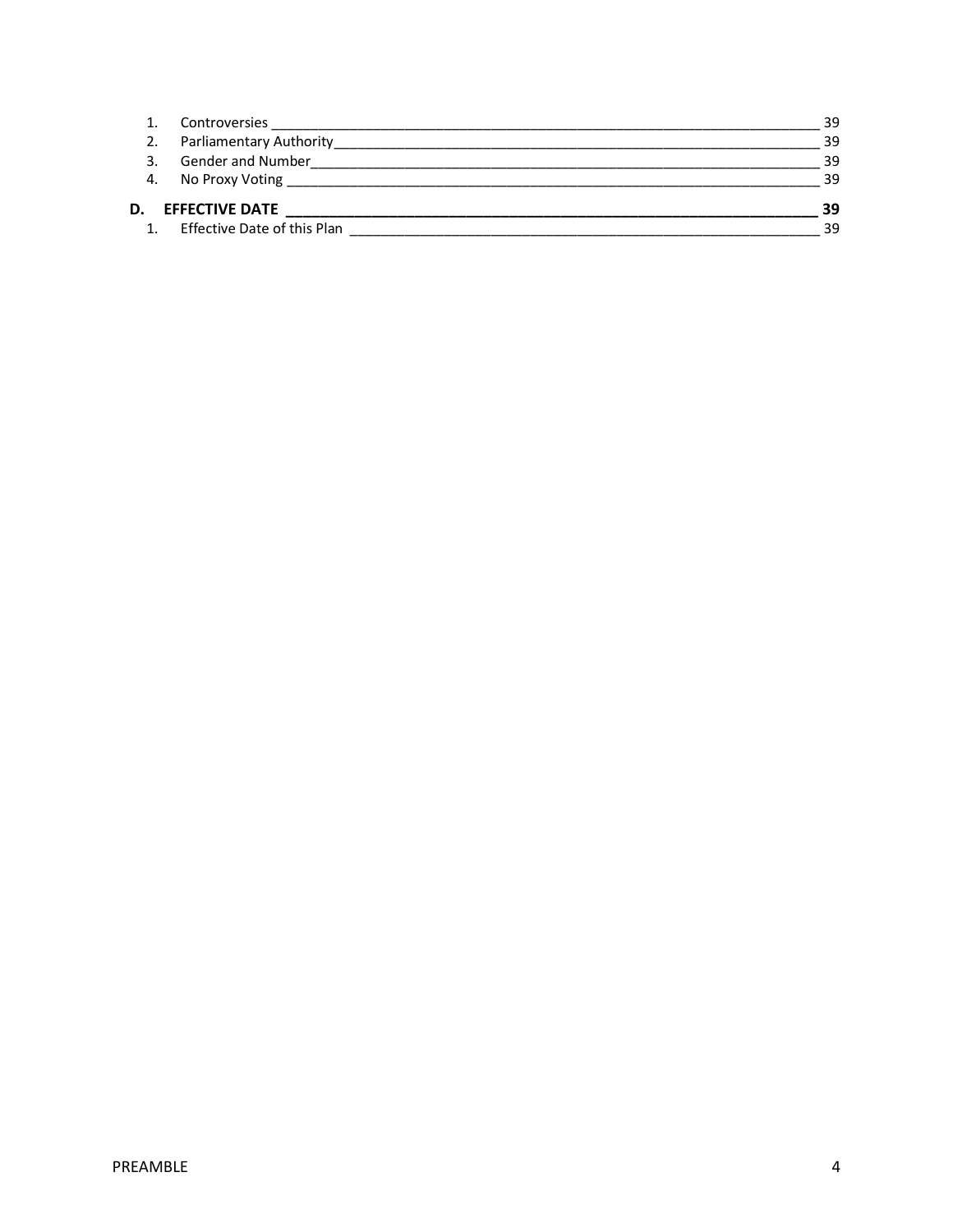|    | Controversies                      | 39 |
|----|------------------------------------|----|
|    | <b>Parliamentary Authority</b>     | 39 |
|    | <b>Gender and Number</b>           | 39 |
| 4. | No Proxy Voting                    | 39 |
| D. | <b>EFFECTIVE DATE</b>              | 39 |
|    | <b>Effective Date of this Plan</b> | 39 |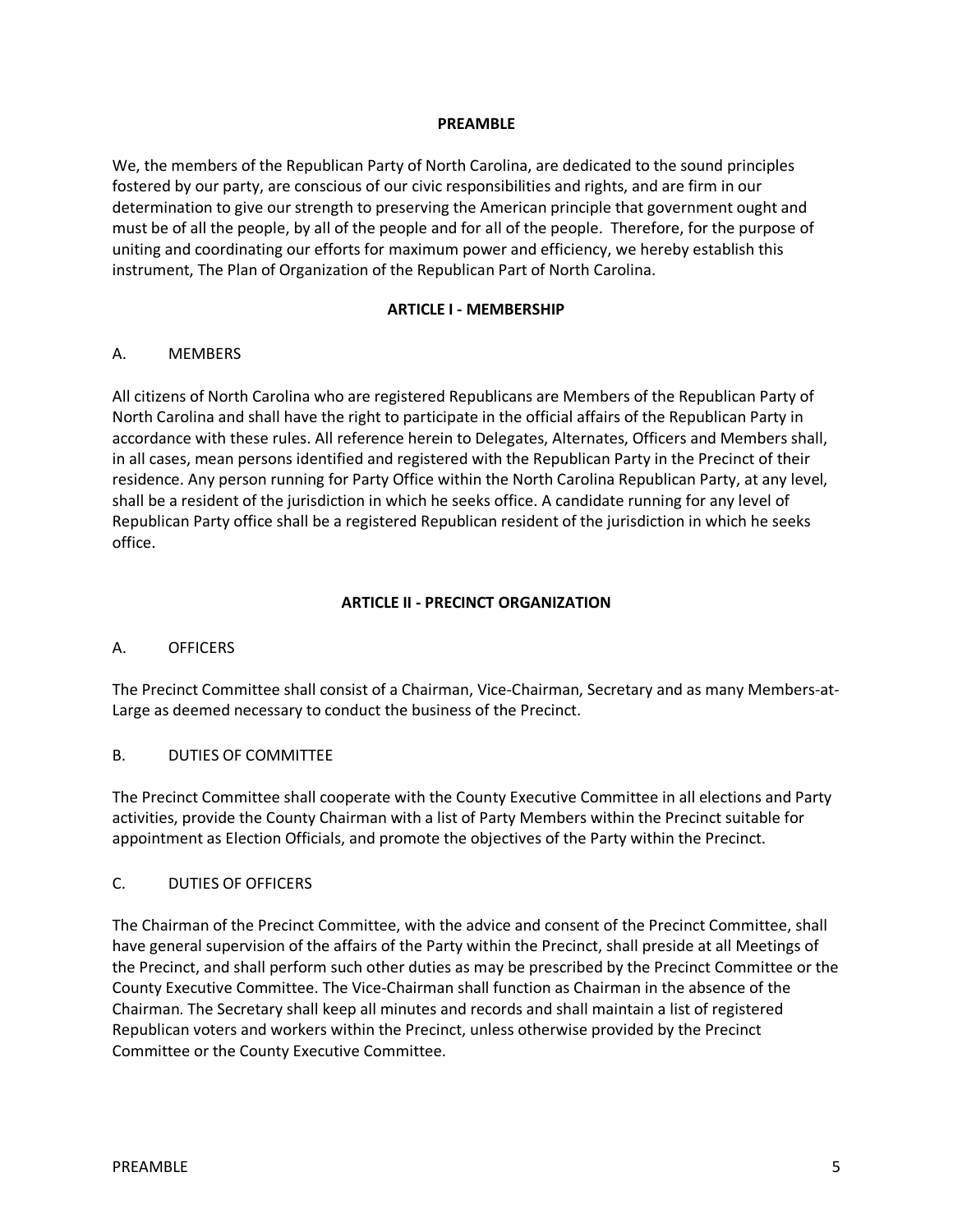#### **PREAMBLE**

We, the members of the Republican Party of North Carolina, are dedicated to the sound principles fostered by our party, are conscious of our civic responsibilities and rights, and are firm in our determination to give our strength to preserving the American principle that government ought and must be of all the people, by all of the people and for all of the people. Therefore, for the purpose of uniting and coordinating our efforts for maximum power and efficiency, we hereby establish this instrument, The Plan of Organization of the Republican Part of North Carolina.

#### **ARTICLE I - MEMBERSHIP**

#### A. MEMBERS

All citizens of North Carolina who are registered Republicans are Members of the Republican Party of North Carolina and shall have the right to participate in the official affairs of the Republican Party in accordance with these rules. All reference herein to Delegates, Alternates, Officers and Members shall, in all cases, mean persons identified and registered with the Republican Party in the Precinct of their residence. Any person running for Party Office within the North Carolina Republican Party, at any level, shall be a resident of the jurisdiction in which he seeks office. A candidate running for any level of Republican Party office shall be a registered Republican resident of the jurisdiction in which he seeks office.

### **ARTICLE II - PRECINCT ORGANIZATION**

#### A. OFFICERS

The Precinct Committee shall consist of a Chairman, Vice-Chairman, Secretary and as many Members-at-Large as deemed necessary to conduct the business of the Precinct.

#### B. DUTIES OF COMMITTEE

The Precinct Committee shall cooperate with the County Executive Committee in all elections and Party activities, provide the County Chairman with a list of Party Members within the Precinct suitable for appointment as Election Officials, and promote the objectives of the Party within the Precinct.

#### C. DUTIES OF OFFICERS

The Chairman of the Precinct Committee, with the advice and consent of the Precinct Committee, shall have general supervision of the affairs of the Party within the Precinct, shall preside at all Meetings of the Precinct, and shall perform such other duties as may be prescribed by the Precinct Committee or the County Executive Committee. The Vice-Chairman shall function as Chairman in the absence of the Chairman. The Secretary shall keep all minutes and records and shall maintain a list of registered Republican voters and workers within the Precinct, unless otherwise provided by the Precinct Committee or the County Executive Committee.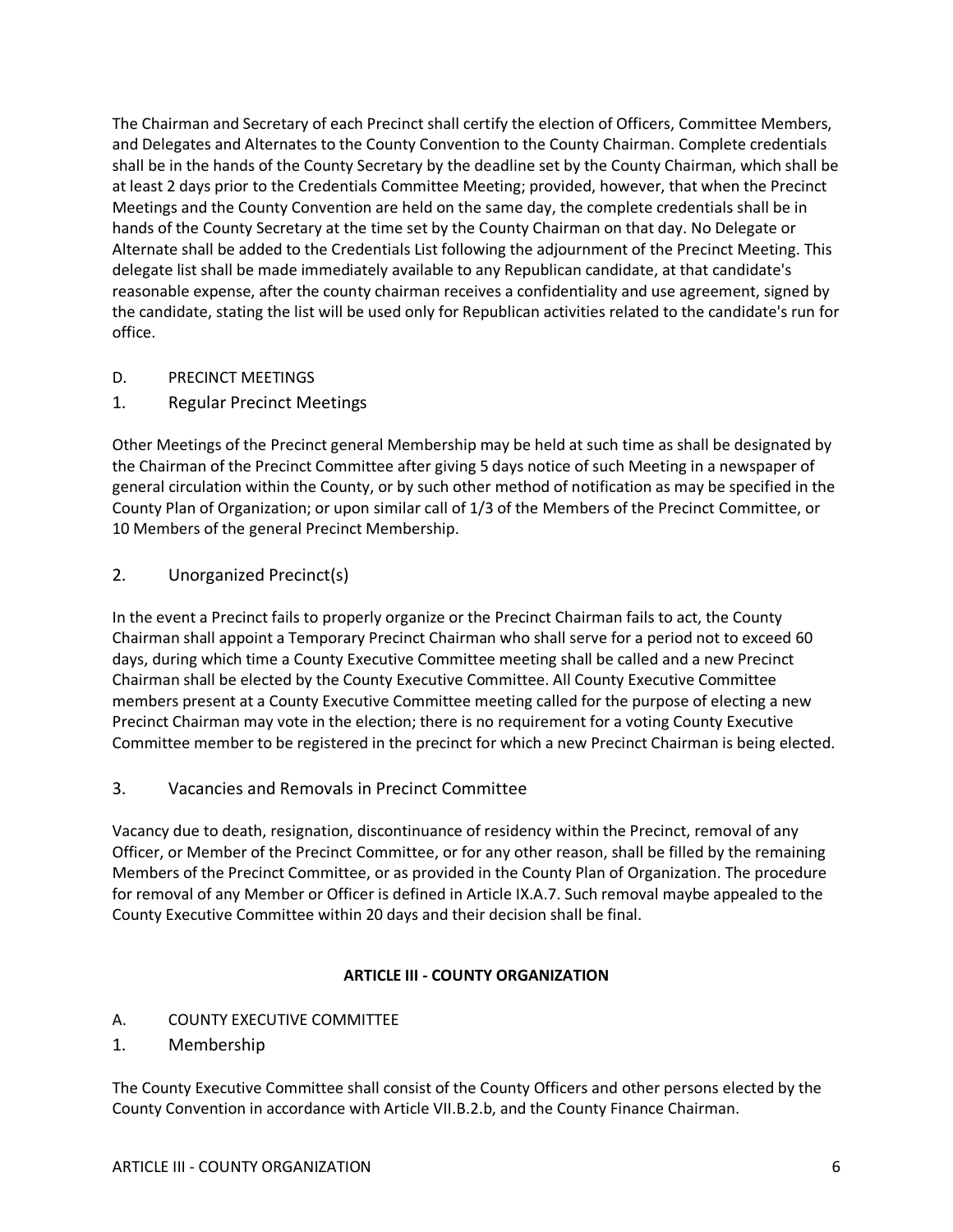The Chairman and Secretary of each Precinct shall certify the election of Officers, Committee Members, and Delegates and Alternates to the County Convention to the County Chairman. Complete credentials shall be in the hands of the County Secretary by the deadline set by the County Chairman, which shall be at least 2 days prior to the Credentials Committee Meeting; provided, however, that when the Precinct Meetings and the County Convention are held on the same day, the complete credentials shall be in hands of the County Secretary at the time set by the County Chairman on that day. No Delegate or Alternate shall be added to the Credentials List following the adjournment of the Precinct Meeting. This delegate list shall be made immediately available to any Republican candidate, at that candidate's reasonable expense, after the county chairman receives a confidentiality and use agreement, signed by the candidate, stating the list will be used only for Republican activities related to the candidate's run for office.

- D. PRECINCT MEETINGS
- 1. Regular Precinct Meetings

Other Meetings of the Precinct general Membership may be held at such time as shall be designated by the Chairman of the Precinct Committee after giving 5 days notice of such Meeting in a newspaper of general circulation within the County, or by such other method of notification as may be specified in the County Plan of Organization; or upon similar call of 1/3 of the Members of the Precinct Committee, or 10 Members of the general Precinct Membership.

2. Unorganized Precinct(s)

In the event a Precinct fails to properly organize or the Precinct Chairman fails to act, the County Chairman shall appoint a Temporary Precinct Chairman who shall serve for a period not to exceed 60 days, during which time a County Executive Committee meeting shall be called and a new Precinct Chairman shall be elected by the County Executive Committee. All County Executive Committee members present at a County Executive Committee meeting called for the purpose of electing a new Precinct Chairman may vote in the election; there is no requirement for a voting County Executive Committee member to be registered in the precinct for which a new Precinct Chairman is being elected.

3. Vacancies and Removals in Precinct Committee

Vacancy due to death, resignation, discontinuance of residency within the Precinct, removal of any Officer, or Member of the Precinct Committee, or for any other reason, shall be filled by the remaining Members of the Precinct Committee, or as provided in the County Plan of Organization. The procedure for removal of any Member or Officer is defined in Article IX.A.7. Such removal maybe appealed to the County Executive Committee within 20 days and their decision shall be final.

#### **ARTICLE III - COUNTY ORGANIZATION**

- A. COUNTY EXECUTIVE COMMITTEE
- 1. Membership

The County Executive Committee shall consist of the County Officers and other persons elected by the County Convention in accordance with Article VII.B.2.b, and the County Finance Chairman.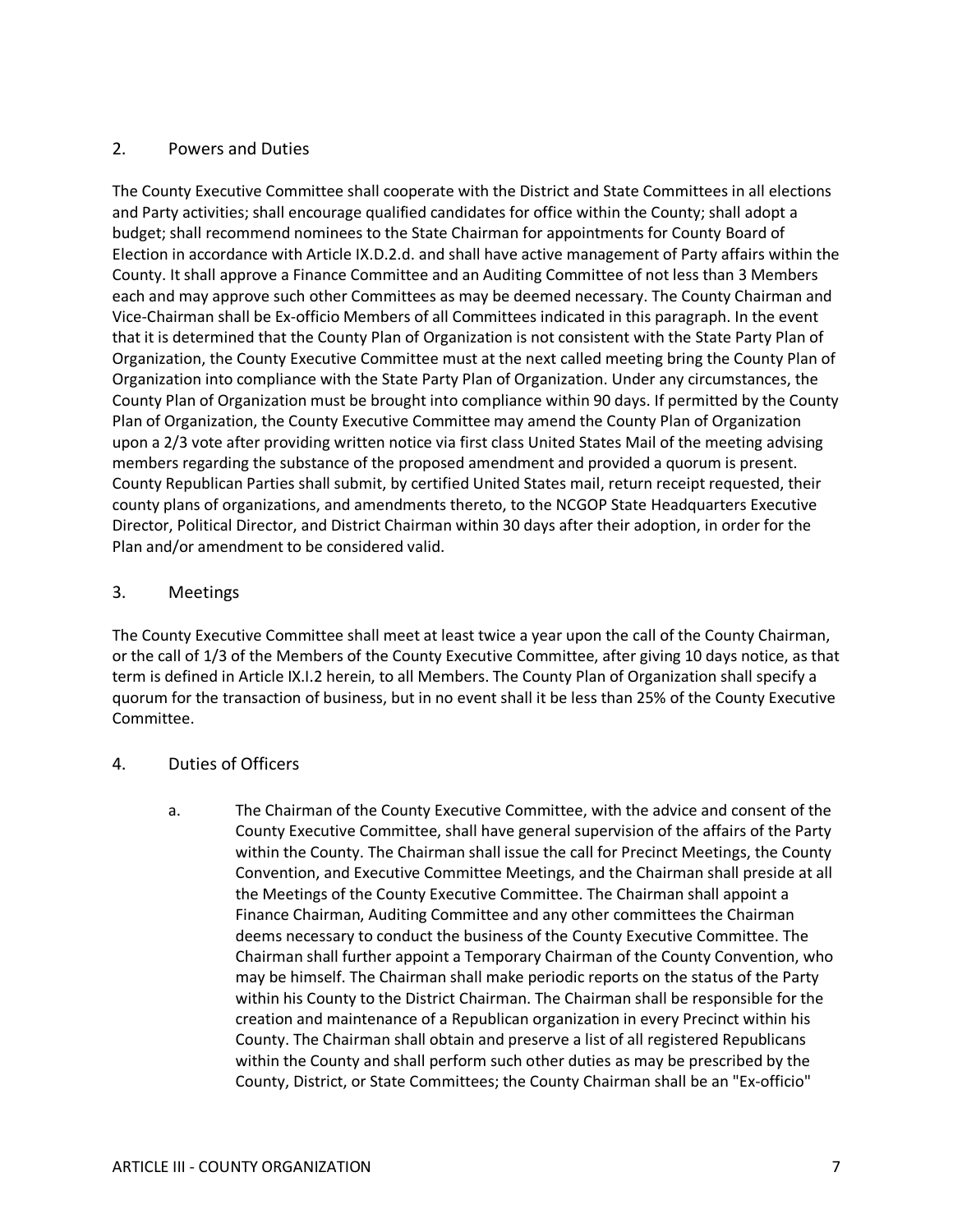### 2. Powers and Duties

The County Executive Committee shall cooperate with the District and State Committees in all elections and Party activities; shall encourage qualified candidates for office within the County; shall adopt a budget; shall recommend nominees to the State Chairman for appointments for County Board of Election in accordance with Article IX.D.2.d. and shall have active management of Party affairs within the County. It shall approve a Finance Committee and an Auditing Committee of not less than 3 Members each and may approve such other Committees as may be deemed necessary. The County Chairman and Vice-Chairman shall be Ex-officio Members of all Committees indicated in this paragraph. In the event that it is determined that the County Plan of Organization is not consistent with the State Party Plan of Organization, the County Executive Committee must at the next called meeting bring the County Plan of Organization into compliance with the State Party Plan of Organization. Under any circumstances, the County Plan of Organization must be brought into compliance within 90 days. If permitted by the County Plan of Organization, the County Executive Committee may amend the County Plan of Organization upon a 2/3 vote after providing written notice via first class United States Mail of the meeting advising members regarding the substance of the proposed amendment and provided a quorum is present. County Republican Parties shall submit, by certified United States mail, return receipt requested, their county plans of organizations, and amendments thereto, to the NCGOP State Headquarters Executive Director, Political Director, and District Chairman within 30 days after their adoption, in order for the Plan and/or amendment to be considered valid.

#### 3. Meetings

The County Executive Committee shall meet at least twice a year upon the call of the County Chairman, or the call of 1/3 of the Members of the County Executive Committee, after giving 10 days notice, as that term is defined in Article IX.I.2 herein, to all Members. The County Plan of Organization shall specify a quorum for the transaction of business, but in no event shall it be less than 25% of the County Executive Committee.

#### 4. Duties of Officers

a. The Chairman of the County Executive Committee, with the advice and consent of the County Executive Committee, shall have general supervision of the affairs of the Party within the County. The Chairman shall issue the call for Precinct Meetings, the County Convention, and Executive Committee Meetings, and the Chairman shall preside at all the Meetings of the County Executive Committee. The Chairman shall appoint a Finance Chairman, Auditing Committee and any other committees the Chairman deems necessary to conduct the business of the County Executive Committee. The Chairman shall further appoint a Temporary Chairman of the County Convention, who may be himself. The Chairman shall make periodic reports on the status of the Party within his County to the District Chairman. The Chairman shall be responsible for the creation and maintenance of a Republican organization in every Precinct within his County. The Chairman shall obtain and preserve a list of all registered Republicans within the County and shall perform such other duties as may be prescribed by the County, District, or State Committees; the County Chairman shall be an "Ex-officio"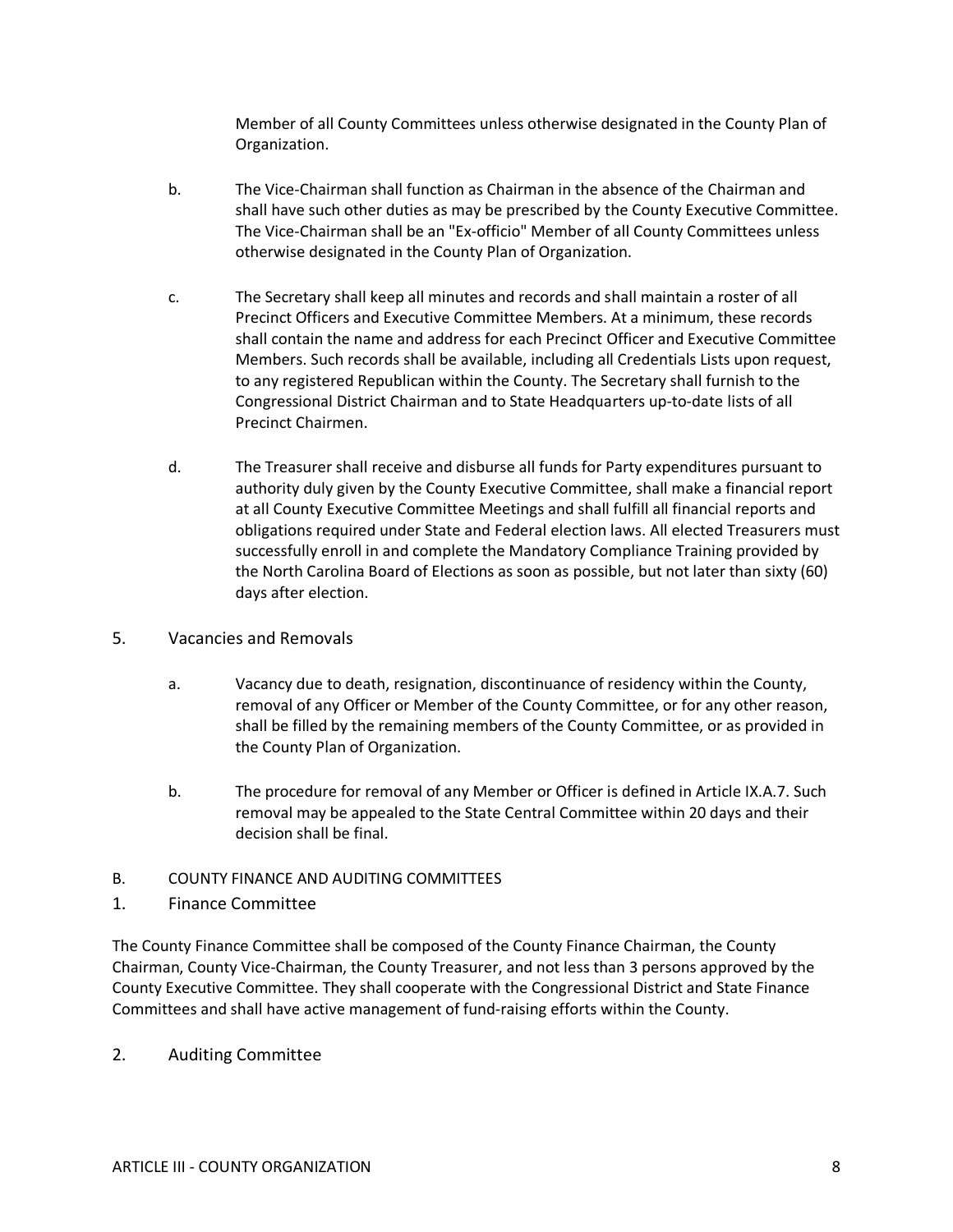Member of all County Committees unless otherwise designated in the County Plan of Organization.

- b. The Vice-Chairman shall function as Chairman in the absence of the Chairman and shall have such other duties as may be prescribed by the County Executive Committee. The Vice-Chairman shall be an "Ex-officio" Member of all County Committees unless otherwise designated in the County Plan of Organization.
- c. The Secretary shall keep all minutes and records and shall maintain a roster of all Precinct Officers and Executive Committee Members. At a minimum, these records shall contain the name and address for each Precinct Officer and Executive Committee Members. Such records shall be available, including all Credentials Lists upon request, to any registered Republican within the County. The Secretary shall furnish to the Congressional District Chairman and to State Headquarters up-to-date lists of all Precinct Chairmen.
- d. The Treasurer shall receive and disburse all funds for Party expenditures pursuant to authority duly given by the County Executive Committee, shall make a financial report at all County Executive Committee Meetings and shall fulfill all financial reports and obligations required under State and Federal election laws. All elected Treasurers must successfully enroll in and complete the Mandatory Compliance Training provided by the North Carolina Board of Elections as soon as possible, but not later than sixty (60) days after election.
- 5. Vacancies and Removals
	- a. Vacancy due to death, resignation, discontinuance of residency within the County, removal of any Officer or Member of the County Committee, or for any other reason, shall be filled by the remaining members of the County Committee, or as provided in the County Plan of Organization.
	- b. The procedure for removal of any Member or Officer is defined in Article IX.A.7. Such removal may be appealed to the State Central Committee within 20 days and their decision shall be final.
- B. COUNTY FINANCE AND AUDITING COMMITTEES
- 1. Finance Committee

The County Finance Committee shall be composed of the County Finance Chairman, the County Chairman, County Vice-Chairman, the County Treasurer, and not less than 3 persons approved by the County Executive Committee. They shall cooperate with the Congressional District and State Finance Committees and shall have active management of fund-raising efforts within the County.

2. Auditing Committee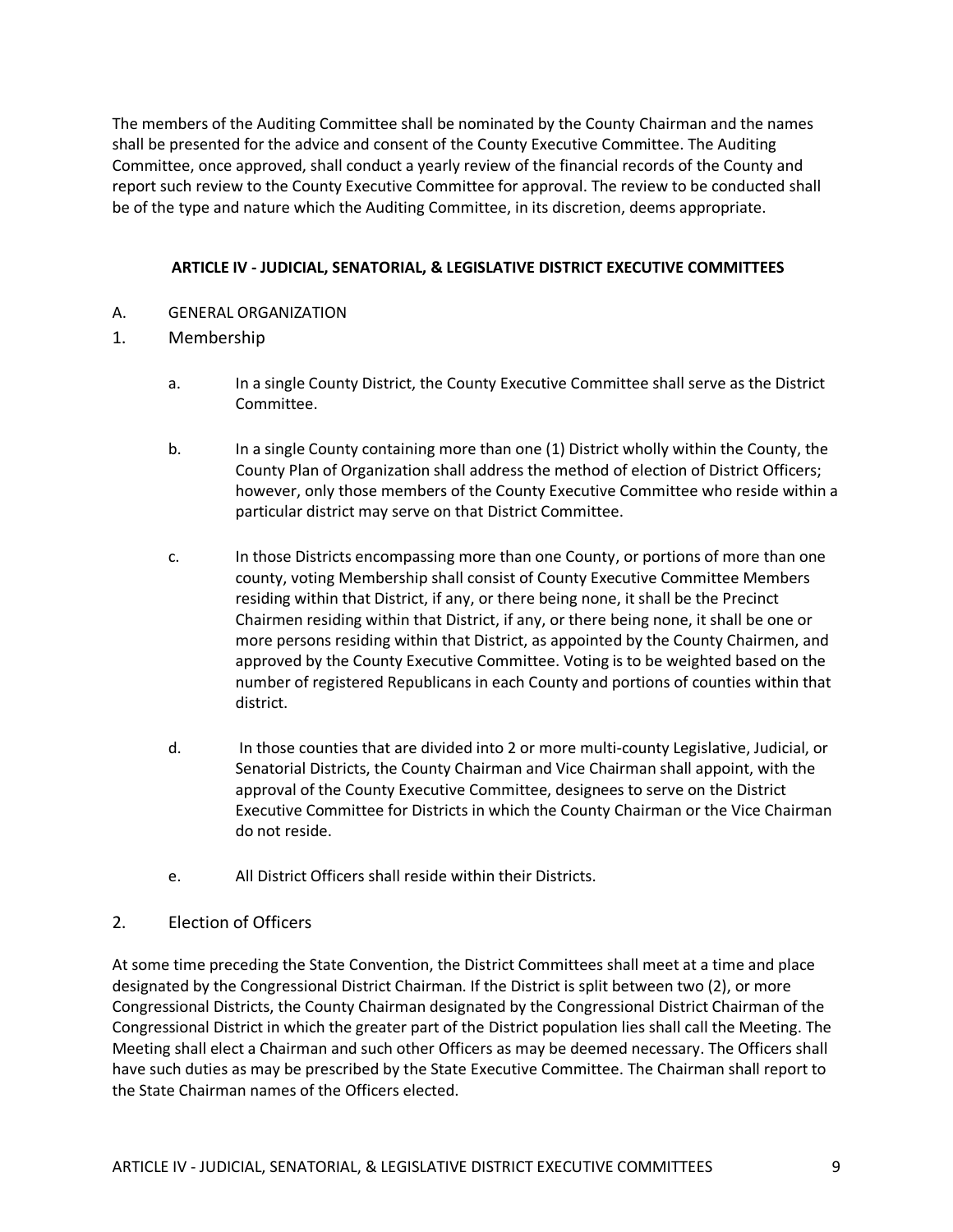The members of the Auditing Committee shall be nominated by the County Chairman and the names shall be presented for the advice and consent of the County Executive Committee. The Auditing Committee, once approved, shall conduct a yearly review of the financial records of the County and report such review to the County Executive Committee for approval. The review to be conducted shall be of the type and nature which the Auditing Committee, in its discretion, deems appropriate.

#### **ARTICLE IV - JUDICIAL, SENATORIAL, & LEGISLATIVE DISTRICT EXECUTIVE COMMITTEES**

- A. GENERAL ORGANIZATION
- 1. Membership
	- a. In a single County District, the County Executive Committee shall serve as the District Committee.
	- b. In a single County containing more than one (1) District wholly within the County, the County Plan of Organization shall address the method of election of District Officers; however, only those members of the County Executive Committee who reside within a particular district may serve on that District Committee.
	- c. In those Districts encompassing more than one County, or portions of more than one county, voting Membership shall consist of County Executive Committee Members residing within that District, if any, or there being none, it shall be the Precinct Chairmen residing within that District, if any, or there being none, it shall be one or more persons residing within that District, as appointed by the County Chairmen, and approved by the County Executive Committee. Voting is to be weighted based on the number of registered Republicans in each County and portions of counties within that district.
	- d. In those counties that are divided into 2 or more multi-county Legislative, Judicial, or Senatorial Districts, the County Chairman and Vice Chairman shall appoint, with the approval of the County Executive Committee, designees to serve on the District Executive Committee for Districts in which the County Chairman or the Vice Chairman do not reside.
	- e. All District Officers shall reside within their Districts.

#### 2. Election of Officers

At some time preceding the State Convention, the District Committees shall meet at a time and place designated by the Congressional District Chairman. If the District is split between two (2), or more Congressional Districts, the County Chairman designated by the Congressional District Chairman of the Congressional District in which the greater part of the District population lies shall call the Meeting. The Meeting shall elect a Chairman and such other Officers as may be deemed necessary. The Officers shall have such duties as may be prescribed by the State Executive Committee. The Chairman shall report to the State Chairman names of the Officers elected.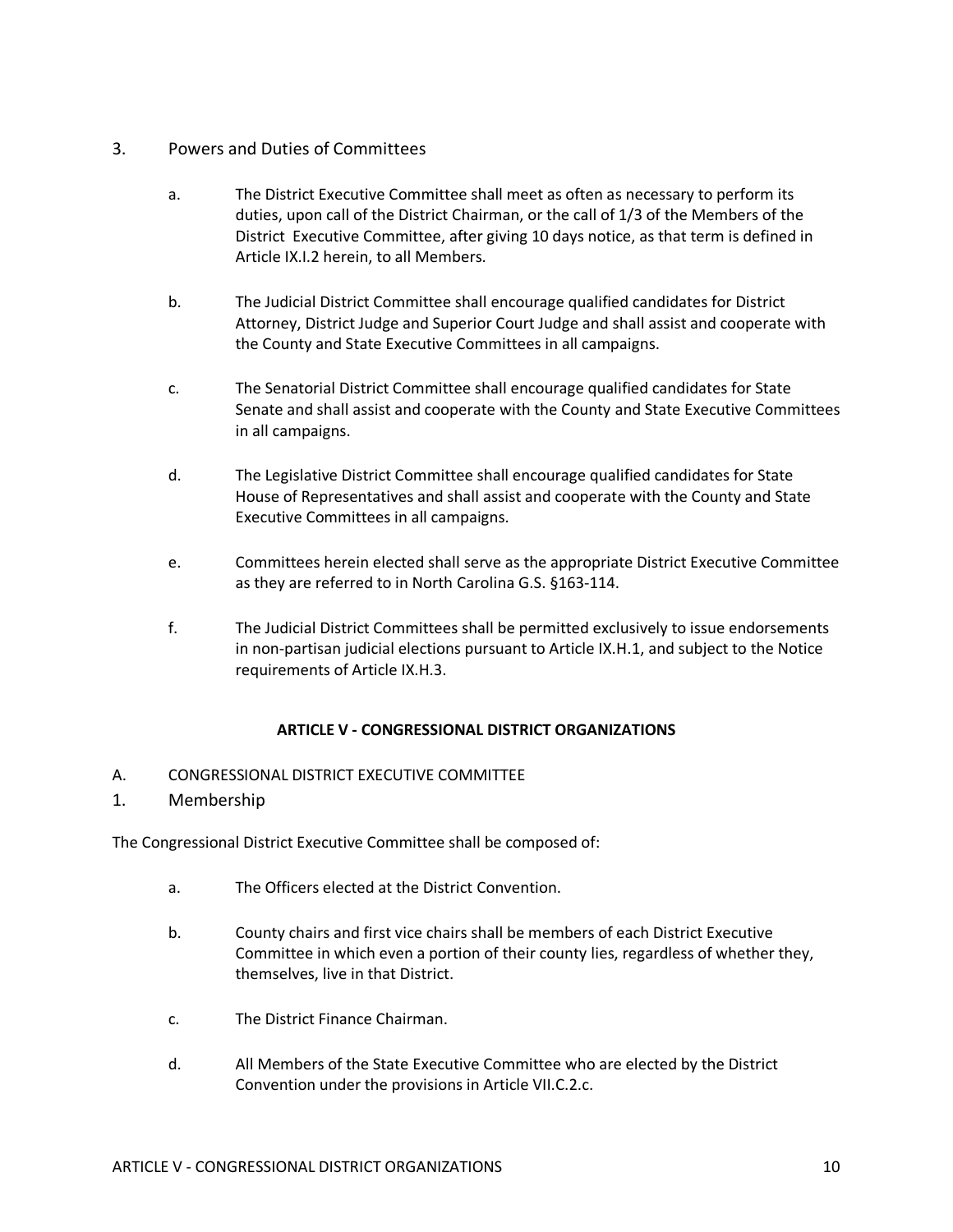### 3. Powers and Duties of Committees

- a. The District Executive Committee shall meet as often as necessary to perform its duties, upon call of the District Chairman, or the call of 1/3 of the Members of the District Executive Committee, after giving 10 days notice, as that term is defined in Article IX.I.2 herein, to all Members.
- b. The Judicial District Committee shall encourage qualified candidates for District Attorney, District Judge and Superior Court Judge and shall assist and cooperate with the County and State Executive Committees in all campaigns.
- c. The Senatorial District Committee shall encourage qualified candidates for State Senate and shall assist and cooperate with the County and State Executive Committees in all campaigns.
- d. The Legislative District Committee shall encourage qualified candidates for State House of Representatives and shall assist and cooperate with the County and State Executive Committees in all campaigns.
- e. Committees herein elected shall serve as the appropriate District Executive Committee as they are referred to in North Carolina G.S. §163-114.
- f. The Judicial District Committees shall be permitted exclusively to issue endorsements in non-partisan judicial elections pursuant to Article IX.H.1, and subject to the Notice requirements of Article IX.H.3.

### **ARTICLE V - CONGRESSIONAL DISTRICT ORGANIZATIONS**

- A. CONGRESSIONAL DISTRICT EXECUTIVE COMMITTEE
- 1. Membership

The Congressional District Executive Committee shall be composed of:

- a. The Officers elected at the District Convention.
- b. County chairs and first vice chairs shall be members of each District Executive Committee in which even a portion of their county lies, regardless of whether they, themselves, live in that District.
- c. The District Finance Chairman.
- d. All Members of the State Executive Committee who are elected by the District Convention under the provisions in Article VII.C.2.c.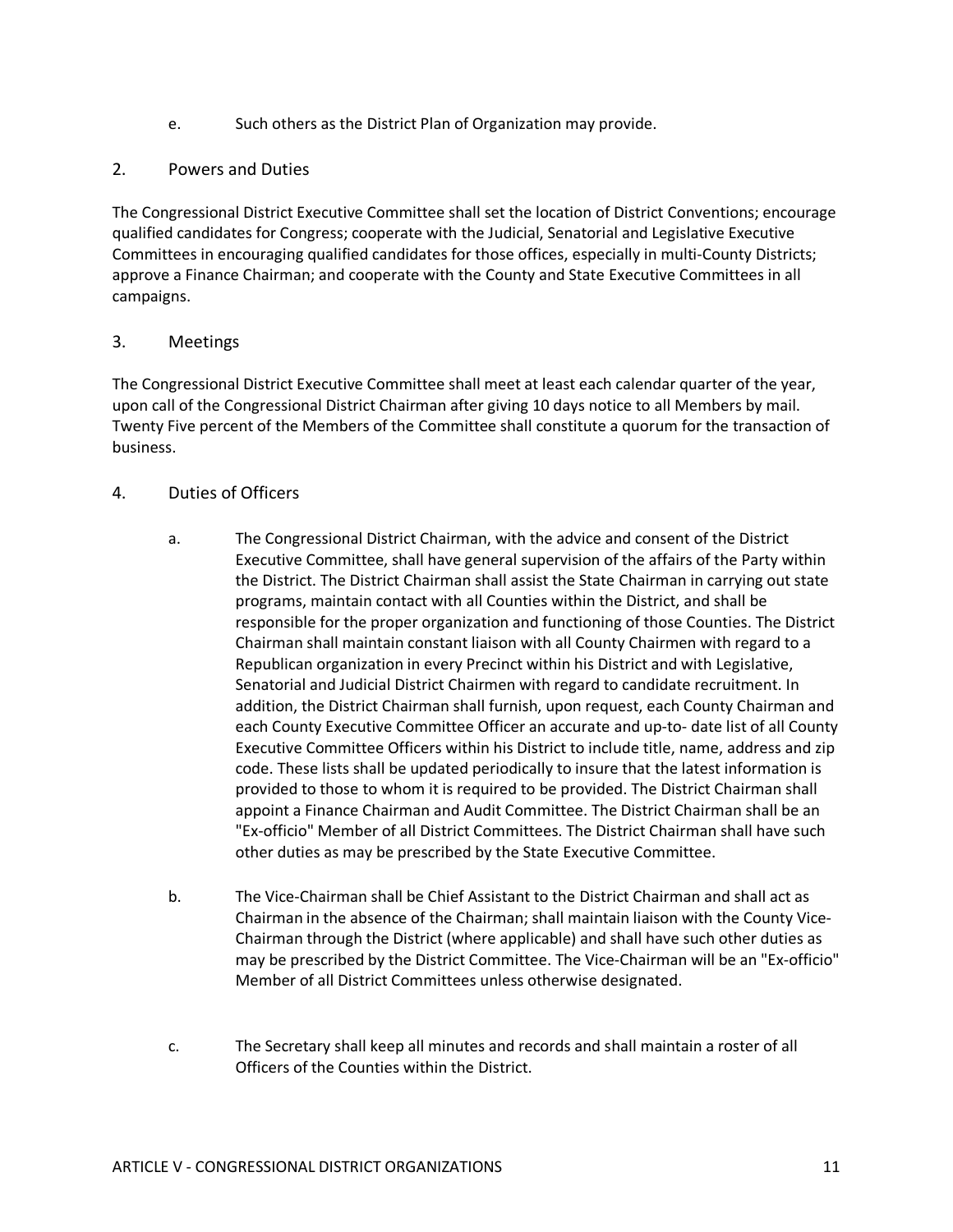- e. Such others as the District Plan of Organization may provide.
- 2. Powers and Duties

The Congressional District Executive Committee shall set the location of District Conventions; encourage qualified candidates for Congress; cooperate with the Judicial, Senatorial and Legislative Executive Committees in encouraging qualified candidates for those offices, especially in multi-County Districts; approve a Finance Chairman; and cooperate with the County and State Executive Committees in all campaigns.

## 3. Meetings

The Congressional District Executive Committee shall meet at least each calendar quarter of the year, upon call of the Congressional District Chairman after giving 10 days notice to all Members by mail. Twenty Five percent of the Members of the Committee shall constitute a quorum for the transaction of business.

## 4. Duties of Officers

- a. The Congressional District Chairman, with the advice and consent of the District Executive Committee, shall have general supervision of the affairs of the Party within the District. The District Chairman shall assist the State Chairman in carrying out state programs, maintain contact with all Counties within the District, and shall be responsible for the proper organization and functioning of those Counties. The District Chairman shall maintain constant liaison with all County Chairmen with regard to a Republican organization in every Precinct within his District and with Legislative, Senatorial and Judicial District Chairmen with regard to candidate recruitment. In addition, the District Chairman shall furnish, upon request, each County Chairman and each County Executive Committee Officer an accurate and up-to- date list of all County Executive Committee Officers within his District to include title, name, address and zip code. These lists shall be updated periodically to insure that the latest information is provided to those to whom it is required to be provided. The District Chairman shall appoint a Finance Chairman and Audit Committee. The District Chairman shall be an "Ex-officio" Member of all District Committees. The District Chairman shall have such other duties as may be prescribed by the State Executive Committee.
- b. The Vice-Chairman shall be Chief Assistant to the District Chairman and shall act as Chairman in the absence of the Chairman; shall maintain liaison with the County Vice-Chairman through the District (where applicable) and shall have such other duties as may be prescribed by the District Committee. The Vice-Chairman will be an "Ex-officio" Member of all District Committees unless otherwise designated.
- c. The Secretary shall keep all minutes and records and shall maintain a roster of all Officers of the Counties within the District.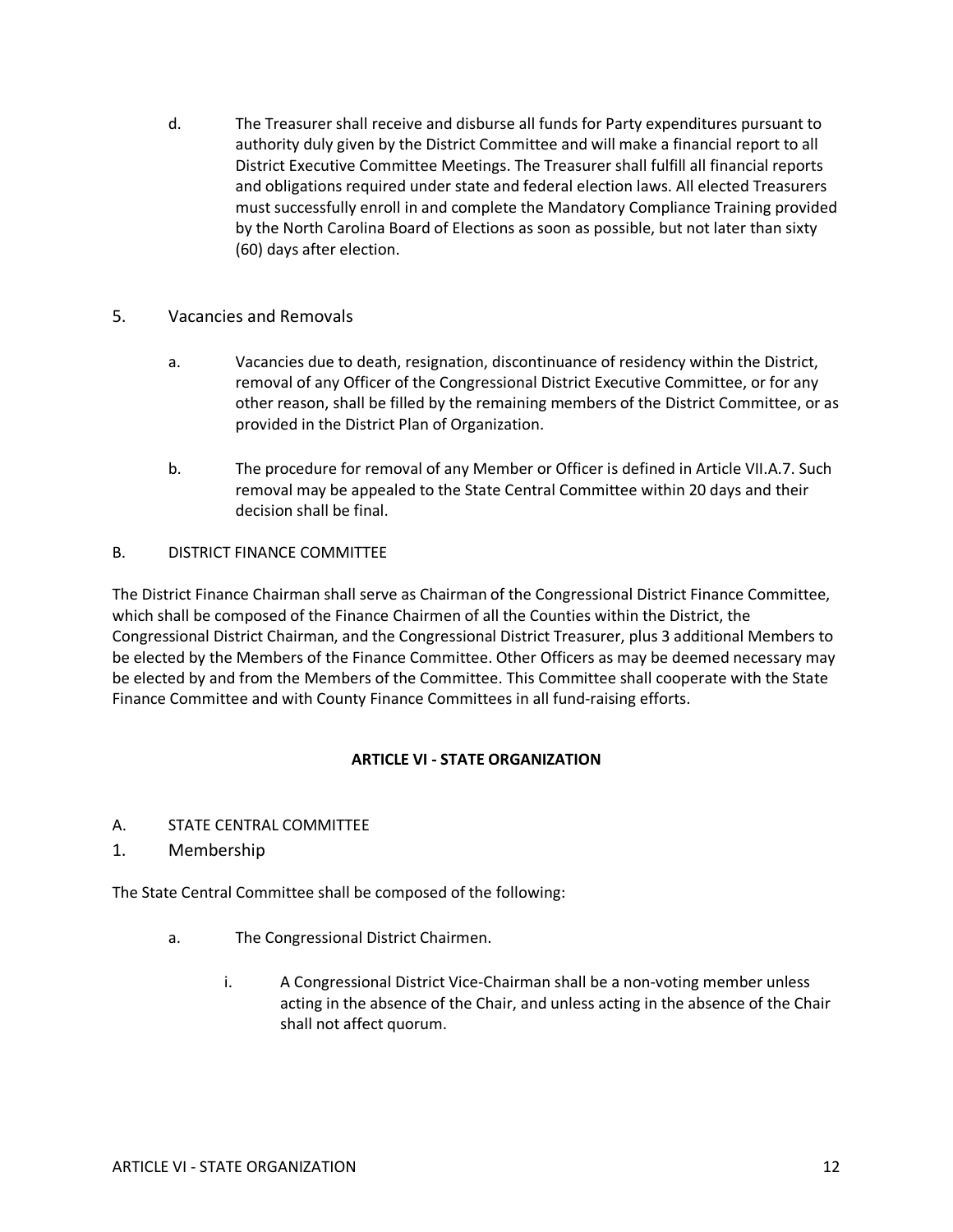- d. The Treasurer shall receive and disburse all funds for Party expenditures pursuant to authority duly given by the District Committee and will make a financial report to all District Executive Committee Meetings. The Treasurer shall fulfill all financial reports and obligations required under state and federal election laws. All elected Treasurers must successfully enroll in and complete the Mandatory Compliance Training provided by the North Carolina Board of Elections as soon as possible, but not later than sixty (60) days after election.
- 5. Vacancies and Removals
	- a. Vacancies due to death, resignation, discontinuance of residency within the District, removal of any Officer of the Congressional District Executive Committee, or for any other reason, shall be filled by the remaining members of the District Committee, or as provided in the District Plan of Organization.
	- b. The procedure for removal of any Member or Officer is defined in Article VII.A.7. Such removal may be appealed to the State Central Committee within 20 days and their decision shall be final.

### B. DISTRICT FINANCE COMMITTEE

The District Finance Chairman shall serve as Chairman of the Congressional District Finance Committee, which shall be composed of the Finance Chairmen of all the Counties within the District, the Congressional District Chairman, and the Congressional District Treasurer, plus 3 additional Members to be elected by the Members of the Finance Committee. Other Officers as may be deemed necessary may be elected by and from the Members of the Committee. This Committee shall cooperate with the State Finance Committee and with County Finance Committees in all fund-raising efforts.

#### **ARTICLE VI - STATE ORGANIZATION**

- A. STATE CENTRAL COMMITTEE
- 1. Membership

The State Central Committee shall be composed of the following:

- a. The Congressional District Chairmen.
	- i. A Congressional District Vice-Chairman shall be a non-voting member unless acting in the absence of the Chair, and unless acting in the absence of the Chair shall not affect quorum.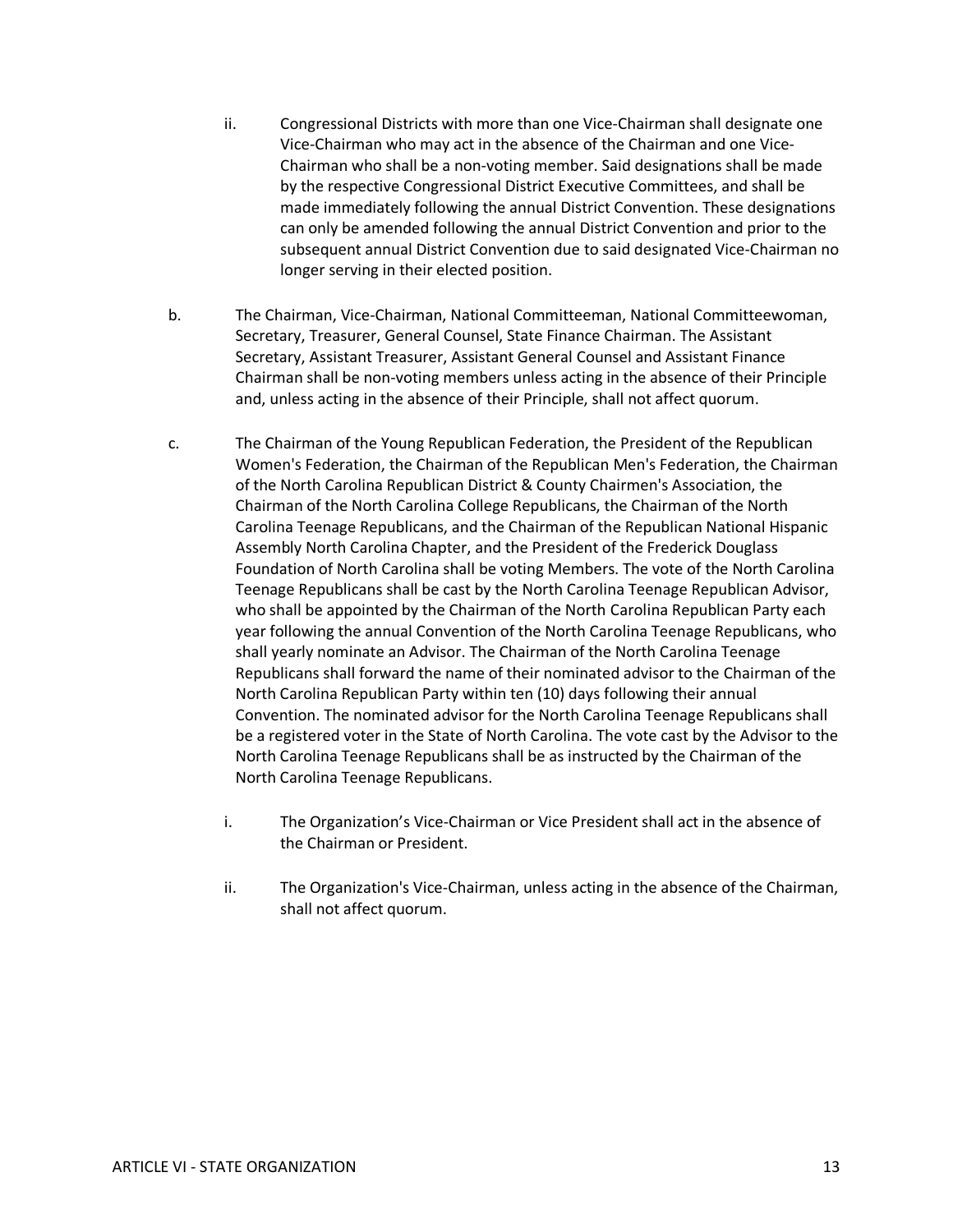- ii. Congressional Districts with more than one Vice-Chairman shall designate one Vice-Chairman who may act in the absence of the Chairman and one Vice-Chairman who shall be a non-voting member. Said designations shall be made by the respective Congressional District Executive Committees, and shall be made immediately following the annual District Convention. These designations can only be amended following the annual District Convention and prior to the subsequent annual District Convention due to said designated Vice-Chairman no longer serving in their elected position.
- b. The Chairman, Vice-Chairman, National Committeeman, National Committeewoman, Secretary, Treasurer, General Counsel, State Finance Chairman. The Assistant Secretary, Assistant Treasurer, Assistant General Counsel and Assistant Finance Chairman shall be non-voting members unless acting in the absence of their Principle and, unless acting in the absence of their Principle, shall not affect quorum.
- c. The Chairman of the Young Republican Federation, the President of the Republican Women's Federation, the Chairman of the Republican Men's Federation, the Chairman of the North Carolina Republican District & County Chairmen's Association, the Chairman of the North Carolina College Republicans, the Chairman of the North Carolina Teenage Republicans, and the Chairman of the Republican National Hispanic Assembly North Carolina Chapter, and the President of the Frederick Douglass Foundation of North Carolina shall be voting Members. The vote of the North Carolina Teenage Republicans shall be cast by the North Carolina Teenage Republican Advisor, who shall be appointed by the Chairman of the North Carolina Republican Party each year following the annual Convention of the North Carolina Teenage Republicans, who shall yearly nominate an Advisor. The Chairman of the North Carolina Teenage Republicans shall forward the name of their nominated advisor to the Chairman of the North Carolina Republican Party within ten (10) days following their annual Convention. The nominated advisor for the North Carolina Teenage Republicans shall be a registered voter in the State of North Carolina. The vote cast by the Advisor to the North Carolina Teenage Republicans shall be as instructed by the Chairman of the North Carolina Teenage Republicans.
	- i. The Organization's Vice-Chairman or Vice President shall act in the absence of the Chairman or President.
	- ii. The Organization's Vice-Chairman, unless acting in the absence of the Chairman, shall not affect quorum.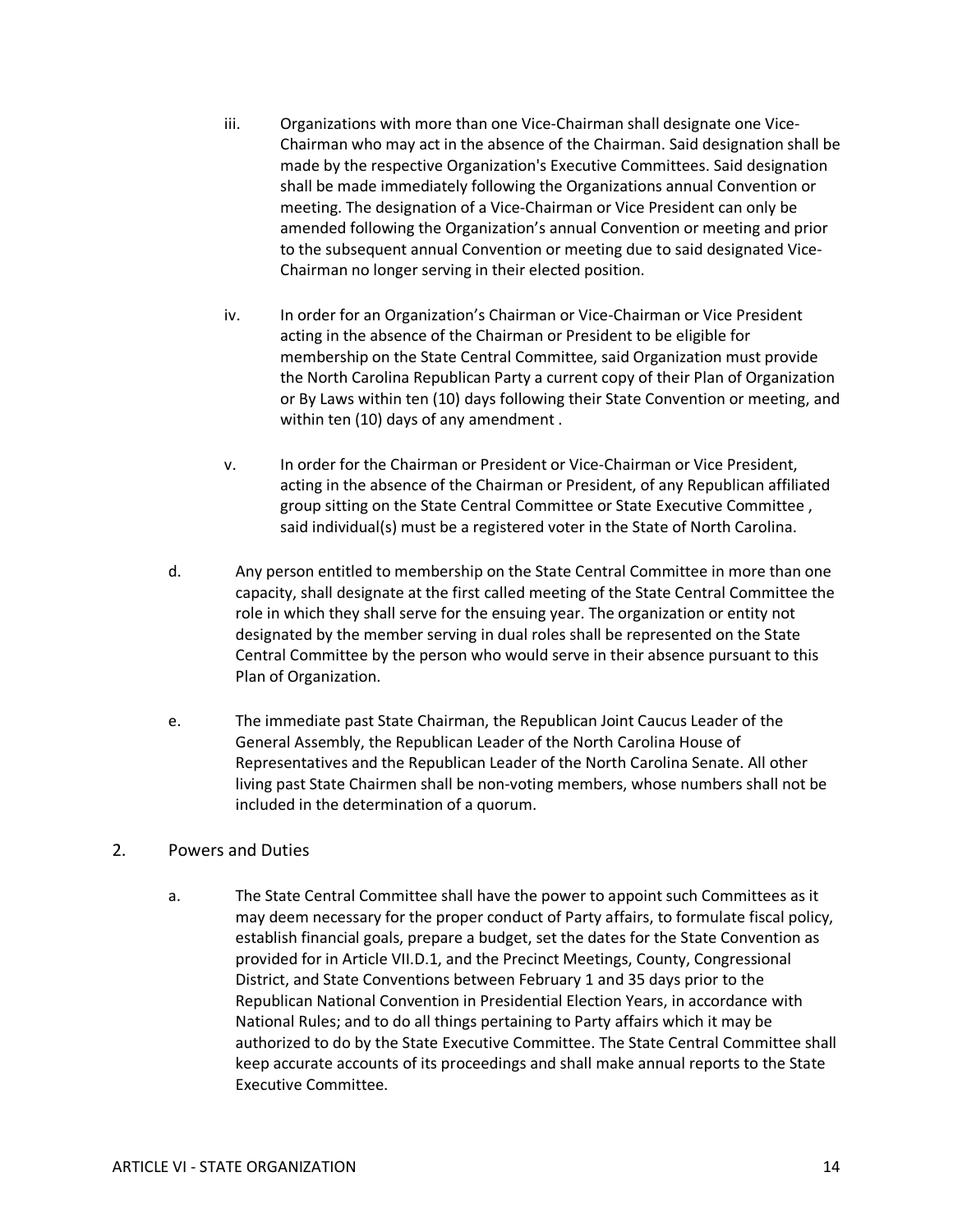- iii. Organizations with more than one Vice-Chairman shall designate one Vice-Chairman who may act in the absence of the Chairman. Said designation shall be made by the respective Organization's Executive Committees. Said designation shall be made immediately following the Organizations annual Convention or meeting. The designation of a Vice-Chairman or Vice President can only be amended following the Organization's annual Convention or meeting and prior to the subsequent annual Convention or meeting due to said designated Vice-Chairman no longer serving in their elected position.
- iv. In order for an Organization's Chairman or Vice-Chairman or Vice President acting in the absence of the Chairman or President to be eligible for membership on the State Central Committee, said Organization must provide the North Carolina Republican Party a current copy of their Plan of Organization or By Laws within ten (10) days following their State Convention or meeting, and within ten (10) days of any amendment .
- v. In order for the Chairman or President or Vice-Chairman or Vice President, acting in the absence of the Chairman or President, of any Republican affiliated group sitting on the State Central Committee or State Executive Committee , said individual(s) must be a registered voter in the State of North Carolina.
- d. Any person entitled to membership on the State Central Committee in more than one capacity, shall designate at the first called meeting of the State Central Committee the role in which they shall serve for the ensuing year. The organization or entity not designated by the member serving in dual roles shall be represented on the State Central Committee by the person who would serve in their absence pursuant to this Plan of Organization.
- e. The immediate past State Chairman, the Republican Joint Caucus Leader of the General Assembly, the Republican Leader of the North Carolina House of Representatives and the Republican Leader of the North Carolina Senate. All other living past State Chairmen shall be non-voting members, whose numbers shall not be included in the determination of a quorum.

### 2. Powers and Duties

a. The State Central Committee shall have the power to appoint such Committees as it may deem necessary for the proper conduct of Party affairs, to formulate fiscal policy, establish financial goals, prepare a budget, set the dates for the State Convention as provided for in Article VII.D.1, and the Precinct Meetings, County, Congressional District, and State Conventions between February 1 and 35 days prior to the Republican National Convention in Presidential Election Years, in accordance with National Rules; and to do all things pertaining to Party affairs which it may be authorized to do by the State Executive Committee. The State Central Committee shall keep accurate accounts of its proceedings and shall make annual reports to the State Executive Committee.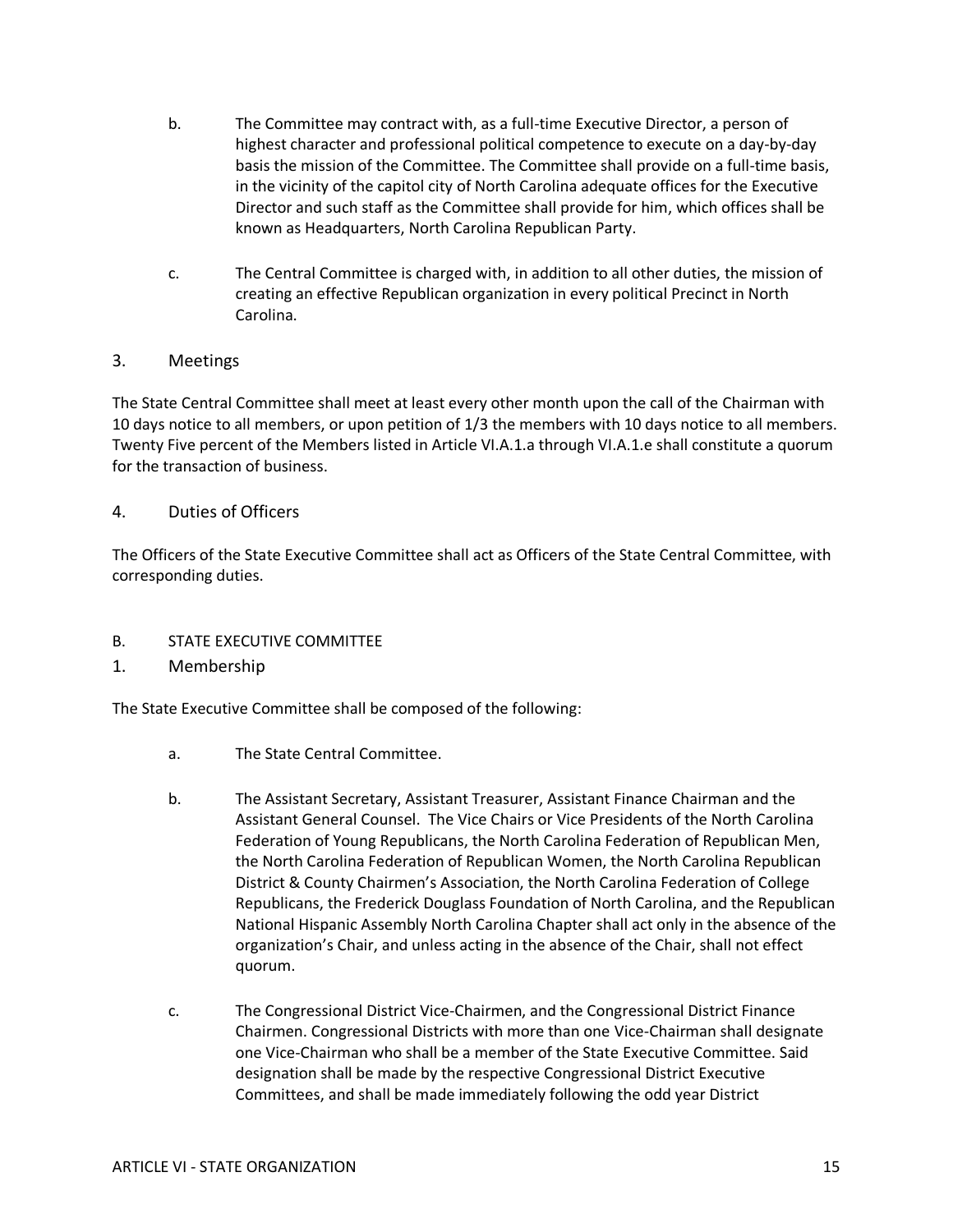- b. The Committee may contract with, as a full-time Executive Director, a person of highest character and professional political competence to execute on a day-by-day basis the mission of the Committee. The Committee shall provide on a full-time basis, in the vicinity of the capitol city of North Carolina adequate offices for the Executive Director and such staff as the Committee shall provide for him, which offices shall be known as Headquarters, North Carolina Republican Party.
- c. The Central Committee is charged with, in addition to all other duties, the mission of creating an effective Republican organization in every political Precinct in North Carolina.

### 3. Meetings

The State Central Committee shall meet at least every other month upon the call of the Chairman with 10 days notice to all members, or upon petition of 1/3 the members with 10 days notice to all members. Twenty Five percent of the Members listed in Article VI.A.1.a through VI.A.1.e shall constitute a quorum for the transaction of business.

### 4. Duties of Officers

The Officers of the State Executive Committee shall act as Officers of the State Central Committee, with corresponding duties.

#### B. STATE EXECUTIVE COMMITTEE

1. Membership

The State Executive Committee shall be composed of the following:

- a. The State Central Committee.
- b. The Assistant Secretary, Assistant Treasurer, Assistant Finance Chairman and the Assistant General Counsel. The Vice Chairs or Vice Presidents of the North Carolina Federation of Young Republicans, the North Carolina Federation of Republican Men, the North Carolina Federation of Republican Women, the North Carolina Republican District & County Chairmen's Association, the North Carolina Federation of College Republicans, the Frederick Douglass Foundation of North Carolina, and the Republican National Hispanic Assembly North Carolina Chapter shall act only in the absence of the organization's Chair, and unless acting in the absence of the Chair, shall not effect quorum.
- c. The Congressional District Vice-Chairmen, and the Congressional District Finance Chairmen. Congressional Districts with more than one Vice-Chairman shall designate one Vice-Chairman who shall be a member of the State Executive Committee. Said designation shall be made by the respective Congressional District Executive Committees, and shall be made immediately following the odd year District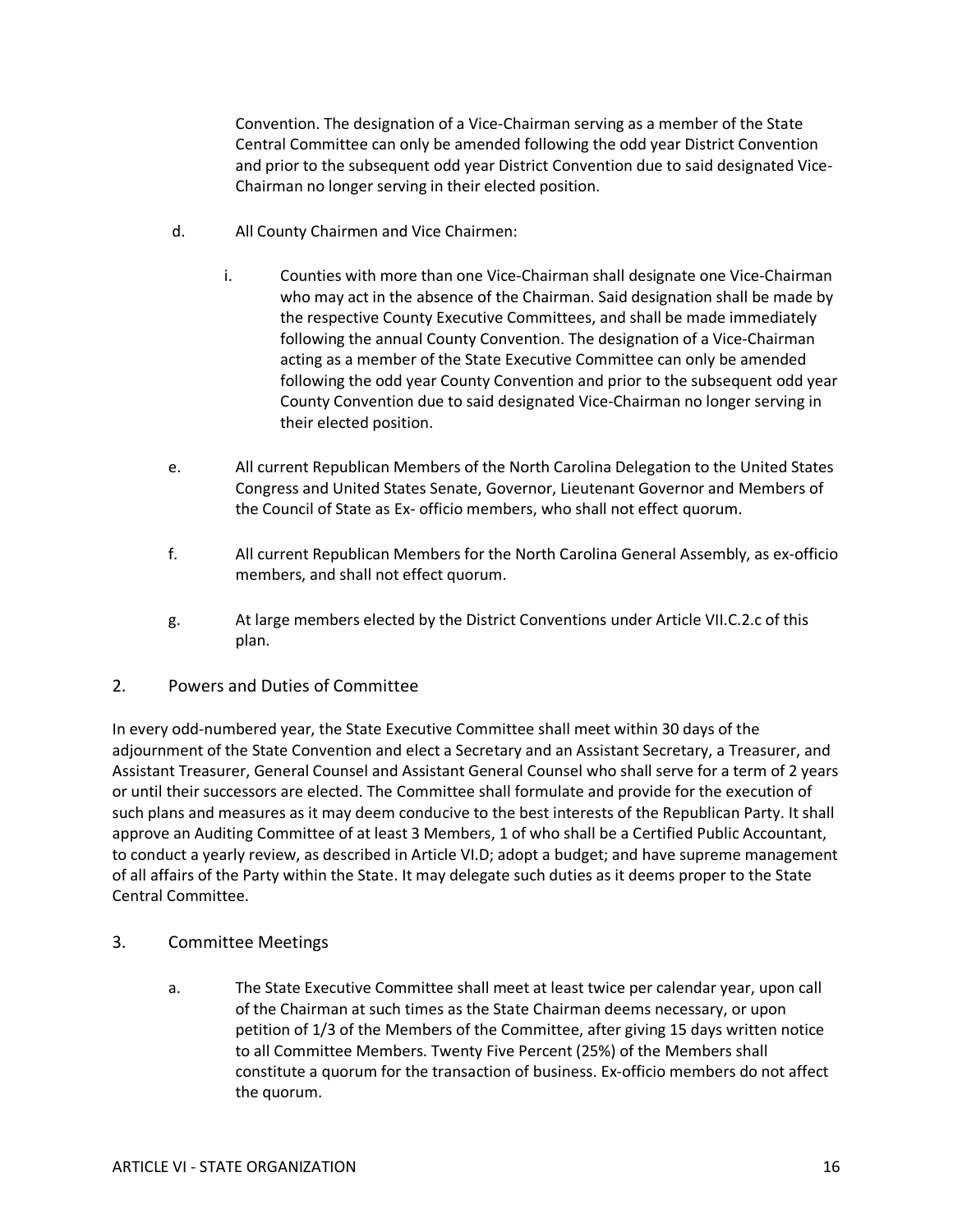Convention. The designation of a Vice-Chairman serving as a member of the State Central Committee can only be amended following the odd year District Convention and prior to the subsequent odd year District Convention due to said designated Vice-Chairman no longer serving in their elected position.

- d. All County Chairmen and Vice Chairmen:
	- i. Counties with more than one Vice-Chairman shall designate one Vice-Chairman who may act in the absence of the Chairman. Said designation shall be made by the respective County Executive Committees, and shall be made immediately following the annual County Convention. The designation of a Vice-Chairman acting as a member of the State Executive Committee can only be amended following the odd year County Convention and prior to the subsequent odd year County Convention due to said designated Vice-Chairman no longer serving in their elected position.
- e. All current Republican Members of the North Carolina Delegation to the United States Congress and United States Senate, Governor, Lieutenant Governor and Members of the Council of State as Ex- officio members, who shall not effect quorum.
- f. All current Republican Members for the North Carolina General Assembly, as ex-officio members, and shall not effect quorum.
- g. At large members elected by the District Conventions under Article VII.C.2.c of this plan.
- 2. Powers and Duties of Committee

In every odd-numbered year, the State Executive Committee shall meet within 30 days of the adjournment of the State Convention and elect a Secretary and an Assistant Secretary, a Treasurer, and Assistant Treasurer, General Counsel and Assistant General Counsel who shall serve for a term of 2 years or until their successors are elected. The Committee shall formulate and provide for the execution of such plans and measures as it may deem conducive to the best interests of the Republican Party. It shall approve an Auditing Committee of at least 3 Members, 1 of who shall be a Certified Public Accountant, to conduct a yearly review, as described in Article VI.D; adopt a budget; and have supreme management of all affairs of the Party within the State. It may delegate such duties as it deems proper to the State Central Committee.

- 3. Committee Meetings
	- a. The State Executive Committee shall meet at least twice per calendar year, upon call of the Chairman at such times as the State Chairman deems necessary, or upon petition of 1/3 of the Members of the Committee, after giving 15 days written notice to all Committee Members. Twenty Five Percent (25%) of the Members shall constitute a quorum for the transaction of business. Ex-officio members do not affect the quorum.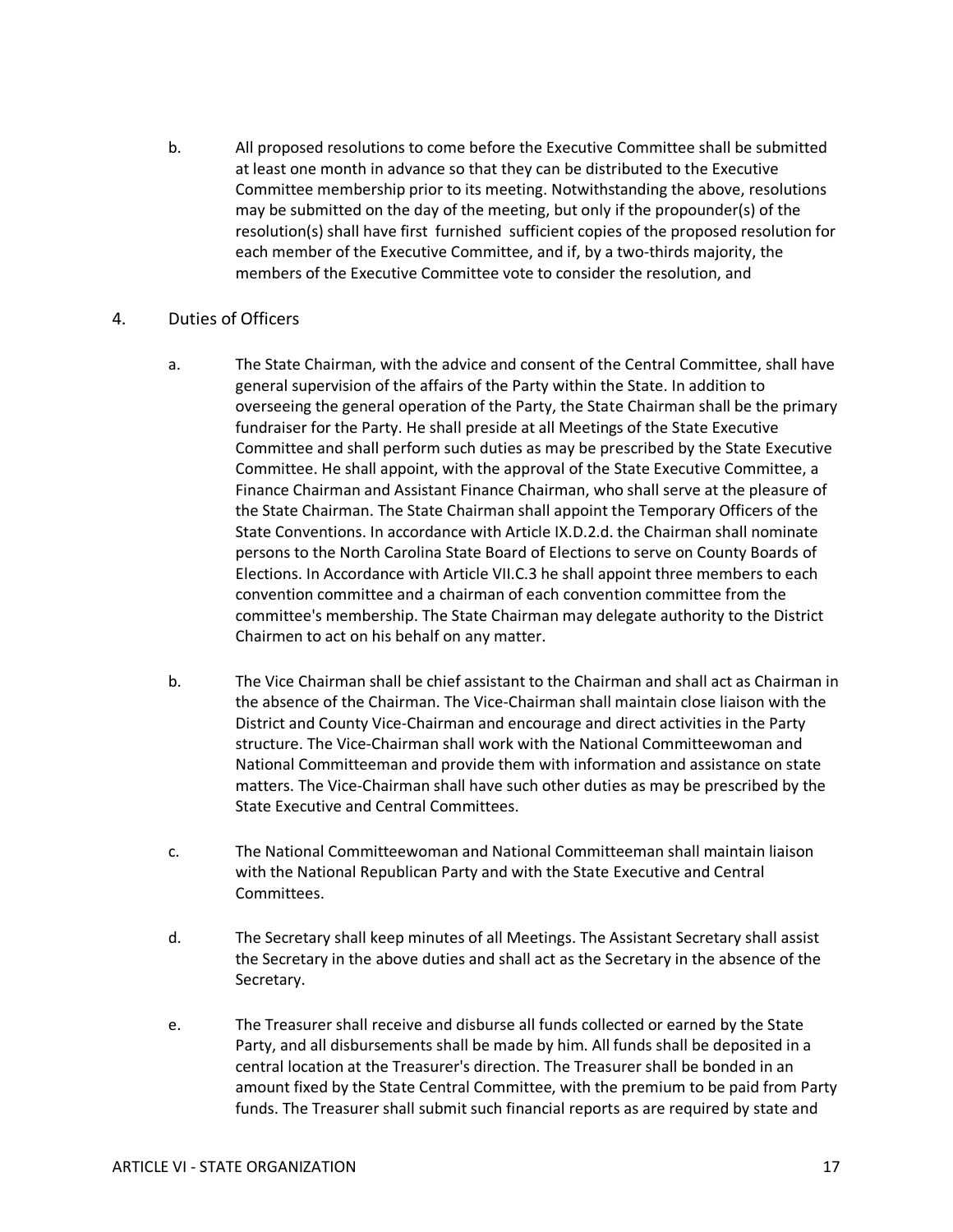b. All proposed resolutions to come before the Executive Committee shall be submitted at least one month in advance so that they can be distributed to the Executive Committee membership prior to its meeting. Notwithstanding the above, resolutions may be submitted on the day of the meeting, but only if the propounder(s) of the resolution(s) shall have first furnished sufficient copies of the proposed resolution for each member of the Executive Committee, and if, by a two-thirds majority, the members of the Executive Committee vote to consider the resolution, and

### 4. Duties of Officers

- a. The State Chairman, with the advice and consent of the Central Committee, shall have general supervision of the affairs of the Party within the State. In addition to overseeing the general operation of the Party, the State Chairman shall be the primary fundraiser for the Party. He shall preside at all Meetings of the State Executive Committee and shall perform such duties as may be prescribed by the State Executive Committee. He shall appoint, with the approval of the State Executive Committee, a Finance Chairman and Assistant Finance Chairman, who shall serve at the pleasure of the State Chairman. The State Chairman shall appoint the Temporary Officers of the State Conventions. In accordance with Article IX.D.2.d. the Chairman shall nominate persons to the North Carolina State Board of Elections to serve on County Boards of Elections. In Accordance with Article VII.C.3 he shall appoint three members to each convention committee and a chairman of each convention committee from the committee's membership. The State Chairman may delegate authority to the District Chairmen to act on his behalf on any matter.
- b. The Vice Chairman shall be chief assistant to the Chairman and shall act as Chairman in the absence of the Chairman. The Vice-Chairman shall maintain close liaison with the District and County Vice-Chairman and encourage and direct activities in the Party structure. The Vice-Chairman shall work with the National Committeewoman and National Committeeman and provide them with information and assistance on state matters. The Vice-Chairman shall have such other duties as may be prescribed by the State Executive and Central Committees.
- c. The National Committeewoman and National Committeeman shall maintain liaison with the National Republican Party and with the State Executive and Central Committees.
- d. The Secretary shall keep minutes of all Meetings. The Assistant Secretary shall assist the Secretary in the above duties and shall act as the Secretary in the absence of the Secretary.
- e. The Treasurer shall receive and disburse all funds collected or earned by the State Party, and all disbursements shall be made by him. All funds shall be deposited in a central location at the Treasurer's direction. The Treasurer shall be bonded in an amount fixed by the State Central Committee, with the premium to be paid from Party funds. The Treasurer shall submit such financial reports as are required by state and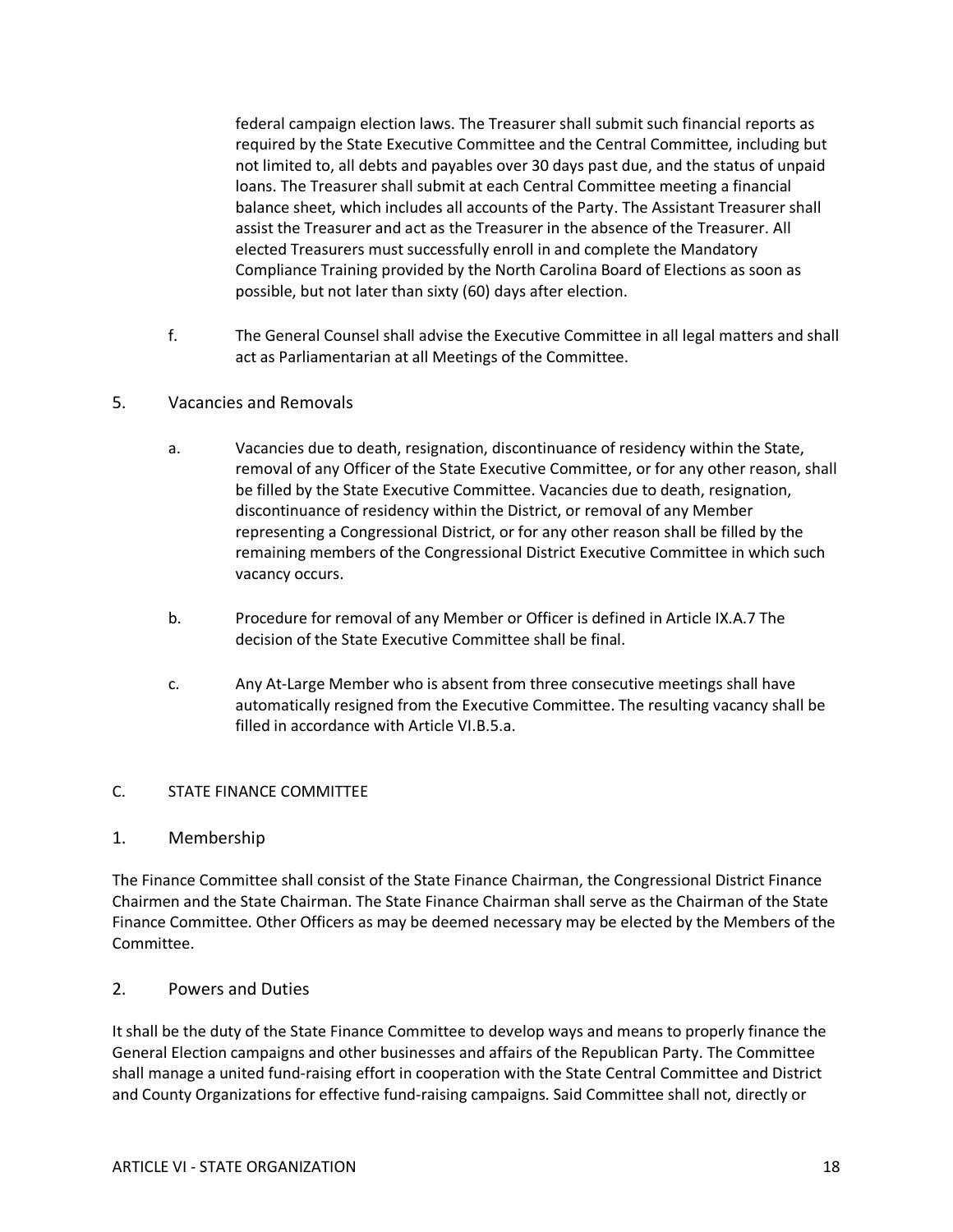federal campaign election laws. The Treasurer shall submit such financial reports as required by the State Executive Committee and the Central Committee, including but not limited to, all debts and payables over 30 days past due, and the status of unpaid loans. The Treasurer shall submit at each Central Committee meeting a financial balance sheet, which includes all accounts of the Party. The Assistant Treasurer shall assist the Treasurer and act as the Treasurer in the absence of the Treasurer. All elected Treasurers must successfully enroll in and complete the Mandatory Compliance Training provided by the North Carolina Board of Elections as soon as possible, but not later than sixty (60) days after election.

- f. The General Counsel shall advise the Executive Committee in all legal matters and shall act as Parliamentarian at all Meetings of the Committee.
- 5. Vacancies and Removals
	- a. Vacancies due to death, resignation, discontinuance of residency within the State, removal of any Officer of the State Executive Committee, or for any other reason, shall be filled by the State Executive Committee. Vacancies due to death, resignation, discontinuance of residency within the District, or removal of any Member representing a Congressional District, or for any other reason shall be filled by the remaining members of the Congressional District Executive Committee in which such vacancy occurs.
	- b. Procedure for removal of any Member or Officer is defined in Article IX.A.7 The decision of the State Executive Committee shall be final.
	- c. Any At-Large Member who is absent from three consecutive meetings shall have automatically resigned from the Executive Committee. The resulting vacancy shall be filled in accordance with Article VI.B.5.a.

#### C. STATE FINANCE COMMITTEE

#### 1. Membership

The Finance Committee shall consist of the State Finance Chairman, the Congressional District Finance Chairmen and the State Chairman. The State Finance Chairman shall serve as the Chairman of the State Finance Committee. Other Officers as may be deemed necessary may be elected by the Members of the Committee.

#### 2. Powers and Duties

It shall be the duty of the State Finance Committee to develop ways and means to properly finance the General Election campaigns and other businesses and affairs of the Republican Party. The Committee shall manage a united fund-raising effort in cooperation with the State Central Committee and District and County Organizations for effective fund-raising campaigns. Said Committee shall not, directly or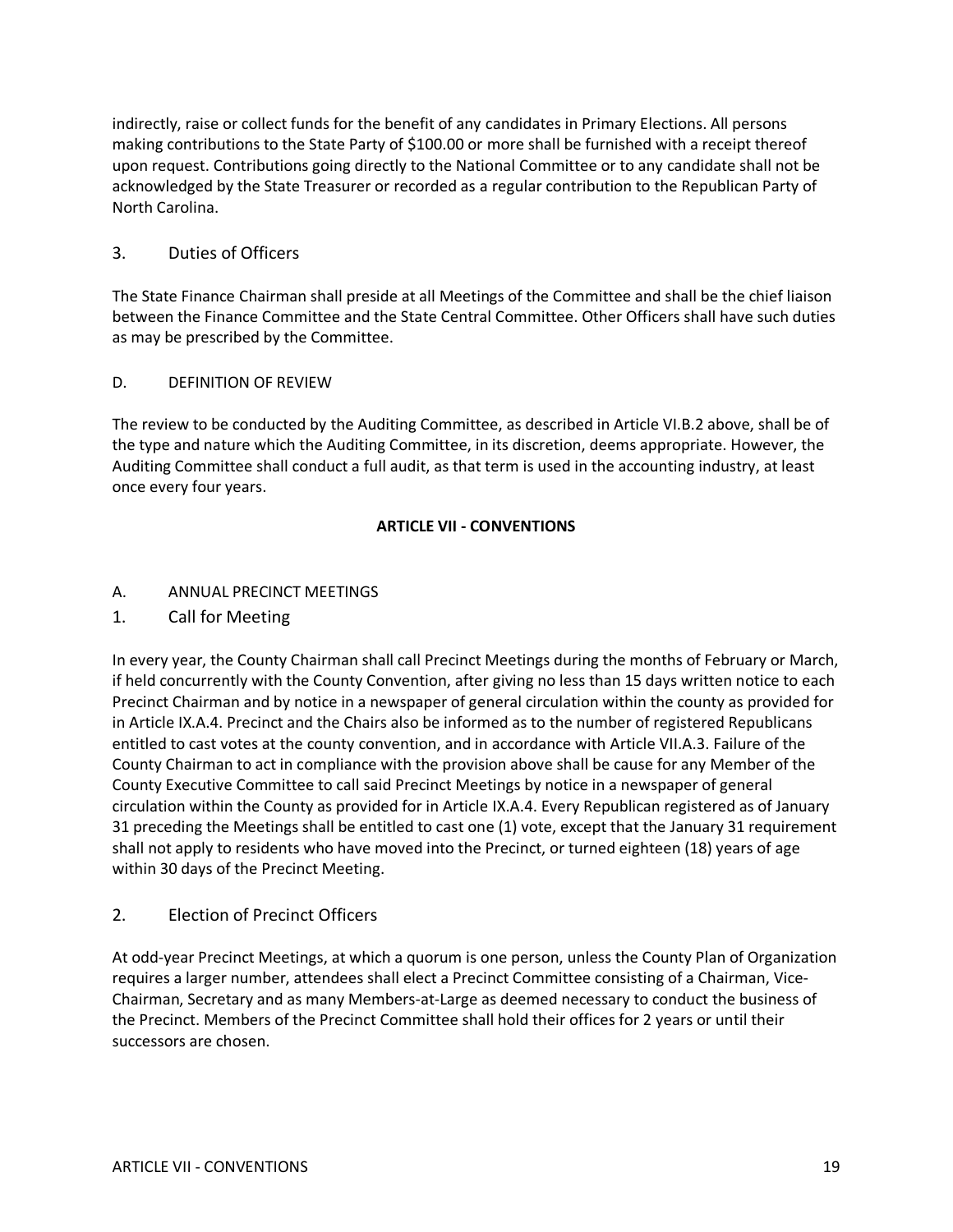indirectly, raise or collect funds for the benefit of any candidates in Primary Elections. All persons making contributions to the State Party of \$100.00 or more shall be furnished with a receipt thereof upon request. Contributions going directly to the National Committee or to any candidate shall not be acknowledged by the State Treasurer or recorded as a regular contribution to the Republican Party of North Carolina.

### 3. Duties of Officers

The State Finance Chairman shall preside at all Meetings of the Committee and shall be the chief liaison between the Finance Committee and the State Central Committee. Other Officers shall have such duties as may be prescribed by the Committee.

#### D. DEFINITION OF REVIEW

The review to be conducted by the Auditing Committee, as described in Article VI.B.2 above, shall be of the type and nature which the Auditing Committee, in its discretion, deems appropriate. However, the Auditing Committee shall conduct a full audit, as that term is used in the accounting industry, at least once every four years.

#### **ARTICLE VII - CONVENTIONS**

#### A. ANNUAL PRECINCT MEETINGS

1. Call for Meeting

In every year, the County Chairman shall call Precinct Meetings during the months of February or March, if held concurrently with the County Convention, after giving no less than 15 days written notice to each Precinct Chairman and by notice in a newspaper of general circulation within the county as provided for in Article IX.A.4. Precinct and the Chairs also be informed as to the number of registered Republicans entitled to cast votes at the county convention, and in accordance with Article VII.A.3. Failure of the County Chairman to act in compliance with the provision above shall be cause for any Member of the County Executive Committee to call said Precinct Meetings by notice in a newspaper of general circulation within the County as provided for in Article IX.A.4. Every Republican registered as of January 31 preceding the Meetings shall be entitled to cast one (1) vote, except that the January 31 requirement shall not apply to residents who have moved into the Precinct, or turned eighteen (18) years of age within 30 days of the Precinct Meeting.

#### 2. Election of Precinct Officers

At odd-year Precinct Meetings, at which a quorum is one person, unless the County Plan of Organization requires a larger number, attendees shall elect a Precinct Committee consisting of a Chairman, Vice-Chairman, Secretary and as many Members-at-Large as deemed necessary to conduct the business of the Precinct. Members of the Precinct Committee shall hold their offices for 2 years or until their successors are chosen.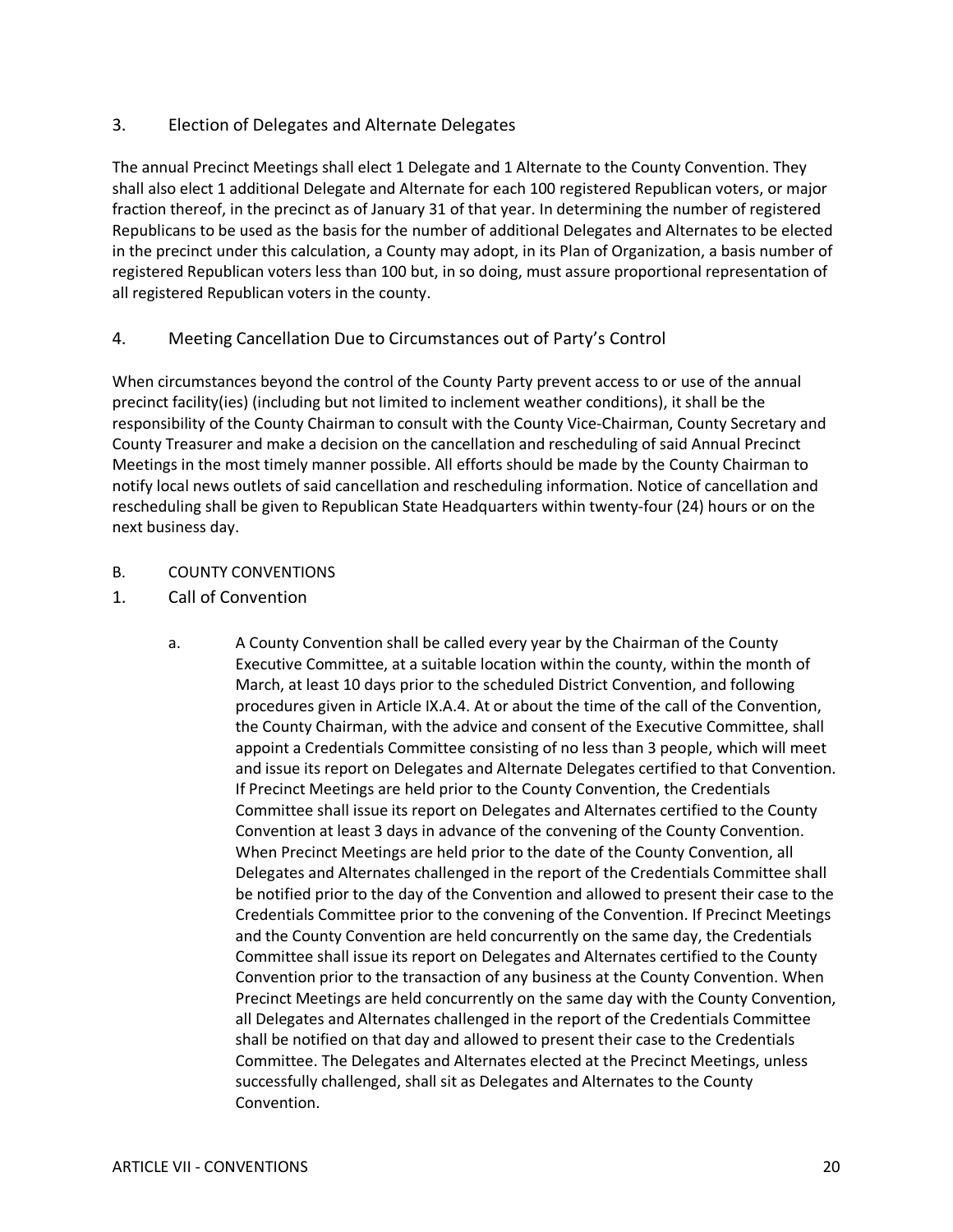## 3. Election of Delegates and Alternate Delegates

The annual Precinct Meetings shall elect 1 Delegate and 1 Alternate to the County Convention. They shall also elect 1 additional Delegate and Alternate for each 100 registered Republican voters, or major fraction thereof, in the precinct as of January 31 of that year. In determining the number of registered Republicans to be used as the basis for the number of additional Delegates and Alternates to be elected in the precinct under this calculation, a County may adopt, in its Plan of Organization, a basis number of registered Republican voters less than 100 but, in so doing, must assure proportional representation of all registered Republican voters in the county.

### 4. Meeting Cancellation Due to Circumstances out of Party's Control

When circumstances beyond the control of the County Party prevent access to or use of the annual precinct facility(ies) (including but not limited to inclement weather conditions), it shall be the responsibility of the County Chairman to consult with the County Vice-Chairman, County Secretary and County Treasurer and make a decision on the cancellation and rescheduling of said Annual Precinct Meetings in the most timely manner possible. All efforts should be made by the County Chairman to notify local news outlets of said cancellation and rescheduling information. Notice of cancellation and rescheduling shall be given to Republican State Headquarters within twenty-four (24) hours or on the next business day.

### B. COUNTY CONVENTIONS

- 1. Call of Convention
	- a. A County Convention shall be called every year by the Chairman of the County Executive Committee, at a suitable location within the county, within the month of March, at least 10 days prior to the scheduled District Convention, and following procedures given in Article IX.A.4. At or about the time of the call of the Convention, the County Chairman, with the advice and consent of the Executive Committee, shall appoint a Credentials Committee consisting of no less than 3 people, which will meet and issue its report on Delegates and Alternate Delegates certified to that Convention. If Precinct Meetings are held prior to the County Convention, the Credentials Committee shall issue its report on Delegates and Alternates certified to the County Convention at least 3 days in advance of the convening of the County Convention. When Precinct Meetings are held prior to the date of the County Convention, all Delegates and Alternates challenged in the report of the Credentials Committee shall be notified prior to the day of the Convention and allowed to present their case to the Credentials Committee prior to the convening of the Convention. If Precinct Meetings and the County Convention are held concurrently on the same day, the Credentials Committee shall issue its report on Delegates and Alternates certified to the County Convention prior to the transaction of any business at the County Convention. When Precinct Meetings are held concurrently on the same day with the County Convention, all Delegates and Alternates challenged in the report of the Credentials Committee shall be notified on that day and allowed to present their case to the Credentials Committee. The Delegates and Alternates elected at the Precinct Meetings, unless successfully challenged, shall sit as Delegates and Alternates to the County Convention.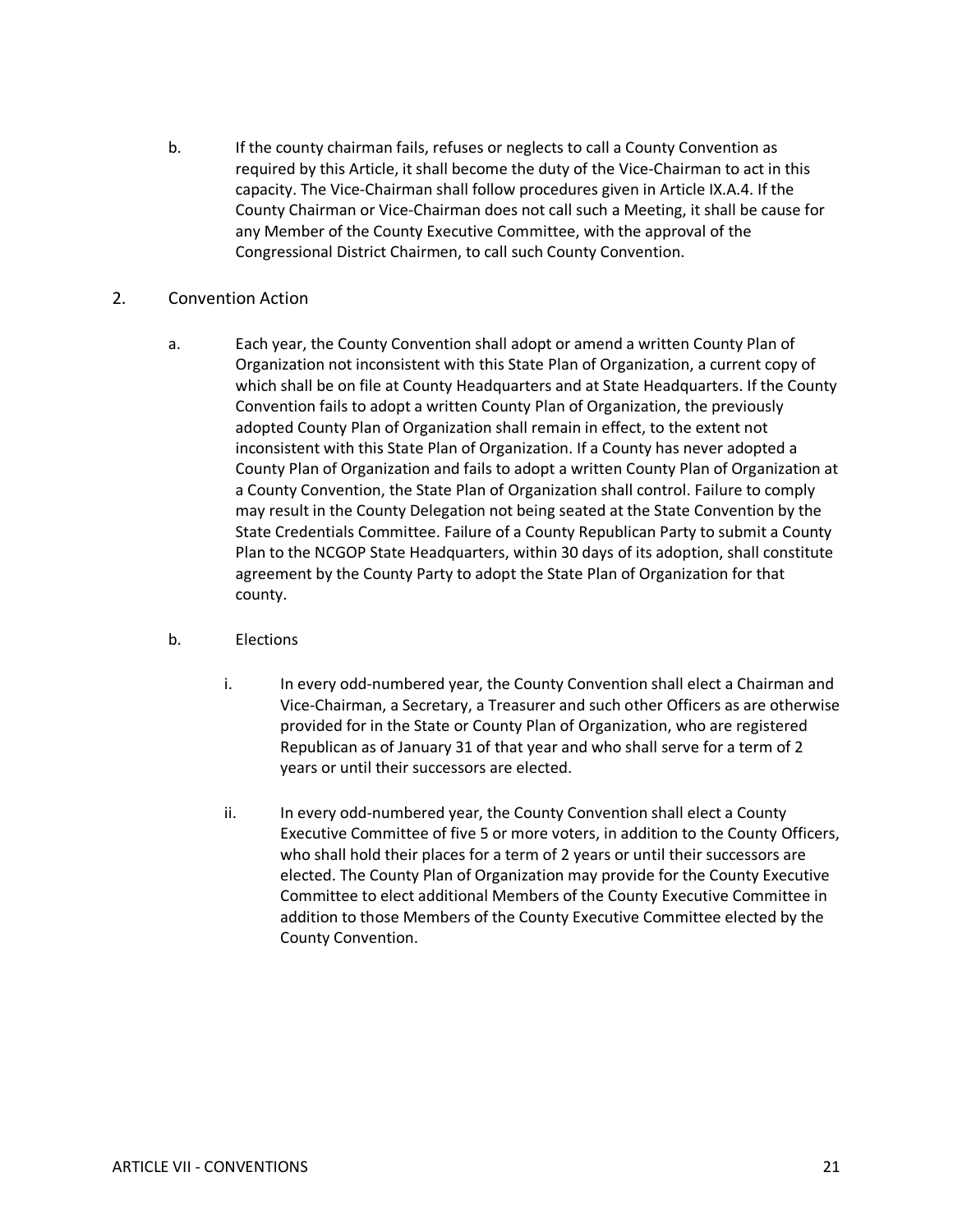- b. If the county chairman fails, refuses or neglects to call a County Convention as required by this Article, it shall become the duty of the Vice-Chairman to act in this capacity. The Vice-Chairman shall follow procedures given in Article IX.A.4. If the County Chairman or Vice-Chairman does not call such a Meeting, it shall be cause for any Member of the County Executive Committee, with the approval of the Congressional District Chairmen, to call such County Convention.
- 2. Convention Action
	- a. Each year, the County Convention shall adopt or amend a written County Plan of Organization not inconsistent with this State Plan of Organization, a current copy of which shall be on file at County Headquarters and at State Headquarters. If the County Convention fails to adopt a written County Plan of Organization, the previously adopted County Plan of Organization shall remain in effect, to the extent not inconsistent with this State Plan of Organization. If a County has never adopted a County Plan of Organization and fails to adopt a written County Plan of Organization at a County Convention, the State Plan of Organization shall control. Failure to comply may result in the County Delegation not being seated at the State Convention by the State Credentials Committee. Failure of a County Republican Party to submit a County Plan to the NCGOP State Headquarters, within 30 days of its adoption, shall constitute agreement by the County Party to adopt the State Plan of Organization for that county.
	- b. Elections
		- i. In every odd-numbered year, the County Convention shall elect a Chairman and Vice-Chairman, a Secretary, a Treasurer and such other Officers as are otherwise provided for in the State or County Plan of Organization, who are registered Republican as of January 31 of that year and who shall serve for a term of 2 years or until their successors are elected.
		- ii. In every odd-numbered year, the County Convention shall elect a County Executive Committee of five 5 or more voters, in addition to the County Officers, who shall hold their places for a term of 2 years or until their successors are elected. The County Plan of Organization may provide for the County Executive Committee to elect additional Members of the County Executive Committee in addition to those Members of the County Executive Committee elected by the County Convention.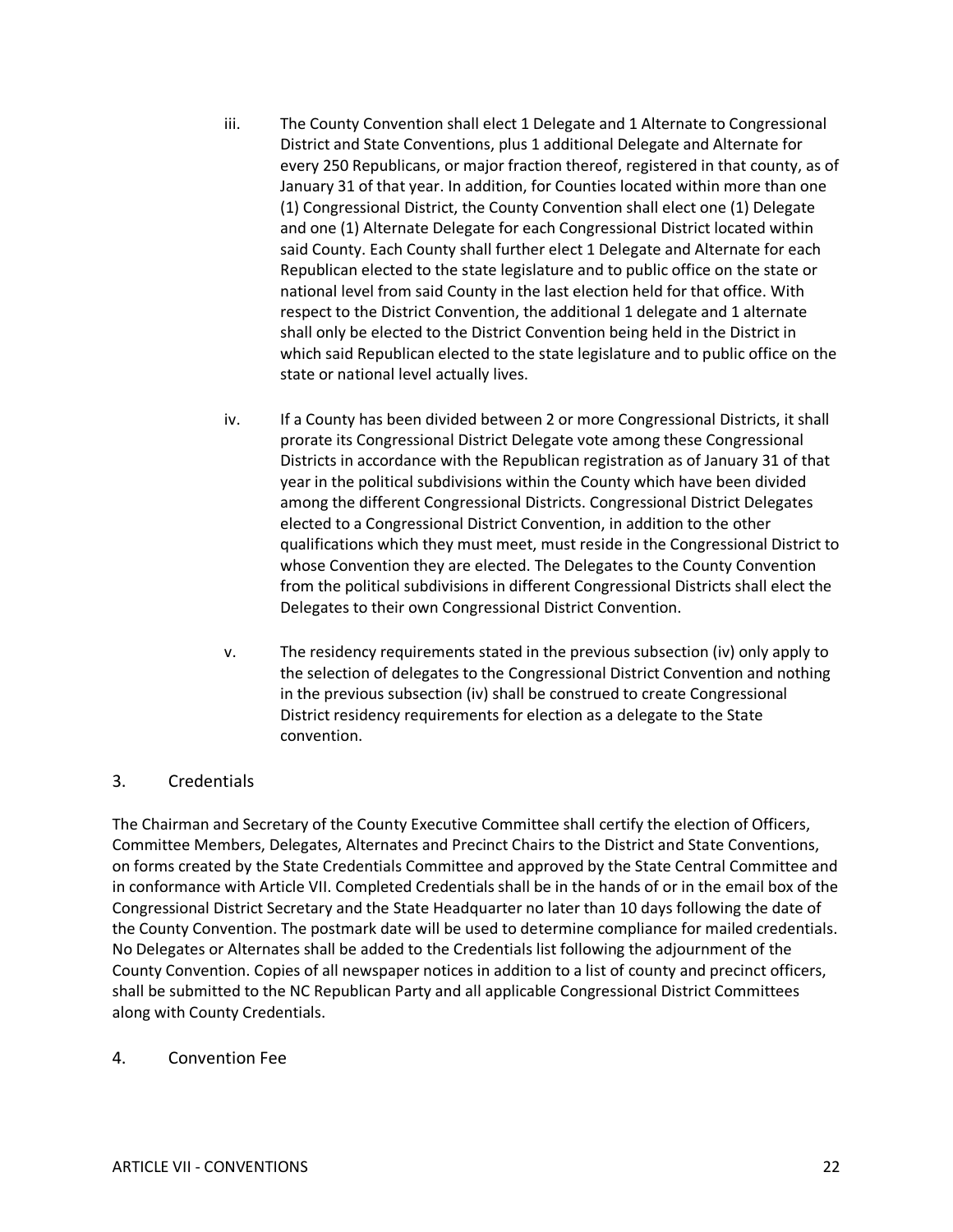- iii. The County Convention shall elect 1 Delegate and 1 Alternate to Congressional District and State Conventions, plus 1 additional Delegate and Alternate for every 250 Republicans, or major fraction thereof, registered in that county, as of January 31 of that year. In addition, for Counties located within more than one (1) Congressional District, the County Convention shall elect one (1) Delegate and one (1) Alternate Delegate for each Congressional District located within said County. Each County shall further elect 1 Delegate and Alternate for each Republican elected to the state legislature and to public office on the state or national level from said County in the last election held for that office. With respect to the District Convention, the additional 1 delegate and 1 alternate shall only be elected to the District Convention being held in the District in which said Republican elected to the state legislature and to public office on the state or national level actually lives.
- iv. If a County has been divided between 2 or more Congressional Districts, it shall prorate its Congressional District Delegate vote among these Congressional Districts in accordance with the Republican registration as of January 31 of that year in the political subdivisions within the County which have been divided among the different Congressional Districts. Congressional District Delegates elected to a Congressional District Convention, in addition to the other qualifications which they must meet, must reside in the Congressional District to whose Convention they are elected. The Delegates to the County Convention from the political subdivisions in different Congressional Districts shall elect the Delegates to their own Congressional District Convention.
- v. The residency requirements stated in the previous subsection (iv) only apply to the selection of delegates to the Congressional District Convention and nothing in the previous subsection (iv) shall be construed to create Congressional District residency requirements for election as a delegate to the State convention.

### 3. Credentials

The Chairman and Secretary of the County Executive Committee shall certify the election of Officers, Committee Members, Delegates, Alternates and Precinct Chairs to the District and State Conventions, on forms created by the State Credentials Committee and approved by the State Central Committee and in conformance with Article VII. Completed Credentials shall be in the hands of or in the email box of the Congressional District Secretary and the State Headquarter no later than 10 days following the date of the County Convention. The postmark date will be used to determine compliance for mailed credentials. No Delegates or Alternates shall be added to the Credentials list following the adjournment of the County Convention. Copies of all newspaper notices in addition to a list of county and precinct officers, shall be submitted to the NC Republican Party and all applicable Congressional District Committees along with County Credentials.

#### 4. Convention Fee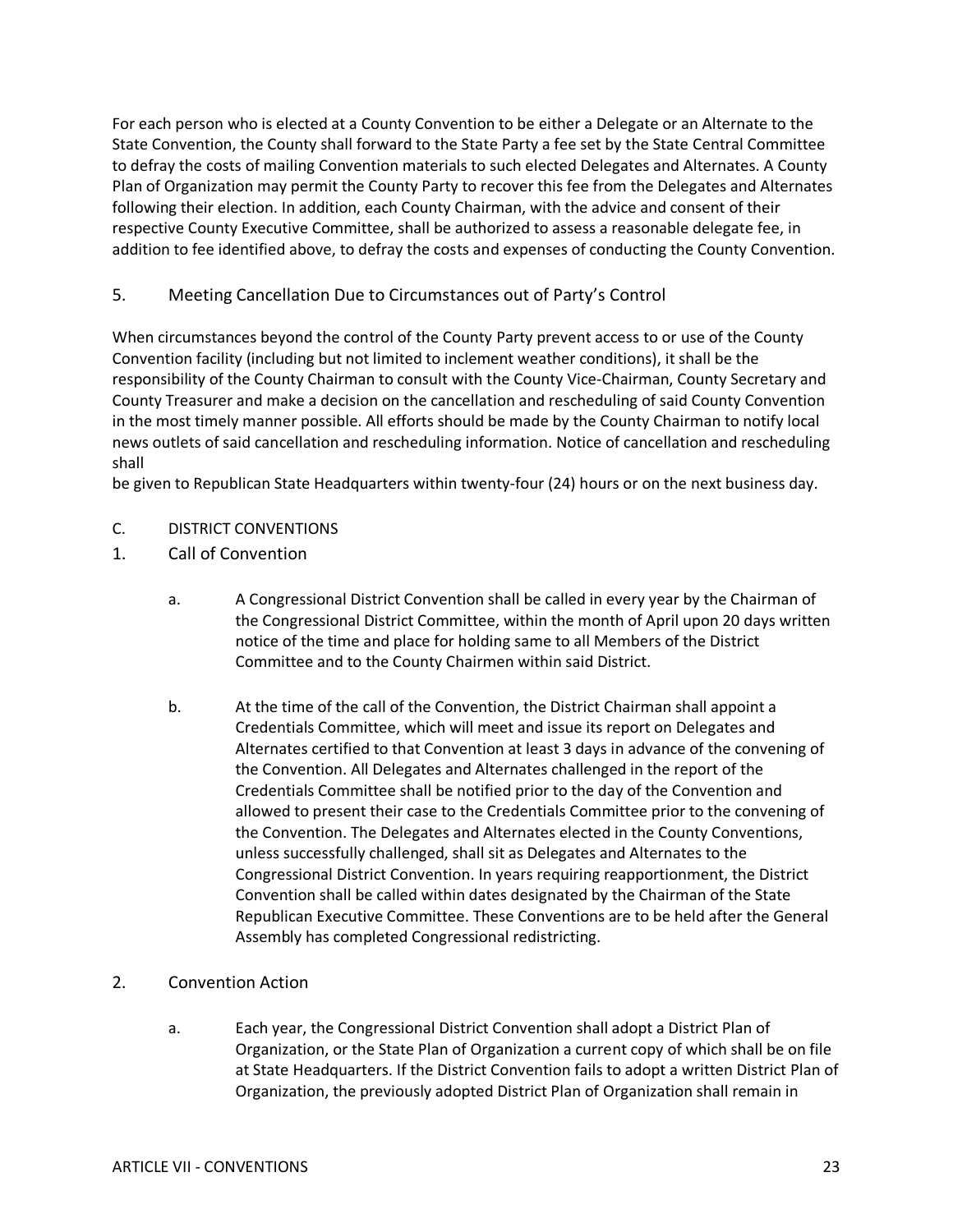For each person who is elected at a County Convention to be either a Delegate or an Alternate to the State Convention, the County shall forward to the State Party a fee set by the State Central Committee to defray the costs of mailing Convention materials to such elected Delegates and Alternates. A County Plan of Organization may permit the County Party to recover this fee from the Delegates and Alternates following their election. In addition, each County Chairman, with the advice and consent of their respective County Executive Committee, shall be authorized to assess a reasonable delegate fee, in addition to fee identified above, to defray the costs and expenses of conducting the County Convention.

### 5. Meeting Cancellation Due to Circumstances out of Party's Control

When circumstances beyond the control of the County Party prevent access to or use of the County Convention facility (including but not limited to inclement weather conditions), it shall be the responsibility of the County Chairman to consult with the County Vice-Chairman, County Secretary and County Treasurer and make a decision on the cancellation and rescheduling of said County Convention in the most timely manner possible. All efforts should be made by the County Chairman to notify local news outlets of said cancellation and rescheduling information. Notice of cancellation and rescheduling shall

be given to Republican State Headquarters within twenty-four (24) hours or on the next business day.

### C. DISTRICT CONVENTIONS

- 1. Call of Convention
	- a. A Congressional District Convention shall be called in every year by the Chairman of the Congressional District Committee, within the month of April upon 20 days written notice of the time and place for holding same to all Members of the District Committee and to the County Chairmen within said District.
	- b. At the time of the call of the Convention, the District Chairman shall appoint a Credentials Committee, which will meet and issue its report on Delegates and Alternates certified to that Convention at least 3 days in advance of the convening of the Convention. All Delegates and Alternates challenged in the report of the Credentials Committee shall be notified prior to the day of the Convention and allowed to present their case to the Credentials Committee prior to the convening of the Convention. The Delegates and Alternates elected in the County Conventions, unless successfully challenged, shall sit as Delegates and Alternates to the Congressional District Convention. In years requiring reapportionment, the District Convention shall be called within dates designated by the Chairman of the State Republican Executive Committee. These Conventions are to be held after the General Assembly has completed Congressional redistricting.

### 2. Convention Action

a. Each year, the Congressional District Convention shall adopt a District Plan of Organization, or the State Plan of Organization a current copy of which shall be on file at State Headquarters. If the District Convention fails to adopt a written District Plan of Organization, the previously adopted District Plan of Organization shall remain in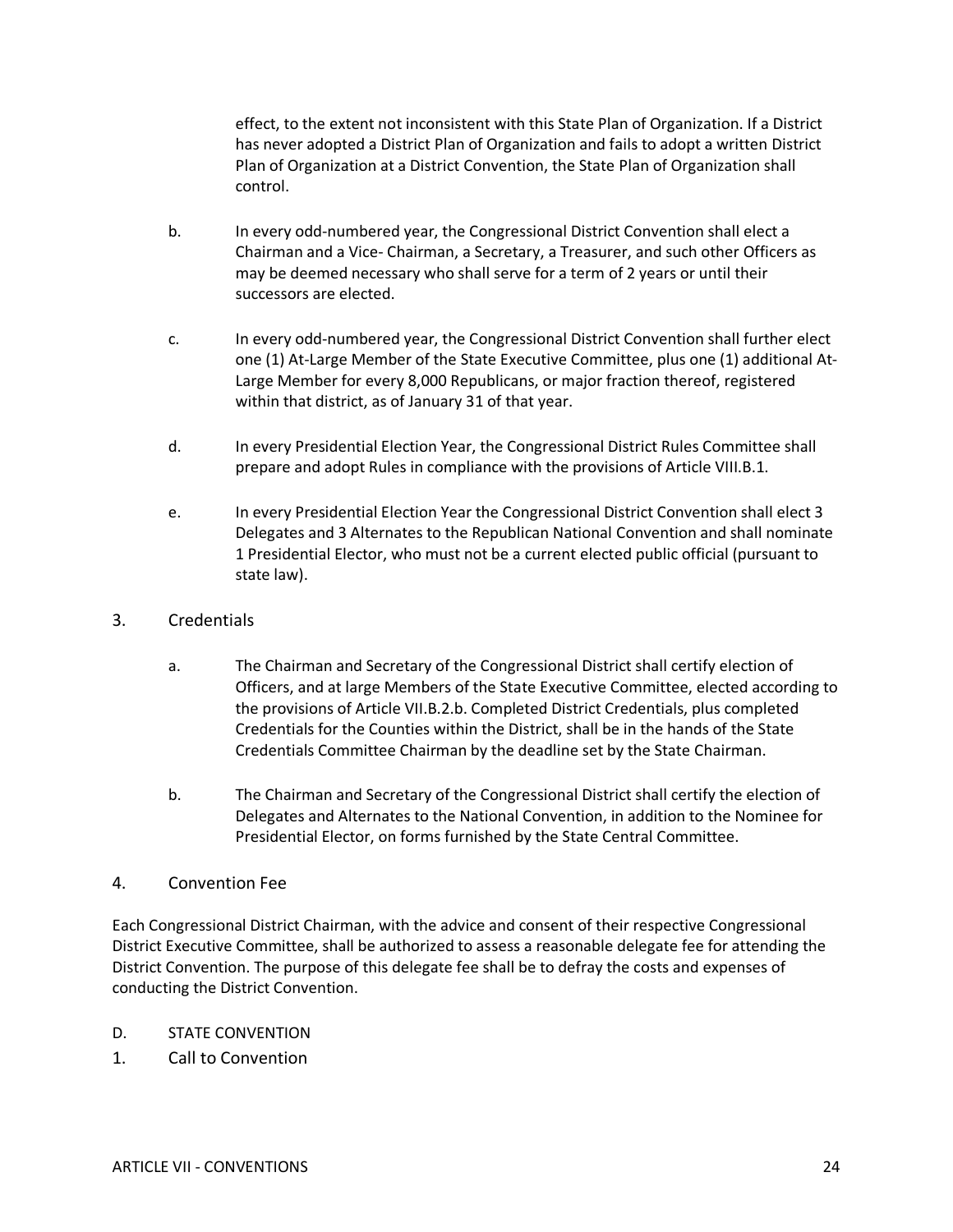effect, to the extent not inconsistent with this State Plan of Organization. If a District has never adopted a District Plan of Organization and fails to adopt a written District Plan of Organization at a District Convention, the State Plan of Organization shall control.

- b. In every odd-numbered year, the Congressional District Convention shall elect a Chairman and a Vice- Chairman, a Secretary, a Treasurer, and such other Officers as may be deemed necessary who shall serve for a term of 2 years or until their successors are elected.
- c. In every odd-numbered year, the Congressional District Convention shall further elect one (1) At-Large Member of the State Executive Committee, plus one (1) additional At-Large Member for every 8,000 Republicans, or major fraction thereof, registered within that district, as of January 31 of that year.
- d. In every Presidential Election Year, the Congressional District Rules Committee shall prepare and adopt Rules in compliance with the provisions of Article VIII.B.1.
- e. In every Presidential Election Year the Congressional District Convention shall elect 3 Delegates and 3 Alternates to the Republican National Convention and shall nominate 1 Presidential Elector, who must not be a current elected public official (pursuant to state law).
- 3. Credentials
	- a. The Chairman and Secretary of the Congressional District shall certify election of Officers, and at large Members of the State Executive Committee, elected according to the provisions of Article VII.B.2.b. Completed District Credentials, plus completed Credentials for the Counties within the District, shall be in the hands of the State Credentials Committee Chairman by the deadline set by the State Chairman.
	- b. The Chairman and Secretary of the Congressional District shall certify the election of Delegates and Alternates to the National Convention, in addition to the Nominee for Presidential Elector, on forms furnished by the State Central Committee.

### 4. Convention Fee

Each Congressional District Chairman, with the advice and consent of their respective Congressional District Executive Committee, shall be authorized to assess a reasonable delegate fee for attending the District Convention. The purpose of this delegate fee shall be to defray the costs and expenses of conducting the District Convention.

- D. STATE CONVENTION
- 1. Call to Convention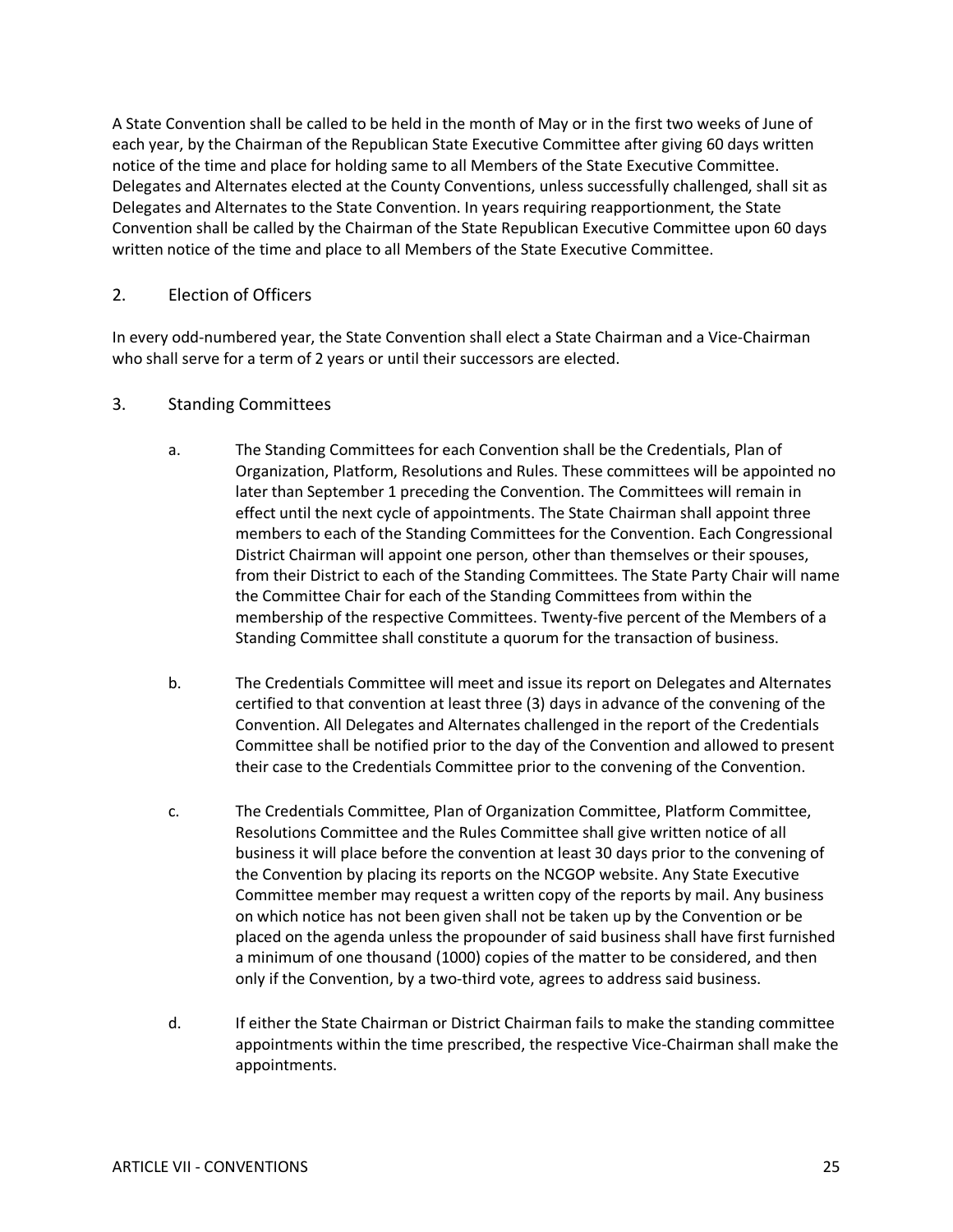A State Convention shall be called to be held in the month of May or in the first two weeks of June of each year, by the Chairman of the Republican State Executive Committee after giving 60 days written notice of the time and place for holding same to all Members of the State Executive Committee. Delegates and Alternates elected at the County Conventions, unless successfully challenged, shall sit as Delegates and Alternates to the State Convention. In years requiring reapportionment, the State Convention shall be called by the Chairman of the State Republican Executive Committee upon 60 days written notice of the time and place to all Members of the State Executive Committee.

### 2. Election of Officers

In every odd-numbered year, the State Convention shall elect a State Chairman and a Vice-Chairman who shall serve for a term of 2 years or until their successors are elected.

### 3. Standing Committees

- a. The Standing Committees for each Convention shall be the Credentials, Plan of Organization, Platform, Resolutions and Rules. These committees will be appointed no later than September 1 preceding the Convention. The Committees will remain in effect until the next cycle of appointments. The State Chairman shall appoint three members to each of the Standing Committees for the Convention. Each Congressional District Chairman will appoint one person, other than themselves or their spouses, from their District to each of the Standing Committees. The State Party Chair will name the Committee Chair for each of the Standing Committees from within the membership of the respective Committees. Twenty-five percent of the Members of a Standing Committee shall constitute a quorum for the transaction of business.
- b. The Credentials Committee will meet and issue its report on Delegates and Alternates certified to that convention at least three (3) days in advance of the convening of the Convention. All Delegates and Alternates challenged in the report of the Credentials Committee shall be notified prior to the day of the Convention and allowed to present their case to the Credentials Committee prior to the convening of the Convention.
- c. The Credentials Committee, Plan of Organization Committee, Platform Committee, Resolutions Committee and the Rules Committee shall give written notice of all business it will place before the convention at least 30 days prior to the convening of the Convention by placing its reports on the NCGOP website. Any State Executive Committee member may request a written copy of the reports by mail. Any business on which notice has not been given shall not be taken up by the Convention or be placed on the agenda unless the propounder of said business shall have first furnished a minimum of one thousand (1000) copies of the matter to be considered, and then only if the Convention, by a two-third vote, agrees to address said business.
- d. If either the State Chairman or District Chairman fails to make the standing committee appointments within the time prescribed, the respective Vice-Chairman shall make the appointments.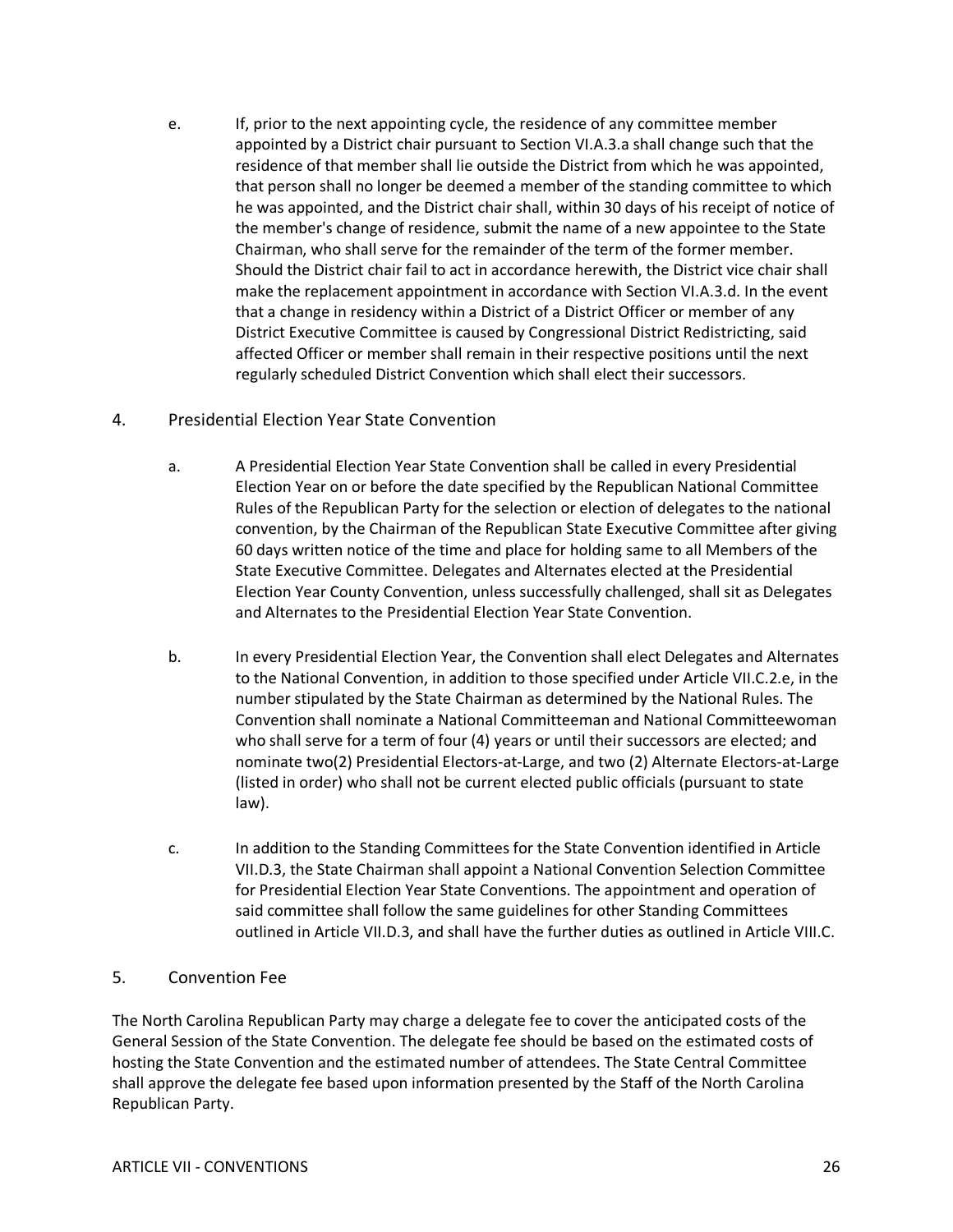e. If, prior to the next appointing cycle, the residence of any committee member appointed by a District chair pursuant to Section VI.A.3.a shall change such that the residence of that member shall lie outside the District from which he was appointed, that person shall no longer be deemed a member of the standing committee to which he was appointed, and the District chair shall, within 30 days of his receipt of notice of the member's change of residence, submit the name of a new appointee to the State Chairman, who shall serve for the remainder of the term of the former member. Should the District chair fail to act in accordance herewith, the District vice chair shall make the replacement appointment in accordance with Section VI.A.3.d. In the event that a change in residency within a District of a District Officer or member of any District Executive Committee is caused by Congressional District Redistricting, said affected Officer or member shall remain in their respective positions until the next regularly scheduled District Convention which shall elect their successors.

### 4. Presidential Election Year State Convention

- a. A Presidential Election Year State Convention shall be called in every Presidential Election Year on or before the date specified by the Republican National Committee Rules of the Republican Party for the selection or election of delegates to the national convention, by the Chairman of the Republican State Executive Committee after giving 60 days written notice of the time and place for holding same to all Members of the State Executive Committee. Delegates and Alternates elected at the Presidential Election Year County Convention, unless successfully challenged, shall sit as Delegates and Alternates to the Presidential Election Year State Convention.
- b. In every Presidential Election Year, the Convention shall elect Delegates and Alternates to the National Convention, in addition to those specified under Article VII.C.2.e, in the number stipulated by the State Chairman as determined by the National Rules. The Convention shall nominate a National Committeeman and National Committeewoman who shall serve for a term of four (4) years or until their successors are elected; and nominate two(2) Presidential Electors-at-Large, and two (2) Alternate Electors-at-Large (listed in order) who shall not be current elected public officials (pursuant to state law).
- c. In addition to the Standing Committees for the State Convention identified in Article VII.D.3, the State Chairman shall appoint a National Convention Selection Committee for Presidential Election Year State Conventions. The appointment and operation of said committee shall follow the same guidelines for other Standing Committees outlined in Article VII.D.3, and shall have the further duties as outlined in Article VIII.C.

#### 5. Convention Fee

The North Carolina Republican Party may charge a delegate fee to cover the anticipated costs of the General Session of the State Convention. The delegate fee should be based on the estimated costs of hosting the State Convention and the estimated number of attendees. The State Central Committee shall approve the delegate fee based upon information presented by the Staff of the North Carolina Republican Party.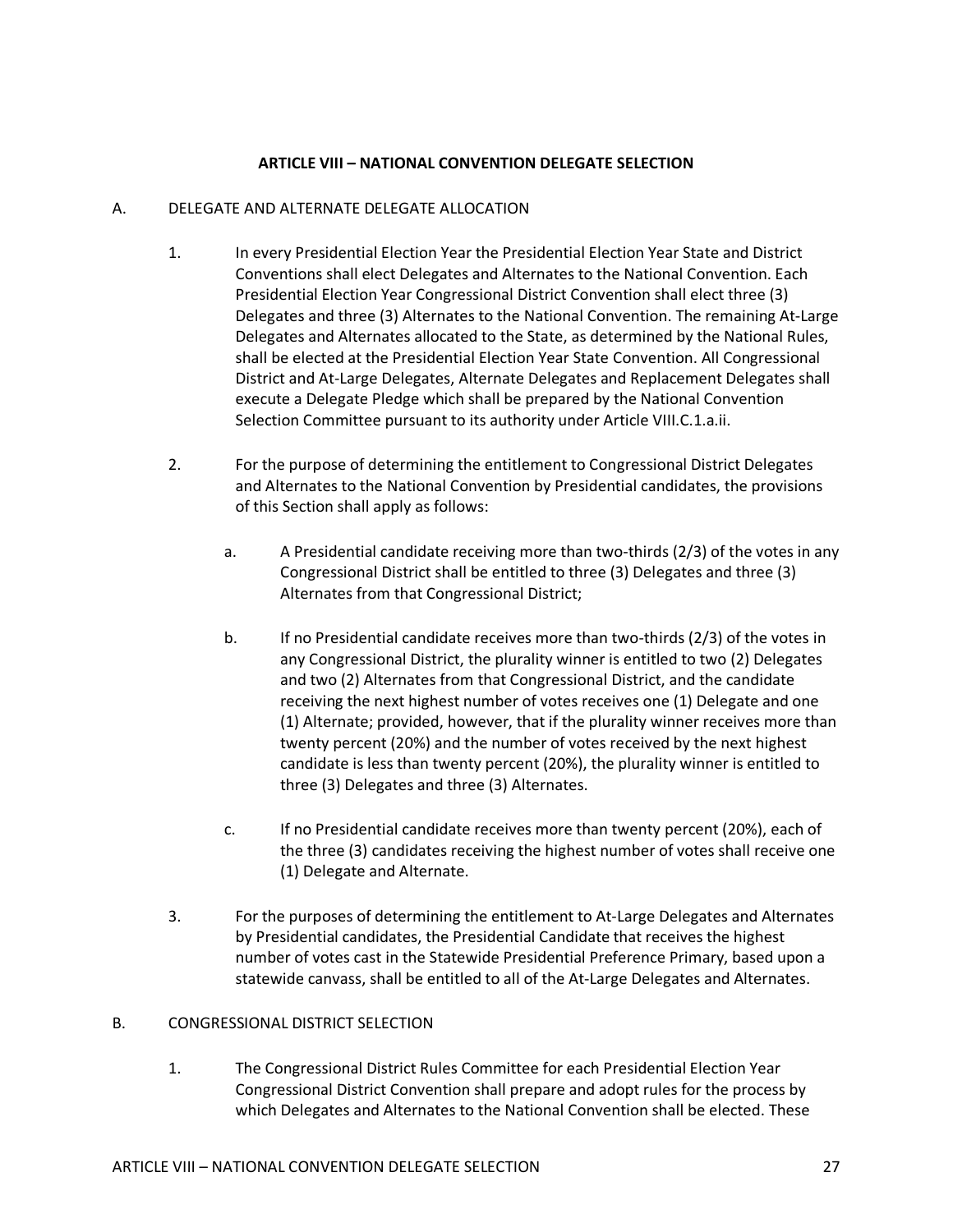#### **ARTICLE VIII – NATIONAL CONVENTION DELEGATE SELECTION**

#### A. DELEGATE AND ALTERNATE DELEGATE ALLOCATION

- 1. In every Presidential Election Year the Presidential Election Year State and District Conventions shall elect Delegates and Alternates to the National Convention. Each Presidential Election Year Congressional District Convention shall elect three (3) Delegates and three (3) Alternates to the National Convention. The remaining At-Large Delegates and Alternates allocated to the State, as determined by the National Rules, shall be elected at the Presidential Election Year State Convention. All Congressional District and At-Large Delegates, Alternate Delegates and Replacement Delegates shall execute a Delegate Pledge which shall be prepared by the National Convention Selection Committee pursuant to its authority under Article VIII.C.1.a.ii.
- 2. For the purpose of determining the entitlement to Congressional District Delegates and Alternates to the National Convention by Presidential candidates, the provisions of this Section shall apply as follows:
	- a. A Presidential candidate receiving more than two-thirds (2/3) of the votes in any Congressional District shall be entitled to three (3) Delegates and three (3) Alternates from that Congressional District;
	- b. If no Presidential candidate receives more than two-thirds (2/3) of the votes in any Congressional District, the plurality winner is entitled to two (2) Delegates and two (2) Alternates from that Congressional District, and the candidate receiving the next highest number of votes receives one (1) Delegate and one (1) Alternate; provided, however, that if the plurality winner receives more than twenty percent (20%) and the number of votes received by the next highest candidate is less than twenty percent (20%), the plurality winner is entitled to three (3) Delegates and three (3) Alternates.
	- c. If no Presidential candidate receives more than twenty percent (20%), each of the three (3) candidates receiving the highest number of votes shall receive one (1) Delegate and Alternate.
- 3. For the purposes of determining the entitlement to At-Large Delegates and Alternates by Presidential candidates, the Presidential Candidate that receives the highest number of votes cast in the Statewide Presidential Preference Primary, based upon a statewide canvass, shall be entitled to all of the At-Large Delegates and Alternates.

#### B. CONGRESSIONAL DISTRICT SELECTION

1. The Congressional District Rules Committee for each Presidential Election Year Congressional District Convention shall prepare and adopt rules for the process by which Delegates and Alternates to the National Convention shall be elected. These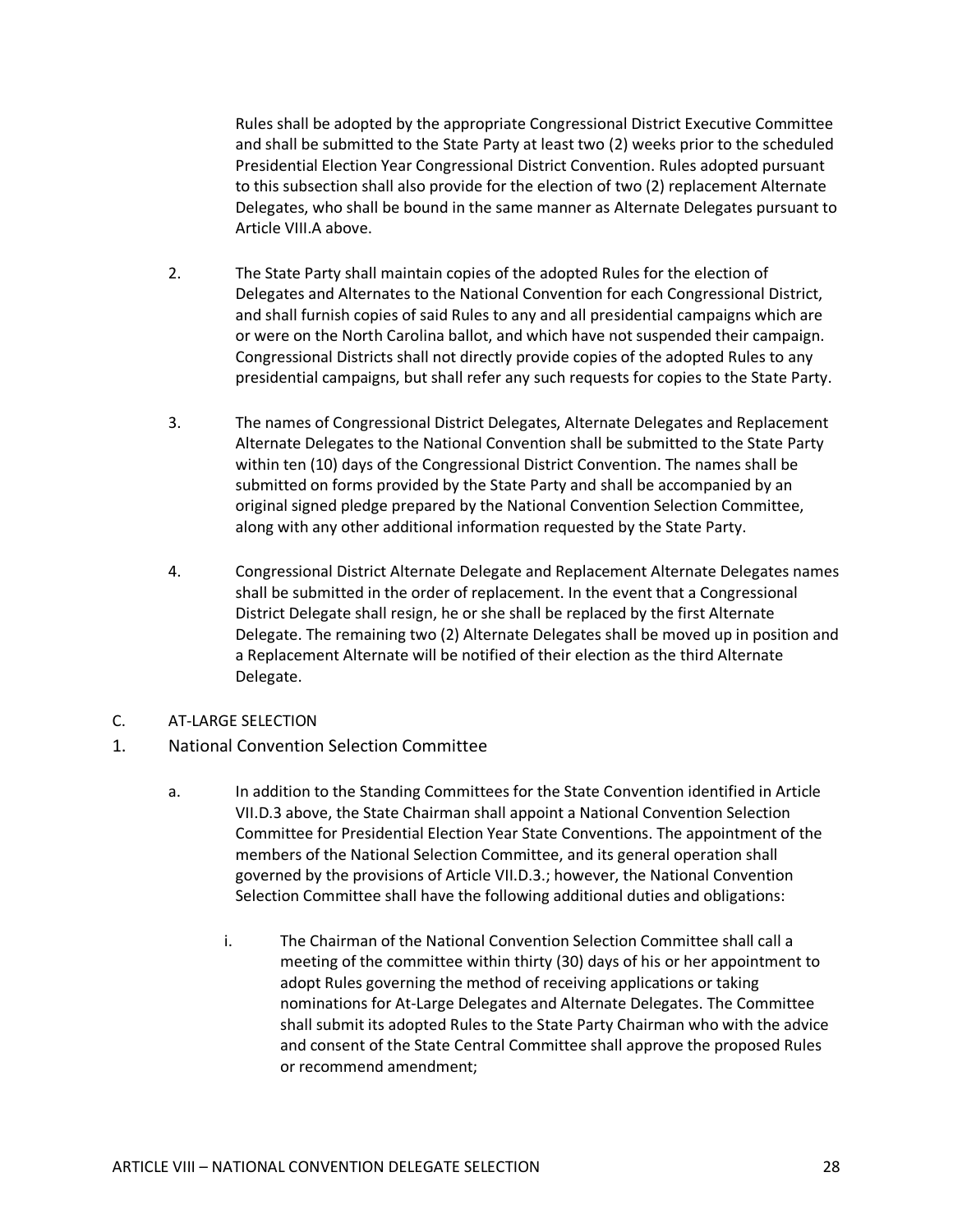Rules shall be adopted by the appropriate Congressional District Executive Committee and shall be submitted to the State Party at least two (2) weeks prior to the scheduled Presidential Election Year Congressional District Convention. Rules adopted pursuant to this subsection shall also provide for the election of two (2) replacement Alternate Delegates, who shall be bound in the same manner as Alternate Delegates pursuant to Article VIII.A above.

- 2. The State Party shall maintain copies of the adopted Rules for the election of Delegates and Alternates to the National Convention for each Congressional District, and shall furnish copies of said Rules to any and all presidential campaigns which are or were on the North Carolina ballot, and which have not suspended their campaign. Congressional Districts shall not directly provide copies of the adopted Rules to any presidential campaigns, but shall refer any such requests for copies to the State Party.
- 3. The names of Congressional District Delegates, Alternate Delegates and Replacement Alternate Delegates to the National Convention shall be submitted to the State Party within ten (10) days of the Congressional District Convention. The names shall be submitted on forms provided by the State Party and shall be accompanied by an original signed pledge prepared by the National Convention Selection Committee, along with any other additional information requested by the State Party.
- 4. Congressional District Alternate Delegate and Replacement Alternate Delegates names shall be submitted in the order of replacement. In the event that a Congressional District Delegate shall resign, he or she shall be replaced by the first Alternate Delegate. The remaining two (2) Alternate Delegates shall be moved up in position and a Replacement Alternate will be notified of their election as the third Alternate Delegate.
- C. AT-LARGE SELECTION
- 1. National Convention Selection Committee
	- a. In addition to the Standing Committees for the State Convention identified in Article VII.D.3 above, the State Chairman shall appoint a National Convention Selection Committee for Presidential Election Year State Conventions. The appointment of the members of the National Selection Committee, and its general operation shall governed by the provisions of Article VII.D.3.; however, the National Convention Selection Committee shall have the following additional duties and obligations:
		- i. The Chairman of the National Convention Selection Committee shall call a meeting of the committee within thirty (30) days of his or her appointment to adopt Rules governing the method of receiving applications or taking nominations for At-Large Delegates and Alternate Delegates. The Committee shall submit its adopted Rules to the State Party Chairman who with the advice and consent of the State Central Committee shall approve the proposed Rules or recommend amendment;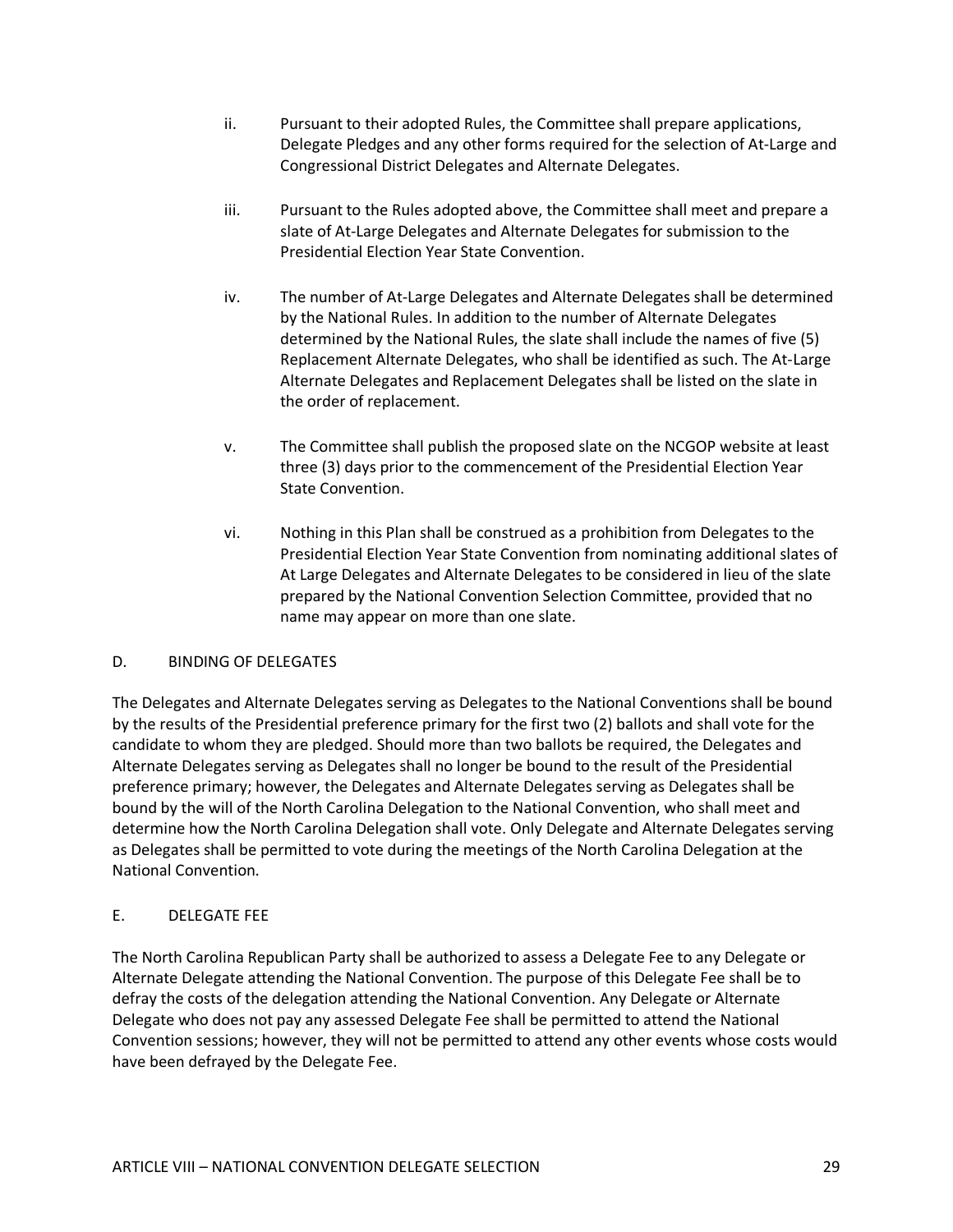- ii. Pursuant to their adopted Rules, the Committee shall prepare applications, Delegate Pledges and any other forms required for the selection of At-Large and Congressional District Delegates and Alternate Delegates.
- iii. Pursuant to the Rules adopted above, the Committee shall meet and prepare a slate of At-Large Delegates and Alternate Delegates for submission to the Presidential Election Year State Convention.
- iv. The number of At-Large Delegates and Alternate Delegates shall be determined by the National Rules. In addition to the number of Alternate Delegates determined by the National Rules, the slate shall include the names of five (5) Replacement Alternate Delegates, who shall be identified as such. The At-Large Alternate Delegates and Replacement Delegates shall be listed on the slate in the order of replacement.
- v. The Committee shall publish the proposed slate on the NCGOP website at least three (3) days prior to the commencement of the Presidential Election Year State Convention.
- vi. Nothing in this Plan shall be construed as a prohibition from Delegates to the Presidential Election Year State Convention from nominating additional slates of At Large Delegates and Alternate Delegates to be considered in lieu of the slate prepared by the National Convention Selection Committee, provided that no name may appear on more than one slate.

#### D. BINDING OF DELEGATES

The Delegates and Alternate Delegates serving as Delegates to the National Conventions shall be bound by the results of the Presidential preference primary for the first two (2) ballots and shall vote for the candidate to whom they are pledged. Should more than two ballots be required, the Delegates and Alternate Delegates serving as Delegates shall no longer be bound to the result of the Presidential preference primary; however, the Delegates and Alternate Delegates serving as Delegates shall be bound by the will of the North Carolina Delegation to the National Convention, who shall meet and determine how the North Carolina Delegation shall vote. Only Delegate and Alternate Delegates serving as Delegates shall be permitted to vote during the meetings of the North Carolina Delegation at the National Convention.

### E. DELEGATE FEE

The North Carolina Republican Party shall be authorized to assess a Delegate Fee to any Delegate or Alternate Delegate attending the National Convention. The purpose of this Delegate Fee shall be to defray the costs of the delegation attending the National Convention. Any Delegate or Alternate Delegate who does not pay any assessed Delegate Fee shall be permitted to attend the National Convention sessions; however, they will not be permitted to attend any other events whose costs would have been defrayed by the Delegate Fee.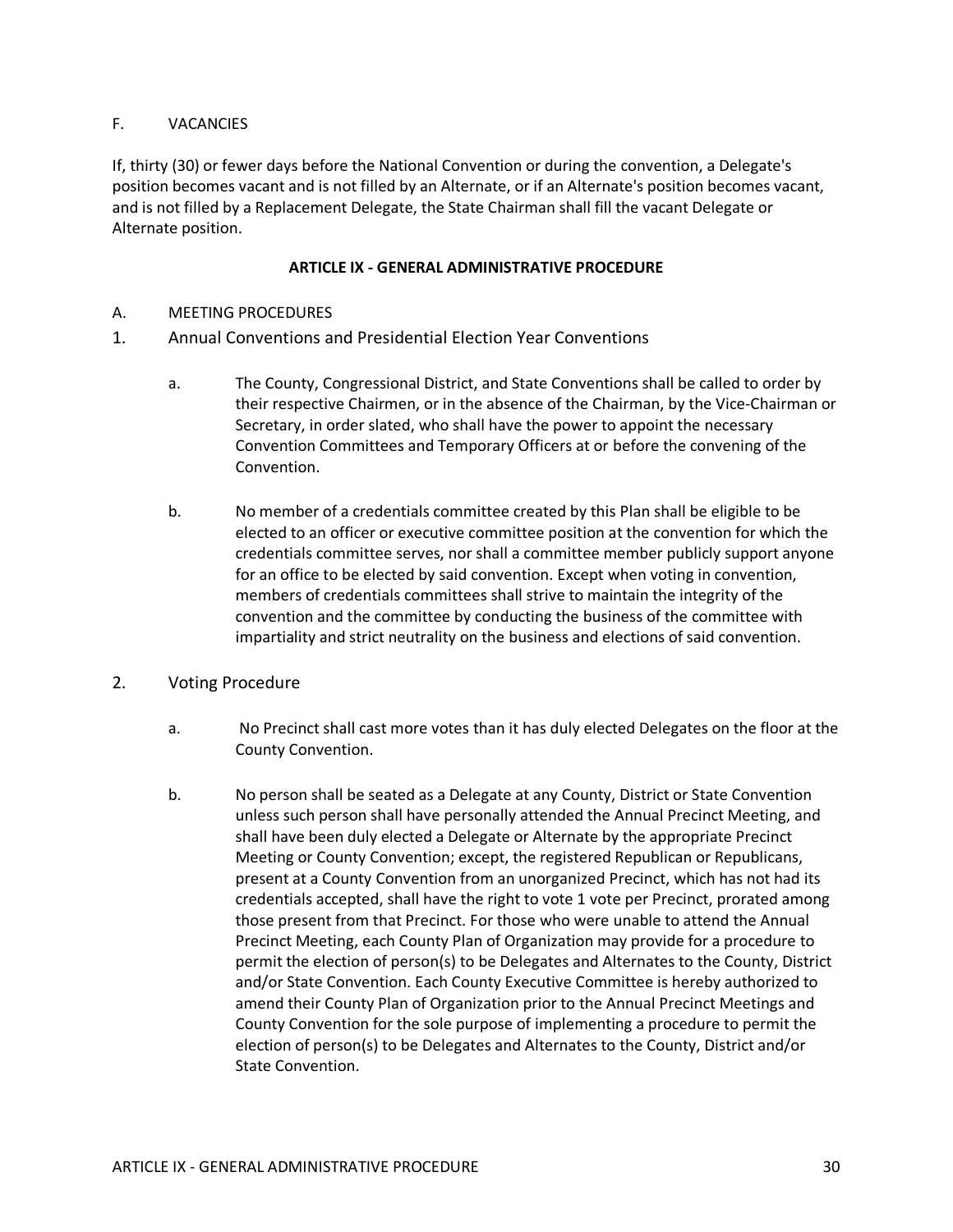### F. VACANCIES

If, thirty (30) or fewer days before the National Convention or during the convention, a Delegate's position becomes vacant and is not filled by an Alternate, or if an Alternate's position becomes vacant, and is not filled by a Replacement Delegate, the State Chairman shall fill the vacant Delegate or Alternate position.

#### **ARTICLE IX - GENERAL ADMINISTRATIVE PROCEDURE**

- A. MEETING PROCEDURES
- 1. Annual Conventions and Presidential Election Year Conventions
	- a. The County, Congressional District, and State Conventions shall be called to order by their respective Chairmen, or in the absence of the Chairman, by the Vice-Chairman or Secretary, in order slated, who shall have the power to appoint the necessary Convention Committees and Temporary Officers at or before the convening of the Convention.
	- b. No member of a credentials committee created by this Plan shall be eligible to be elected to an officer or executive committee position at the convention for which the credentials committee serves, nor shall a committee member publicly support anyone for an office to be elected by said convention. Except when voting in convention, members of credentials committees shall strive to maintain the integrity of the convention and the committee by conducting the business of the committee with impartiality and strict neutrality on the business and elections of said convention.
- 2. Voting Procedure
	- a. No Precinct shall cast more votes than it has duly elected Delegates on the floor at the County Convention.
	- b. No person shall be seated as a Delegate at any County, District or State Convention unless such person shall have personally attended the Annual Precinct Meeting, and shall have been duly elected a Delegate or Alternate by the appropriate Precinct Meeting or County Convention; except, the registered Republican or Republicans, present at a County Convention from an unorganized Precinct, which has not had its credentials accepted, shall have the right to vote 1 vote per Precinct, prorated among those present from that Precinct. For those who were unable to attend the Annual Precinct Meeting, each County Plan of Organization may provide for a procedure to permit the election of person(s) to be Delegates and Alternates to the County, District and/or State Convention. Each County Executive Committee is hereby authorized to amend their County Plan of Organization prior to the Annual Precinct Meetings and County Convention for the sole purpose of implementing a procedure to permit the election of person(s) to be Delegates and Alternates to the County, District and/or State Convention.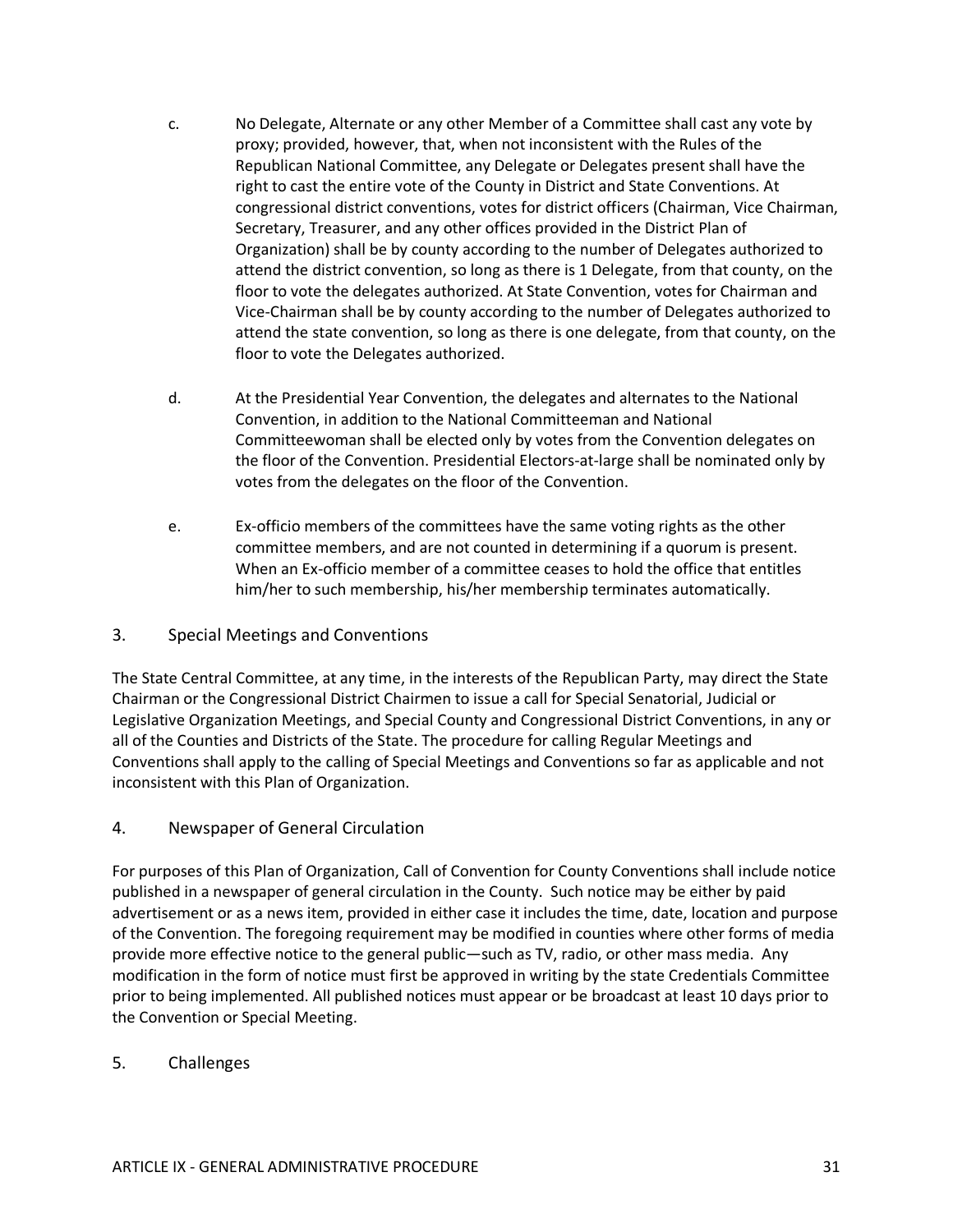- c. No Delegate, Alternate or any other Member of a Committee shall cast any vote by proxy; provided, however, that, when not inconsistent with the Rules of the Republican National Committee, any Delegate or Delegates present shall have the right to cast the entire vote of the County in District and State Conventions. At congressional district conventions, votes for district officers (Chairman, Vice Chairman, Secretary, Treasurer, and any other offices provided in the District Plan of Organization) shall be by county according to the number of Delegates authorized to attend the district convention, so long as there is 1 Delegate, from that county, on the floor to vote the delegates authorized. At State Convention, votes for Chairman and Vice-Chairman shall be by county according to the number of Delegates authorized to attend the state convention, so long as there is one delegate, from that county, on the floor to vote the Delegates authorized.
- d. At the Presidential Year Convention, the delegates and alternates to the National Convention, in addition to the National Committeeman and National Committeewoman shall be elected only by votes from the Convention delegates on the floor of the Convention. Presidential Electors-at-large shall be nominated only by votes from the delegates on the floor of the Convention.
- e. Ex-officio members of the committees have the same voting rights as the other committee members, and are not counted in determining if a quorum is present. When an Ex-officio member of a committee ceases to hold the office that entitles him/her to such membership, his/her membership terminates automatically.

### 3. Special Meetings and Conventions

The State Central Committee, at any time, in the interests of the Republican Party, may direct the State Chairman or the Congressional District Chairmen to issue a call for Special Senatorial, Judicial or Legislative Organization Meetings, and Special County and Congressional District Conventions, in any or all of the Counties and Districts of the State. The procedure for calling Regular Meetings and Conventions shall apply to the calling of Special Meetings and Conventions so far as applicable and not inconsistent with this Plan of Organization.

### 4. Newspaper of General Circulation

For purposes of this Plan of Organization, Call of Convention for County Conventions shall include notice published in a newspaper of general circulation in the County. Such notice may be either by paid advertisement or as a news item, provided in either case it includes the time, date, location and purpose of the Convention. The foregoing requirement may be modified in counties where other forms of media provide more effective notice to the general public—such as TV, radio, or other mass media. Any modification in the form of notice must first be approved in writing by the state Credentials Committee prior to being implemented. All published notices must appear or be broadcast at least 10 days prior to the Convention or Special Meeting.

### 5. Challenges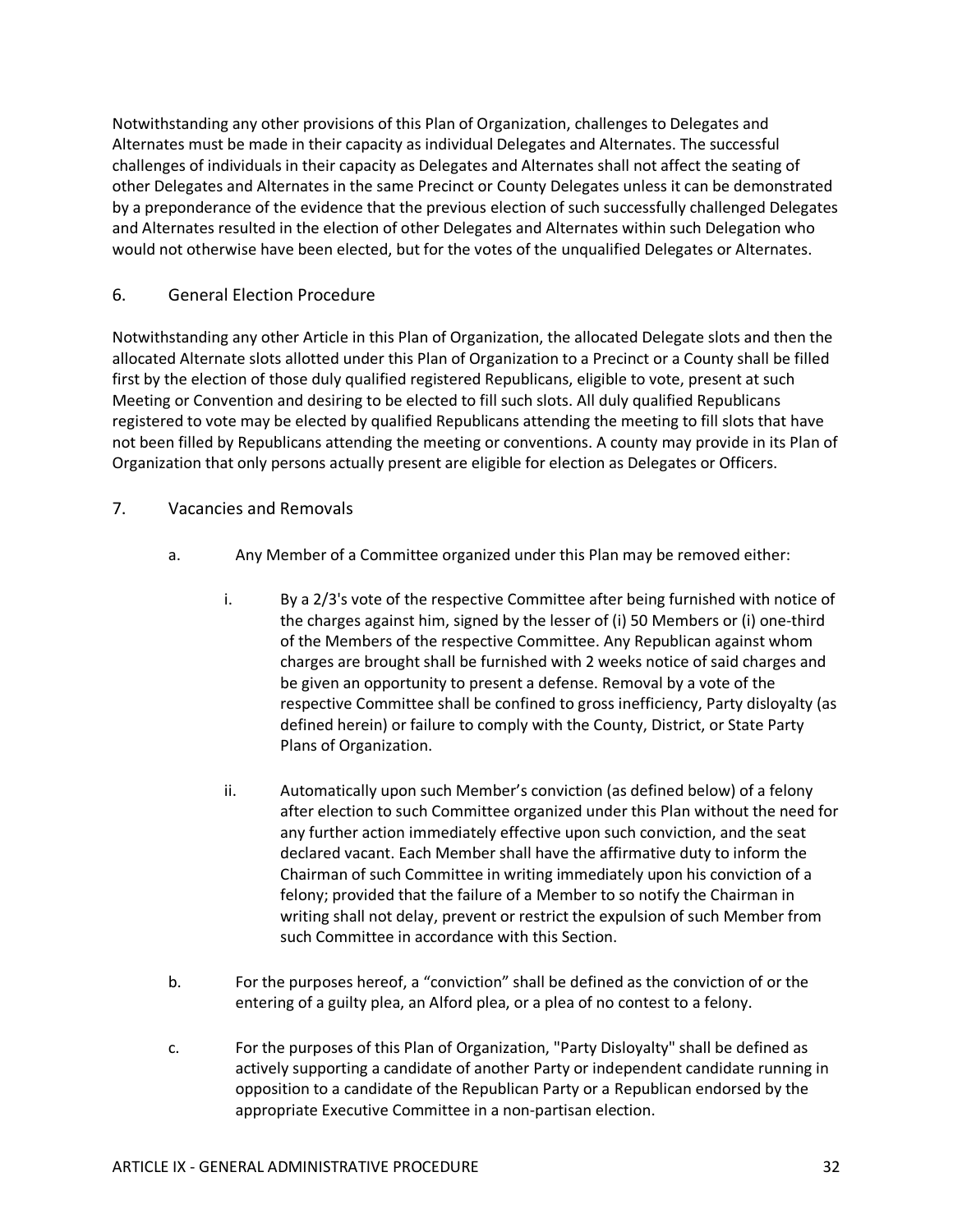Notwithstanding any other provisions of this Plan of Organization, challenges to Delegates and Alternates must be made in their capacity as individual Delegates and Alternates. The successful challenges of individuals in their capacity as Delegates and Alternates shall not affect the seating of other Delegates and Alternates in the same Precinct or County Delegates unless it can be demonstrated by a preponderance of the evidence that the previous election of such successfully challenged Delegates and Alternates resulted in the election of other Delegates and Alternates within such Delegation who would not otherwise have been elected, but for the votes of the unqualified Delegates or Alternates.

## 6. General Election Procedure

Notwithstanding any other Article in this Plan of Organization, the allocated Delegate slots and then the allocated Alternate slots allotted under this Plan of Organization to a Precinct or a County shall be filled first by the election of those duly qualified registered Republicans, eligible to vote, present at such Meeting or Convention and desiring to be elected to fill such slots. All duly qualified Republicans registered to vote may be elected by qualified Republicans attending the meeting to fill slots that have not been filled by Republicans attending the meeting or conventions. A county may provide in its Plan of Organization that only persons actually present are eligible for election as Delegates or Officers.

### 7. Vacancies and Removals

- a. Any Member of a Committee organized under this Plan may be removed either:
	- i. By a 2/3's vote of the respective Committee after being furnished with notice of the charges against him, signed by the lesser of (i) 50 Members or (i) one-third of the Members of the respective Committee. Any Republican against whom charges are brought shall be furnished with 2 weeks notice of said charges and be given an opportunity to present a defense. Removal by a vote of the respective Committee shall be confined to gross inefficiency, Party disloyalty (as defined herein) or failure to comply with the County, District, or State Party Plans of Organization.
	- ii. Automatically upon such Member's conviction (as defined below) of a felony after election to such Committee organized under this Plan without the need for any further action immediately effective upon such conviction, and the seat declared vacant. Each Member shall have the affirmative duty to inform the Chairman of such Committee in writing immediately upon his conviction of a felony; provided that the failure of a Member to so notify the Chairman in writing shall not delay, prevent or restrict the expulsion of such Member from such Committee in accordance with this Section.
- b. For the purposes hereof, a "conviction" shall be defined as the conviction of or the entering of a guilty plea, an Alford plea, or a plea of no contest to a felony.
- c. For the purposes of this Plan of Organization, "Party Disloyalty" shall be defined as actively supporting a candidate of another Party or independent candidate running in opposition to a candidate of the Republican Party or a Republican endorsed by the appropriate Executive Committee in a non-partisan election.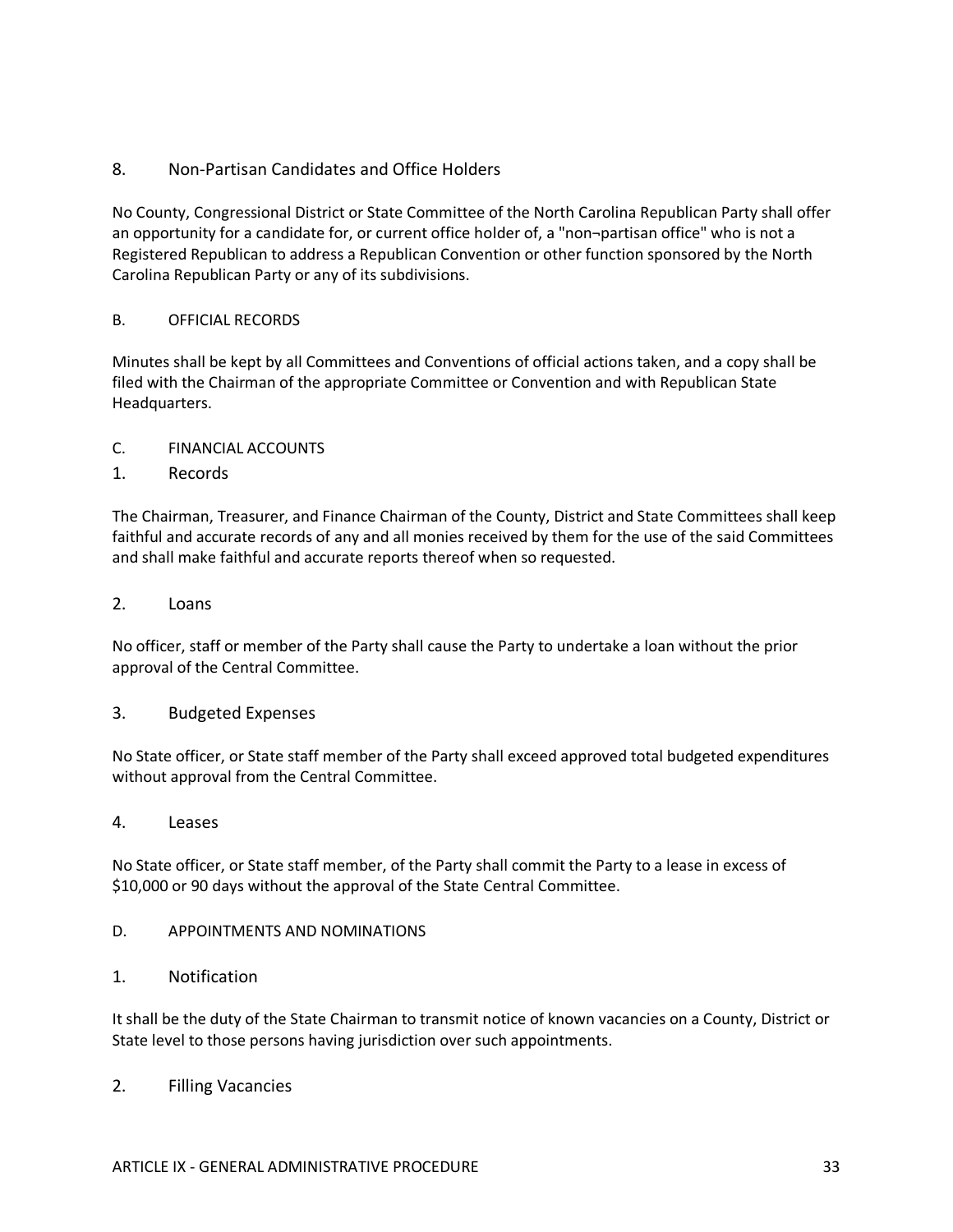## 8. Non-Partisan Candidates and Office Holders

No County, Congressional District or State Committee of the North Carolina Republican Party shall offer an opportunity for a candidate for, or current office holder of, a "non¬partisan office" who is not a Registered Republican to address a Republican Convention or other function sponsored by the North Carolina Republican Party or any of its subdivisions.

### B. OFFICIAL RECORDS

Minutes shall be kept by all Committees and Conventions of official actions taken, and a copy shall be filed with the Chairman of the appropriate Committee or Convention and with Republican State Headquarters.

- C. FINANCIAL ACCOUNTS
- 1. Records

The Chairman, Treasurer, and Finance Chairman of the County, District and State Committees shall keep faithful and accurate records of any and all monies received by them for the use of the said Committees and shall make faithful and accurate reports thereof when so requested.

2. Loans

No officer, staff or member of the Party shall cause the Party to undertake a loan without the prior approval of the Central Committee.

#### 3. Budgeted Expenses

No State officer, or State staff member of the Party shall exceed approved total budgeted expenditures without approval from the Central Committee.

4. Leases

No State officer, or State staff member, of the Party shall commit the Party to a lease in excess of \$10,000 or 90 days without the approval of the State Central Committee.

- D. APPOINTMENTS AND NOMINATIONS
- 1. Notification

It shall be the duty of the State Chairman to transmit notice of known vacancies on a County, District or State level to those persons having jurisdiction over such appointments.

2. Filling Vacancies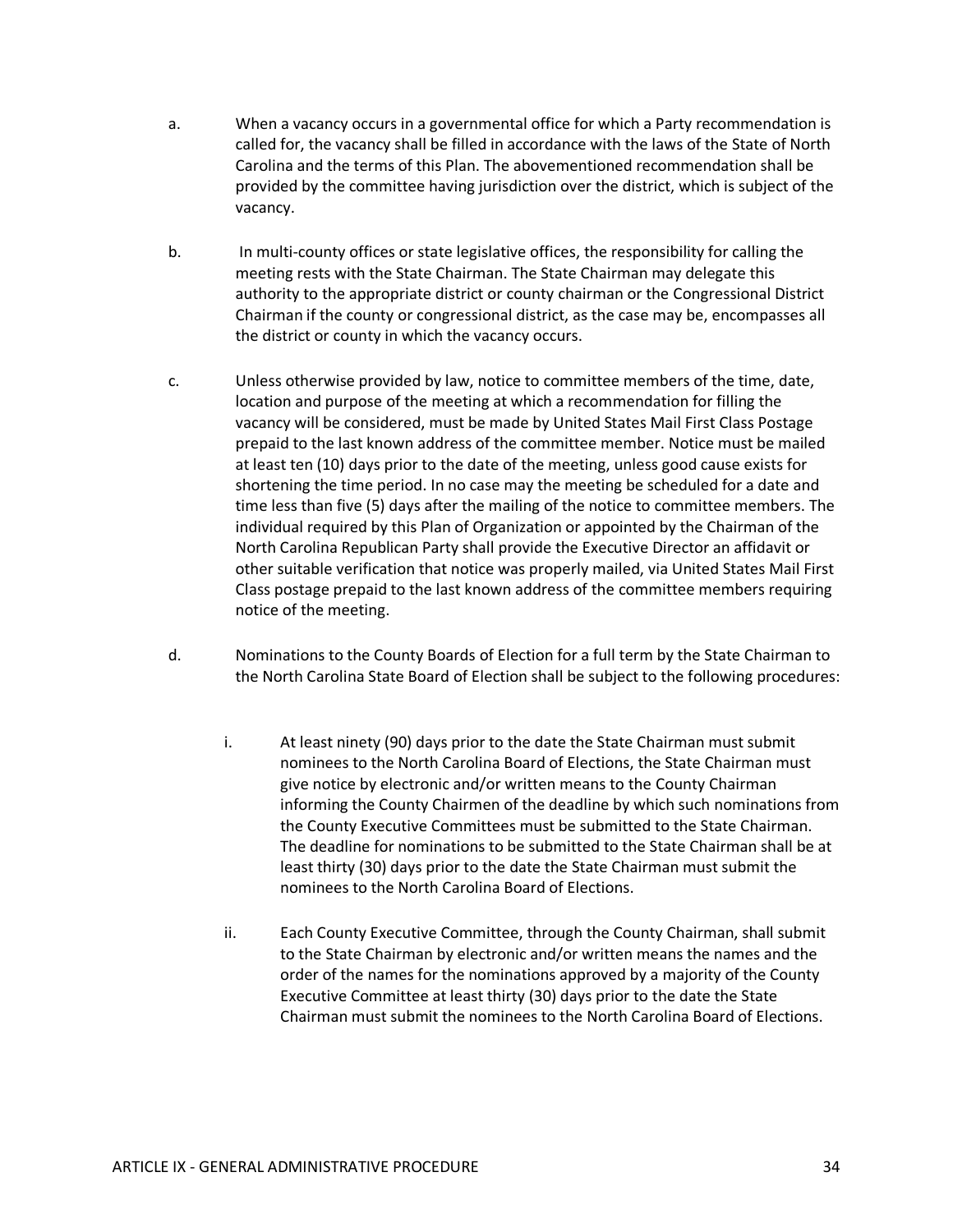- a. When a vacancy occurs in a governmental office for which a Party recommendation is called for, the vacancy shall be filled in accordance with the laws of the State of North Carolina and the terms of this Plan. The abovementioned recommendation shall be provided by the committee having jurisdiction over the district, which is subject of the vacancy.
- b. In multi-county offices or state legislative offices, the responsibility for calling the meeting rests with the State Chairman. The State Chairman may delegate this authority to the appropriate district or county chairman or the Congressional District Chairman if the county or congressional district, as the case may be, encompasses all the district or county in which the vacancy occurs.
- c. Unless otherwise provided by law, notice to committee members of the time, date, location and purpose of the meeting at which a recommendation for filling the vacancy will be considered, must be made by United States Mail First Class Postage prepaid to the last known address of the committee member. Notice must be mailed at least ten (10) days prior to the date of the meeting, unless good cause exists for shortening the time period. In no case may the meeting be scheduled for a date and time less than five (5) days after the mailing of the notice to committee members. The individual required by this Plan of Organization or appointed by the Chairman of the North Carolina Republican Party shall provide the Executive Director an affidavit or other suitable verification that notice was properly mailed, via United States Mail First Class postage prepaid to the last known address of the committee members requiring notice of the meeting.
- d. Nominations to the County Boards of Election for a full term by the State Chairman to the North Carolina State Board of Election shall be subject to the following procedures:
	- i. At least ninety (90) days prior to the date the State Chairman must submit nominees to the North Carolina Board of Elections, the State Chairman must give notice by electronic and/or written means to the County Chairman informing the County Chairmen of the deadline by which such nominations from the County Executive Committees must be submitted to the State Chairman. The deadline for nominations to be submitted to the State Chairman shall be at least thirty (30) days prior to the date the State Chairman must submit the nominees to the North Carolina Board of Elections.
	- ii. Each County Executive Committee, through the County Chairman, shall submit to the State Chairman by electronic and/or written means the names and the order of the names for the nominations approved by a majority of the County Executive Committee at least thirty (30) days prior to the date the State Chairman must submit the nominees to the North Carolina Board of Elections.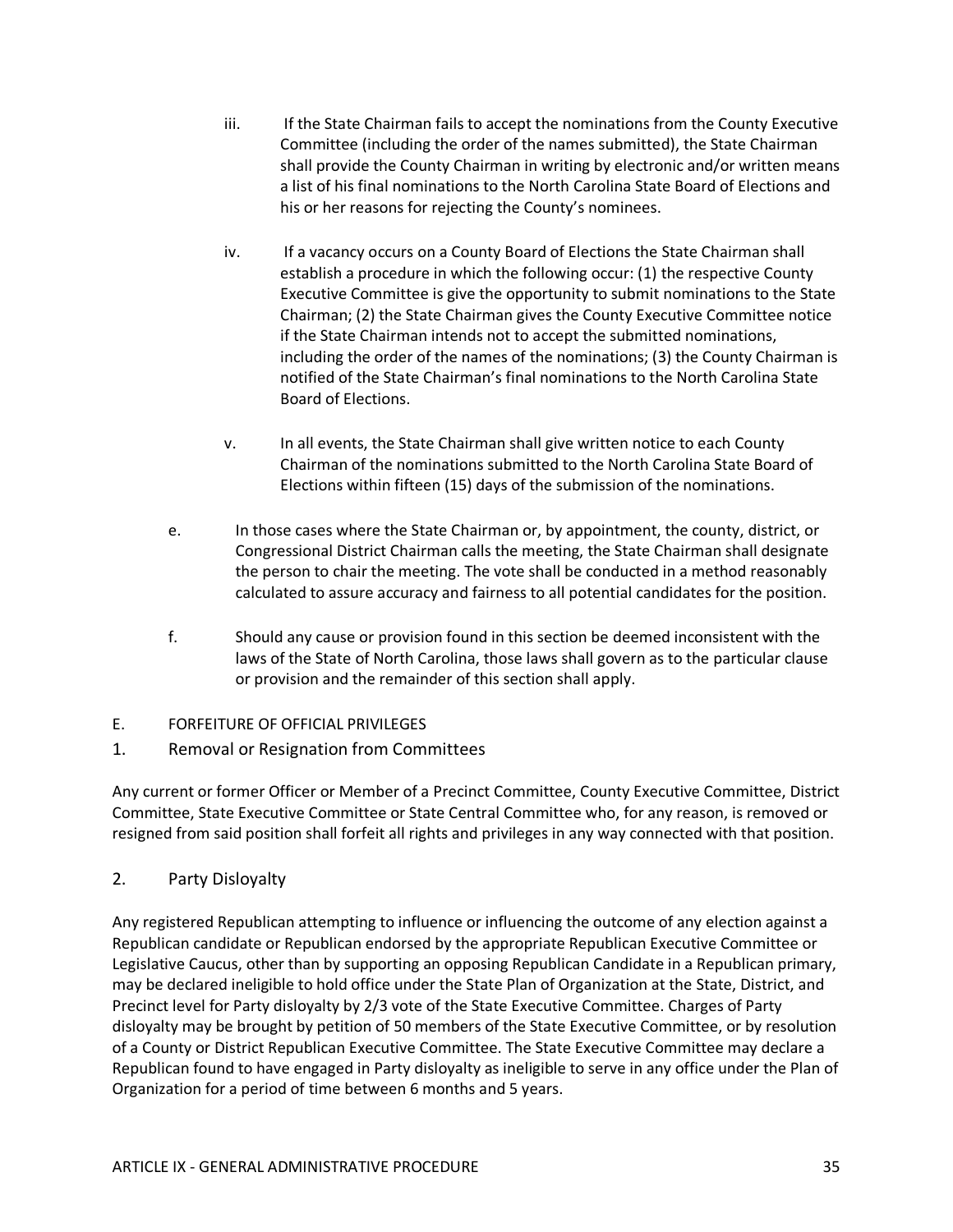- iii. If the State Chairman fails to accept the nominations from the County Executive Committee (including the order of the names submitted), the State Chairman shall provide the County Chairman in writing by electronic and/or written means a list of his final nominations to the North Carolina State Board of Elections and his or her reasons for rejecting the County's nominees.
- iv. If a vacancy occurs on a County Board of Elections the State Chairman shall establish a procedure in which the following occur: (1) the respective County Executive Committee is give the opportunity to submit nominations to the State Chairman; (2) the State Chairman gives the County Executive Committee notice if the State Chairman intends not to accept the submitted nominations, including the order of the names of the nominations; (3) the County Chairman is notified of the State Chairman's final nominations to the North Carolina State Board of Elections.
- v. In all events, the State Chairman shall give written notice to each County Chairman of the nominations submitted to the North Carolina State Board of Elections within fifteen (15) days of the submission of the nominations.
- e. In those cases where the State Chairman or, by appointment, the county, district, or Congressional District Chairman calls the meeting, the State Chairman shall designate the person to chair the meeting. The vote shall be conducted in a method reasonably calculated to assure accuracy and fairness to all potential candidates for the position.
- f. Should any cause or provision found in this section be deemed inconsistent with the laws of the State of North Carolina, those laws shall govern as to the particular clause or provision and the remainder of this section shall apply.
- E. FORFEITURE OF OFFICIAL PRIVILEGES
- 1. Removal or Resignation from Committees

Any current or former Officer or Member of a Precinct Committee, County Executive Committee, District Committee, State Executive Committee or State Central Committee who, for any reason, is removed or resigned from said position shall forfeit all rights and privileges in any way connected with that position.

2. Party Disloyalty

Any registered Republican attempting to influence or influencing the outcome of any election against a Republican candidate or Republican endorsed by the appropriate Republican Executive Committee or Legislative Caucus, other than by supporting an opposing Republican Candidate in a Republican primary, may be declared ineligible to hold office under the State Plan of Organization at the State, District, and Precinct level for Party disloyalty by 2/3 vote of the State Executive Committee. Charges of Party disloyalty may be brought by petition of 50 members of the State Executive Committee, or by resolution of a County or District Republican Executive Committee. The State Executive Committee may declare a Republican found to have engaged in Party disloyalty as ineligible to serve in any office under the Plan of Organization for a period of time between 6 months and 5 years.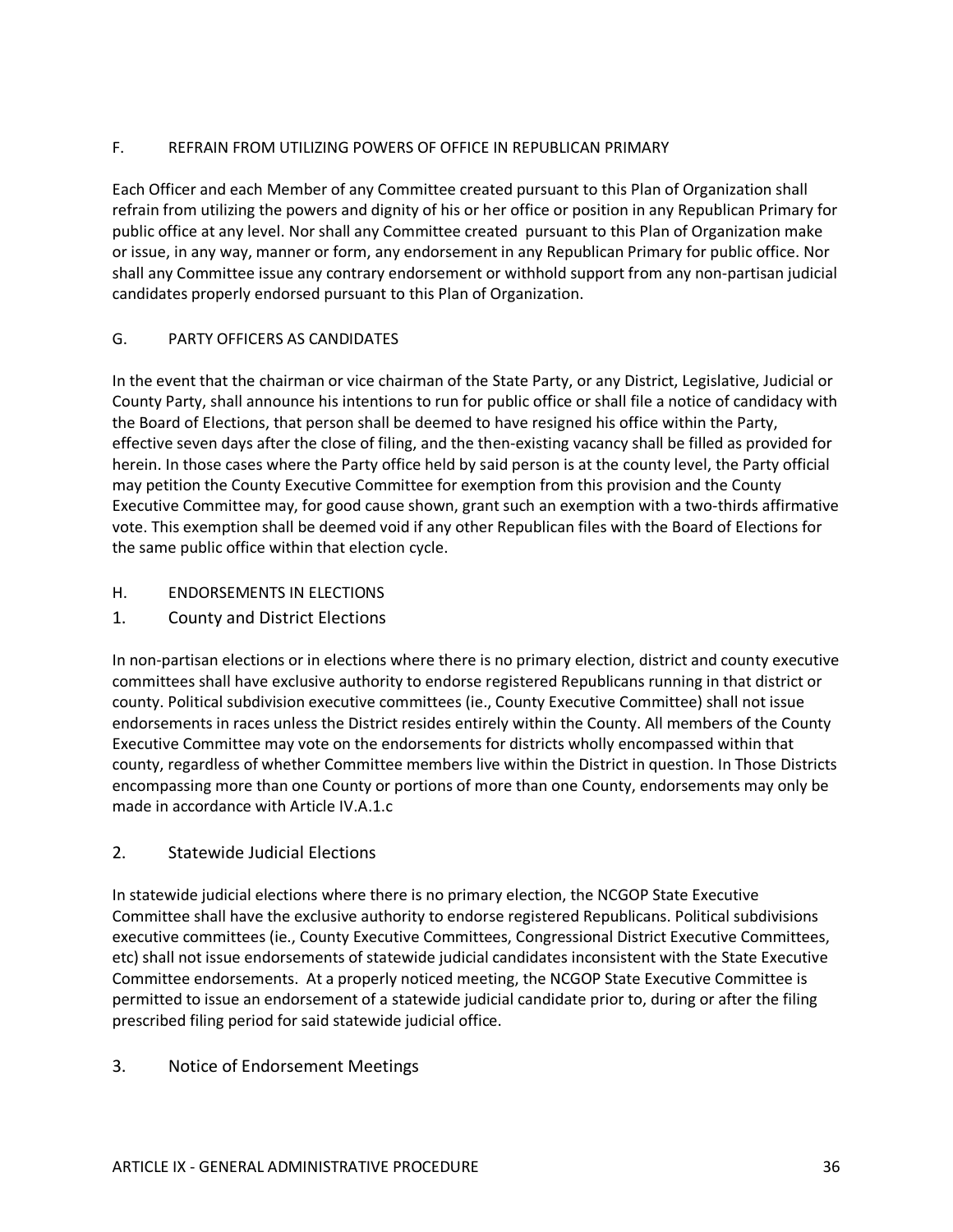### F. REFRAIN FROM UTILIZING POWERS OF OFFICE IN REPUBLICAN PRIMARY

Each Officer and each Member of any Committee created pursuant to this Plan of Organization shall refrain from utilizing the powers and dignity of his or her office or position in any Republican Primary for public office at any level. Nor shall any Committee created pursuant to this Plan of Organization make or issue, in any way, manner or form, any endorsement in any Republican Primary for public office. Nor shall any Committee issue any contrary endorsement or withhold support from any non-partisan judicial candidates properly endorsed pursuant to this Plan of Organization.

### G. PARTY OFFICERS AS CANDIDATES

In the event that the chairman or vice chairman of the State Party, or any District, Legislative, Judicial or County Party, shall announce his intentions to run for public office or shall file a notice of candidacy with the Board of Elections, that person shall be deemed to have resigned his office within the Party, effective seven days after the close of filing, and the then-existing vacancy shall be filled as provided for herein. In those cases where the Party office held by said person is at the county level, the Party official may petition the County Executive Committee for exemption from this provision and the County Executive Committee may, for good cause shown, grant such an exemption with a two-thirds affirmative vote. This exemption shall be deemed void if any other Republican files with the Board of Elections for the same public office within that election cycle.

- H. ENDORSEMENTS IN ELECTIONS
- 1. County and District Elections

In non-partisan elections or in elections where there is no primary election, district and county executive committees shall have exclusive authority to endorse registered Republicans running in that district or county. Political subdivision executive committees (ie., County Executive Committee) shall not issue endorsements in races unless the District resides entirely within the County. All members of the County Executive Committee may vote on the endorsements for districts wholly encompassed within that county, regardless of whether Committee members live within the District in question. In Those Districts encompassing more than one County or portions of more than one County, endorsements may only be made in accordance with Article IV.A.1.c

### 2. Statewide Judicial Elections

In statewide judicial elections where there is no primary election, the NCGOP State Executive Committee shall have the exclusive authority to endorse registered Republicans. Political subdivisions executive committees (ie., County Executive Committees, Congressional District Executive Committees, etc) shall not issue endorsements of statewide judicial candidates inconsistent with the State Executive Committee endorsements. At a properly noticed meeting, the NCGOP State Executive Committee is permitted to issue an endorsement of a statewide judicial candidate prior to, during or after the filing prescribed filing period for said statewide judicial office.

### 3. Notice of Endorsement Meetings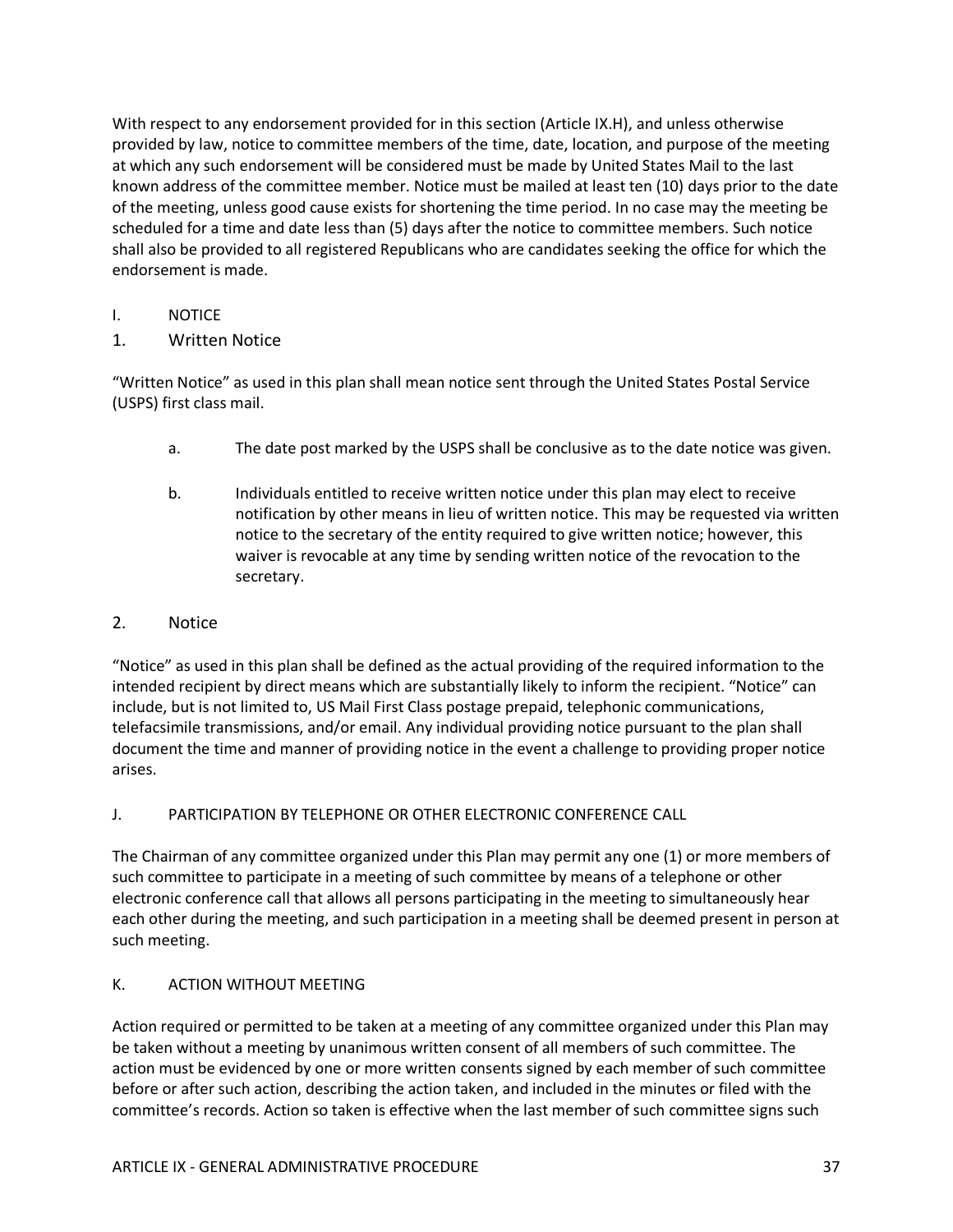With respect to any endorsement provided for in this section (Article IX.H), and unless otherwise provided by law, notice to committee members of the time, date, location, and purpose of the meeting at which any such endorsement will be considered must be made by United States Mail to the last known address of the committee member. Notice must be mailed at least ten (10) days prior to the date of the meeting, unless good cause exists for shortening the time period. In no case may the meeting be scheduled for a time and date less than (5) days after the notice to committee members. Such notice shall also be provided to all registered Republicans who are candidates seeking the office for which the endorsement is made.

- I. NOTICE
- 1. Written Notice

"Written Notice" as used in this plan shall mean notice sent through the United States Postal Service (USPS) first class mail.

- a. The date post marked by the USPS shall be conclusive as to the date notice was given.
- b. Individuals entitled to receive written notice under this plan may elect to receive notification by other means in lieu of written notice. This may be requested via written notice to the secretary of the entity required to give written notice; however, this waiver is revocable at any time by sending written notice of the revocation to the secretary.

#### 2. Notice

"Notice" as used in this plan shall be defined as the actual providing of the required information to the intended recipient by direct means which are substantially likely to inform the recipient. "Notice" can include, but is not limited to, US Mail First Class postage prepaid, telephonic communications, telefacsimile transmissions, and/or email. Any individual providing notice pursuant to the plan shall document the time and manner of providing notice in the event a challenge to providing proper notice arises.

#### J. PARTICIPATION BY TELEPHONE OR OTHER ELECTRONIC CONFERENCE CALL

The Chairman of any committee organized under this Plan may permit any one (1) or more members of such committee to participate in a meeting of such committee by means of a telephone or other electronic conference call that allows all persons participating in the meeting to simultaneously hear each other during the meeting, and such participation in a meeting shall be deemed present in person at such meeting.

#### K. ACTION WITHOUT MEETING

Action required or permitted to be taken at a meeting of any committee organized under this Plan may be taken without a meeting by unanimous written consent of all members of such committee. The action must be evidenced by one or more written consents signed by each member of such committee before or after such action, describing the action taken, and included in the minutes or filed with the committee's records. Action so taken is effective when the last member of such committee signs such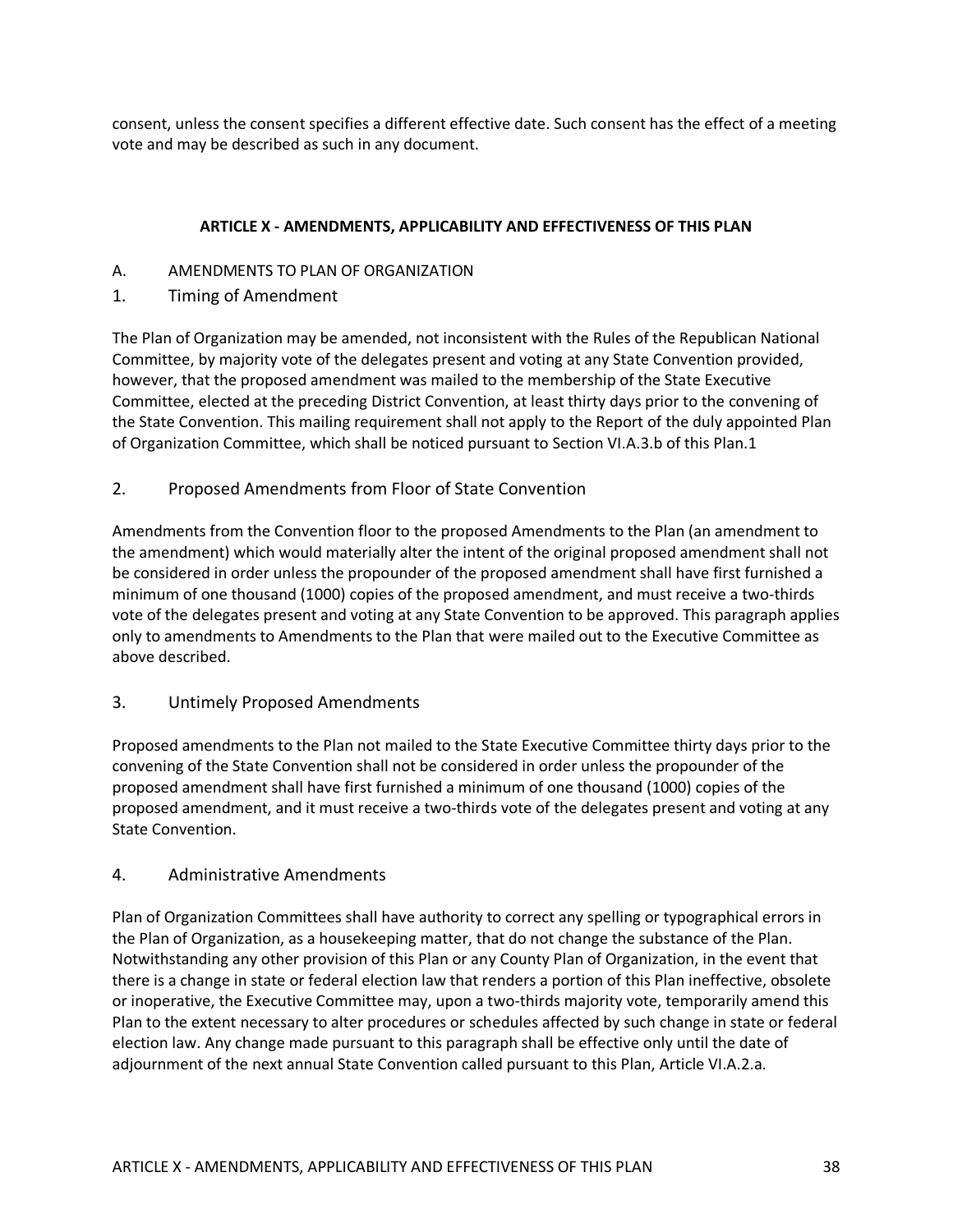consent, unless the consent specifies a different effective date. Such consent has the effect of a meeting vote and may be described as such in any document.

### **ARTICLE X - AMENDMENTS, APPLICABILITY AND EFFECTIVENESS OF THIS PLAN**

- A. AMENDMENTS TO PLAN OF ORGANIZATION
- 1. Timing of Amendment

The Plan of Organization may be amended, not inconsistent with the Rules of the Republican National Committee, by majority vote of the delegates present and voting at any State Convention provided, however, that the proposed amendment was mailed to the membership of the State Executive Committee, elected at the preceding District Convention, at least thirty days prior to the convening of the State Convention. This mailing requirement shall not apply to the Report of the duly appointed Plan of Organization Committee, which shall be noticed pursuant to Section VI.A.3.b of this Plan.1

2. Proposed Amendments from Floor of State Convention

Amendments from the Convention floor to the proposed Amendments to the Plan (an amendment to the amendment) which would materially alter the intent of the original proposed amendment shall not be considered in order unless the propounder of the proposed amendment shall have first furnished a minimum of one thousand (1000) copies of the proposed amendment, and must receive a two-thirds vote of the delegates present and voting at any State Convention to be approved. This paragraph applies only to amendments to Amendments to the Plan that were mailed out to the Executive Committee as above described.

3. Untimely Proposed Amendments

Proposed amendments to the Plan not mailed to the State Executive Committee thirty days prior to the convening of the State Convention shall not be considered in order unless the propounder of the proposed amendment shall have first furnished a minimum of one thousand (1000) copies of the proposed amendment, and it must receive a two-thirds vote of the delegates present and voting at any State Convention.

### 4. Administrative Amendments

Plan of Organization Committees shall have authority to correct any spelling or typographical errors in the Plan of Organization, as a housekeeping matter, that do not change the substance of the Plan. Notwithstanding any other provision of this Plan or any County Plan of Organization, in the event that there is a change in state or federal election law that renders a portion of this Plan ineffective, obsolete or inoperative, the Executive Committee may, upon a two-thirds majority vote, temporarily amend this Plan to the extent necessary to alter procedures or schedules affected by such change in state or federal election law. Any change made pursuant to this paragraph shall be effective only until the date of adjournment of the next annual State Convention called pursuant to this Plan, Article VI.A.2.a.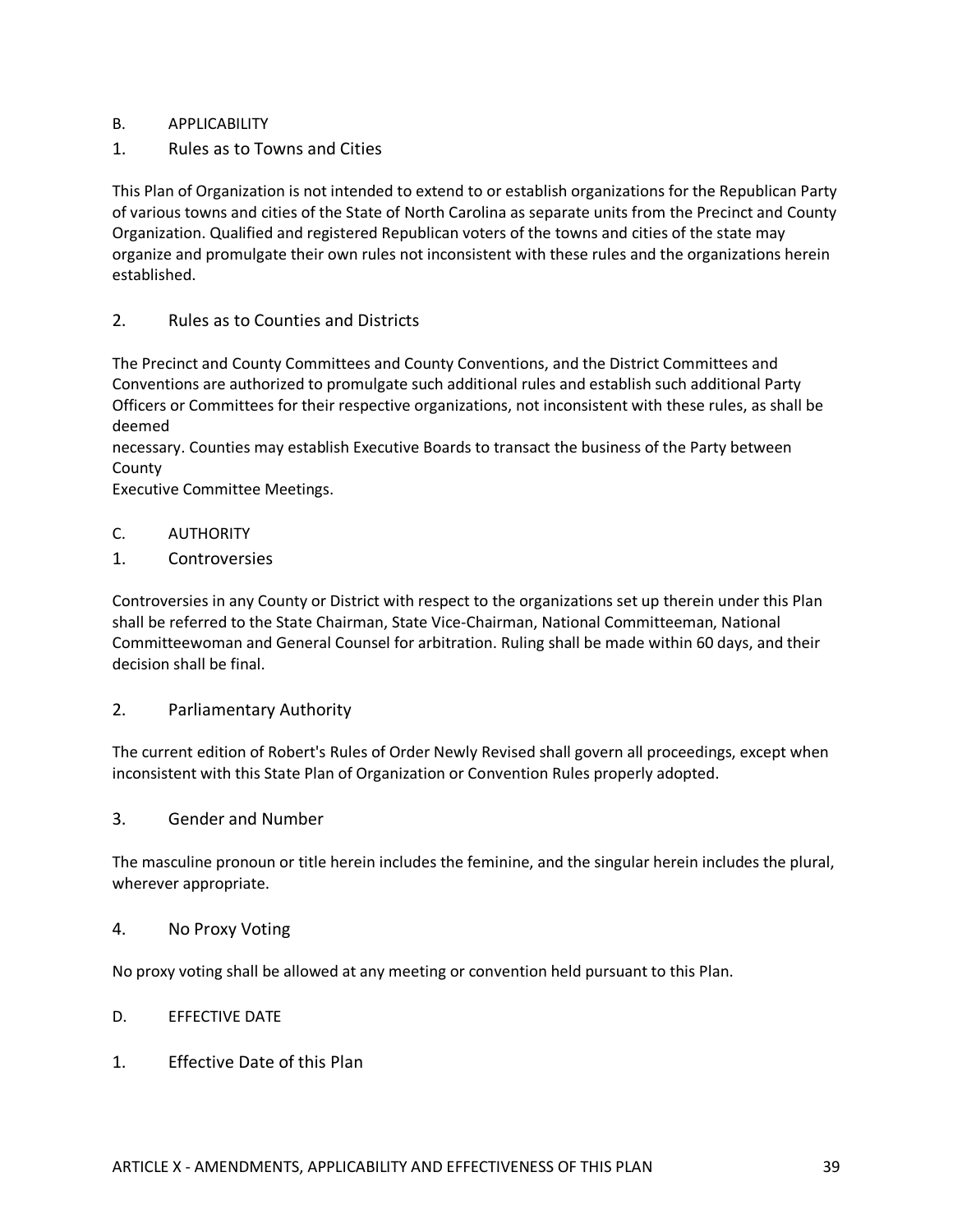### B. APPLICABILITY

1. Rules as to Towns and Cities

This Plan of Organization is not intended to extend to or establish organizations for the Republican Party of various towns and cities of the State of North Carolina as separate units from the Precinct and County Organization. Qualified and registered Republican voters of the towns and cities of the state may organize and promulgate their own rules not inconsistent with these rules and the organizations herein established.

## 2. Rules as to Counties and Districts

The Precinct and County Committees and County Conventions, and the District Committees and Conventions are authorized to promulgate such additional rules and establish such additional Party Officers or Committees for their respective organizations, not inconsistent with these rules, as shall be deemed

necessary. Counties may establish Executive Boards to transact the business of the Party between County

Executive Committee Meetings.

- C. AUTHORITY
- 1. Controversies

Controversies in any County or District with respect to the organizations set up therein under this Plan shall be referred to the State Chairman, State Vice-Chairman, National Committeeman, National Committeewoman and General Counsel for arbitration. Ruling shall be made within 60 days, and their decision shall be final.

2. Parliamentary Authority

The current edition of Robert's Rules of Order Newly Revised shall govern all proceedings, except when inconsistent with this State Plan of Organization or Convention Rules properly adopted.

3. Gender and Number

The masculine pronoun or title herein includes the feminine, and the singular herein includes the plural, wherever appropriate.

4. No Proxy Voting

No proxy voting shall be allowed at any meeting or convention held pursuant to this Plan.

- D. EFFECTIVE DATE
- 1. Effective Date of this Plan